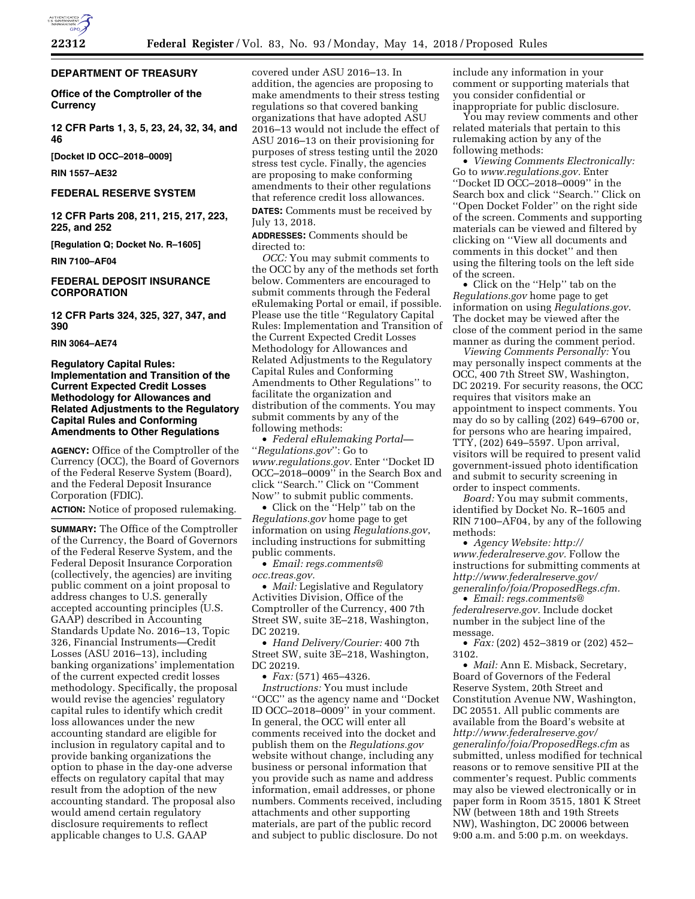# **DEPARTMENT OF TREASURY**

**Office of the Comptroller of the Currency** 

**12 CFR Parts 1, 3, 5, 23, 24, 32, 34, and 46** 

**[Docket ID OCC–2018–0009]** 

**RIN 1557–AE32** 

# **FEDERAL RESERVE SYSTEM**

**12 CFR Parts 208, 211, 215, 217, 223, 225, and 252** 

**[Regulation Q; Docket No. R–1605]** 

**RIN 7100–AF04** 

# **FEDERAL DEPOSIT INSURANCE CORPORATION**

**12 CFR Parts 324, 325, 327, 347, and 390** 

## **RIN 3064–AE74**

# **Regulatory Capital Rules: Implementation and Transition of the Current Expected Credit Losses Methodology for Allowances and Related Adjustments to the Regulatory Capital Rules and Conforming Amendments to Other Regulations**

**AGENCY:** Office of the Comptroller of the Currency (OCC), the Board of Governors of the Federal Reserve System (Board), and the Federal Deposit Insurance Corporation (FDIC).

**ACTION:** Notice of proposed rulemaking.

**SUMMARY:** The Office of the Comptroller of the Currency, the Board of Governors of the Federal Reserve System, and the Federal Deposit Insurance Corporation (collectively, the agencies) are inviting public comment on a joint proposal to address changes to U.S. generally accepted accounting principles (U.S. GAAP) described in Accounting Standards Update No. 2016–13, Topic 326, Financial Instruments—Credit Losses (ASU 2016–13), including banking organizations' implementation of the current expected credit losses methodology. Specifically, the proposal would revise the agencies' regulatory capital rules to identify which credit loss allowances under the new accounting standard are eligible for inclusion in regulatory capital and to provide banking organizations the option to phase in the day-one adverse effects on regulatory capital that may result from the adoption of the new accounting standard. The proposal also would amend certain regulatory disclosure requirements to reflect applicable changes to U.S. GAAP

covered under ASU 2016–13. In addition, the agencies are proposing to make amendments to their stress testing regulations so that covered banking organizations that have adopted ASU 2016–13 would not include the effect of ASU 2016–13 on their provisioning for purposes of stress testing until the 2020 stress test cycle. Finally, the agencies are proposing to make conforming amendments to their other regulations that reference credit loss allowances.

**DATES:** Comments must be received by July 13, 2018.

**ADDRESSES:** Comments should be directed to:

*OCC:* You may submit comments to the OCC by any of the methods set forth below. Commenters are encouraged to submit comments through the Federal eRulemaking Portal or email, if possible. Please use the title ''Regulatory Capital Rules: Implementation and Transition of the Current Expected Credit Losses Methodology for Allowances and Related Adjustments to the Regulatory Capital Rules and Conforming Amendments to Other Regulations'' to facilitate the organization and distribution of the comments. You may submit comments by any of the following methods:

• *Federal eRulemaking Portal—*  ''*Regulations.gov*'': Go to *[www.regulations.gov.](http://www.regulations.gov)* Enter ''Docket ID OCC–2018–0009'' in the Search Box and click ''Search.'' Click on ''Comment Now'' to submit public comments.

• Click on the ''Help'' tab on the *Regulations.gov* home page to get information on using *Regulations.gov*, including instructions for submitting public comments.

• *Email: [regs.comments@](mailto:regs.comments@occ.treas.gov) [occ.treas.gov.](mailto:regs.comments@occ.treas.gov)* 

• *Mail:* Legislative and Regulatory Activities Division, Office of the Comptroller of the Currency, 400 7th Street SW, suite 3E–218, Washington, DC 20219.

• *Hand Delivery/Courier:* 400 7th Street SW, suite 3E–218, Washington, DC 20219.

• *Fax:* (571) 465–4326.

*Instructions:* You must include ''OCC'' as the agency name and ''Docket ID OCC–2018–0009'' in your comment. In general, the OCC will enter all comments received into the docket and publish them on the *Regulations.gov*  website without change, including any business or personal information that you provide such as name and address information, email addresses, or phone numbers. Comments received, including attachments and other supporting materials, are part of the public record and subject to public disclosure. Do not

include any information in your comment or supporting materials that you consider confidential or inappropriate for public disclosure.

You may review comments and other related materials that pertain to this rulemaking action by any of the following methods:

• *Viewing Comments Electronically:*  Go to *[www.regulations.gov.](http://www.regulations.gov)* Enter ''Docket ID OCC–2018–0009'' in the Search box and click ''Search.'' Click on ''Open Docket Folder'' on the right side of the screen. Comments and supporting materials can be viewed and filtered by clicking on ''View all documents and comments in this docket'' and then using the filtering tools on the left side of the screen.

• Click on the ''Help'' tab on the *Regulations.gov* home page to get information on using *Regulations.gov*. The docket may be viewed after the close of the comment period in the same manner as during the comment period.

*Viewing Comments Personally:* You may personally inspect comments at the OCC, 400 7th Street SW, Washington, DC 20219. For security reasons, the OCC requires that visitors make an appointment to inspect comments. You may do so by calling (202) 649–6700 or, for persons who are hearing impaired, TTY, (202) 649–5597. Upon arrival, visitors will be required to present valid government-issued photo identification and submit to security screening in order to inspect comments.

*Board:* You may submit comments, identified by Docket No. R–1605 and RIN 7100–AF04, by any of the following methods:

• *Agency Website: [http://](http://www.federalreserve.gov) [www.federalreserve.gov.](http://www.federalreserve.gov)* Follow the instructions for submitting comments at *[http://www.federalreserve.gov/](http://www.federalreserve.gov/generalinfo/foia/ProposedRegs.cfm)  [generalinfo/foia/ProposedRegs.cfm.](http://www.federalreserve.gov/generalinfo/foia/ProposedRegs.cfm)* 

• *Email: [regs.comments@](mailto:regs.comments@federalreserve.gov) [federalreserve.gov.](mailto:regs.comments@federalreserve.gov)* Include docket number in the subject line of the message.

• *Fax:* (202) 452–3819 or (202) 452– 3102.

• *Mail:* Ann E. Misback, Secretary, Board of Governors of the Federal Reserve System, 20th Street and Constitution Avenue NW, Washington, DC 20551. All public comments are available from the Board's website at *[http://www.federalreserve.gov/](http://www.federalreserve.gov/generalinfo/foia/ProposedRegs.cfm)  [generalinfo/foia/ProposedRegs.cfm](http://www.federalreserve.gov/generalinfo/foia/ProposedRegs.cfm)* as submitted, unless modified for technical reasons or to remove sensitive PII at the commenter's request. Public comments may also be viewed electronically or in paper form in Room 3515, 1801 K Street NW (between 18th and 19th Streets NW), Washington, DC 20006 between 9:00 a.m. and 5:00 p.m. on weekdays.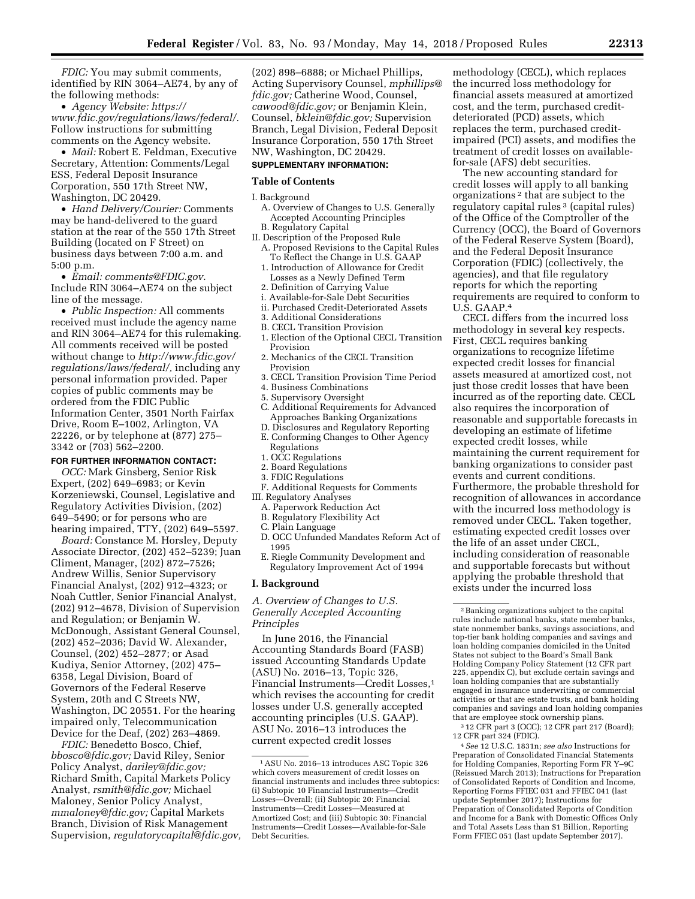*FDIC:* You may submit comments, identified by RIN 3064–AE74, by any of the following methods:

• *Agency Website: [https://](https://www.fdic.gov/regulations/laws/federal/) [www.fdic.gov/regulations/laws/federal/.](https://www.fdic.gov/regulations/laws/federal/)*  Follow instructions for submitting comments on the Agency website.

• *Mail:* Robert E. Feldman, Executive Secretary, Attention: Comments/Legal ESS, Federal Deposit Insurance Corporation, 550 17th Street NW, Washington, DC 20429.

• *Hand Delivery/Courier:* Comments may be hand-delivered to the guard station at the rear of the 550 17th Street Building (located on F Street) on business days between 7:00 a.m. and 5:00 p.m.

• *Email: [comments@FDIC.gov.](mailto:comments@FDIC.gov)*  Include RIN 3064–AE74 on the subject line of the message.

• *Public Inspection:* All comments received must include the agency name and RIN 3064–AE74 for this rulemaking. All comments received will be posted without change to *[http://www.fdic.gov/](http://www.fdic.gov/regulations/laws/federal/) [regulations/laws/federal/,](http://www.fdic.gov/regulations/laws/federal/)* including any personal information provided. Paper copies of public comments may be ordered from the FDIC Public Information Center, 3501 North Fairfax Drive, Room E–1002, Arlington, VA 22226, or by telephone at (877) 275– 3342 or (703) 562–2200.

#### **FOR FURTHER INFORMATION CONTACT:**

*OCC:* Mark Ginsberg, Senior Risk Expert, (202) 649–6983; or Kevin Korzeniewski, Counsel, Legislative and Regulatory Activities Division, (202) 649–5490; or for persons who are hearing impaired, TTY, (202) 649–5597.

*Board:* Constance M. Horsley, Deputy Associate Director, (202) 452–5239; Juan Climent, Manager, (202) 872–7526; Andrew Willis, Senior Supervisory Financial Analyst, (202) 912–4323; or Noah Cuttler, Senior Financial Analyst, (202) 912–4678, Division of Supervision and Regulation; or Benjamin W. McDonough, Assistant General Counsel, (202) 452–2036; David W. Alexander, Counsel, (202) 452–2877; or Asad Kudiya, Senior Attorney, (202) 475– 6358, Legal Division, Board of Governors of the Federal Reserve System, 20th and C Streets NW, Washington, DC 20551. For the hearing impaired only, Telecommunication Device for the Deaf, (202) 263–4869.

*FDIC:* Benedetto Bosco, Chief, *[bbosco@fdic.gov;](mailto:bbosco@fdic.gov)* David Riley, Senior Policy Analyst, *[dariley@fdic.gov;](mailto:dariley@fdic.gov)*  Richard Smith, Capital Markets Policy Analyst, *[rsmith@fdic.gov;](mailto:rsmith@fdic.gov)* Michael Maloney, Senior Policy Analyst, *[mmaloney@fdic.gov;](mailto:mmaloney@fdic.gov)* Capital Markets Branch, Division of Risk Management Supervision, *[regulatorycapital@fdic.gov,](mailto:regulatorycapital@fdic.gov)* 

(202) 898–6888; or Michael Phillips, Acting Supervisory Counsel, *[mphillips@](mailto:mphillips@fdic.gov) [fdic.gov;](mailto:mphillips@fdic.gov)* Catherine Wood, Counsel, *[cawood@fdic.gov;](mailto:cawood@fdic.gov)* or Benjamin Klein, Counsel, *[bklein@fdic.gov;](mailto:bklein@fdic.gov)* Supervision Branch, Legal Division, Federal Deposit Insurance Corporation, 550 17th Street NW, Washington, DC 20429.

#### **SUPPLEMENTARY INFORMATION:**

#### **Table of Contents**

I. Background

- A. Overview of Changes to U.S. Generally Accepted Accounting Principles B. Regulatory Capital
- II. Description of the Proposed Rule
- A. Proposed Revisions to the Capital Rules To Reflect the Change in U.S. GAAP
- 1. Introduction of Allowance for Credit Losses as a Newly Defined Term
- 2. Definition of Carrying Value
- i. Available-for-Sale Debt Securities
- ii. Purchased Credit-Deteriorated Assets
- 3. Additional Considerations
- B. CECL Transition Provision
- 1. Election of the Optional CECL Transition Provision
- 2. Mechanics of the CECL Transition Provision
- 3. CECL Transition Provision Time Period
- 4. Business Combinations
- 5. Supervisory Oversight
- C. Additional Requirements for Advanced Approaches Banking Organizations
- D. Disclosures and Regulatory Reporting E. Conforming Changes to Other Agency **Regulations**
- 1. OCC Regulations
- 2. Board Regulations
- 3. FDIC Regulations
- F. Additional Requests for Comments III. Regulatory Analyses
	- A. Paperwork Reduction Act
	- B. Regulatory Flexibility Act
	- C. Plain Language
	- D. OCC Unfunded Mandates Reform Act of 1995
	- E. Riegle Community Development and Regulatory Improvement Act of 1994

#### **I. Background**

*A. Overview of Changes to U.S. Generally Accepted Accounting Principles* 

In June 2016, the Financial Accounting Standards Board (FASB) issued Accounting Standards Update (ASU) No. 2016–13, Topic 326, Financial Instruments—Credit Losses,<sup>1</sup> which revises the accounting for credit losses under U.S. generally accepted accounting principles (U.S. GAAP). ASU No. 2016–13 introduces the current expected credit losses

methodology (CECL), which replaces the incurred loss methodology for financial assets measured at amortized cost, and the term, purchased creditdeteriorated (PCD) assets, which replaces the term, purchased creditimpaired (PCI) assets, and modifies the treatment of credit losses on availablefor-sale (AFS) debt securities.

The new accounting standard for credit losses will apply to all banking organizations 2 that are subject to the regulatory capital rules<sup>3</sup> (capital rules) of the Office of the Comptroller of the Currency (OCC), the Board of Governors of the Federal Reserve System (Board), and the Federal Deposit Insurance Corporation (FDIC) (collectively, the agencies), and that file regulatory reports for which the reporting requirements are required to conform to U.S. GAAP.4

CECL differs from the incurred loss methodology in several key respects. First, CECL requires banking organizations to recognize lifetime expected credit losses for financial assets measured at amortized cost, not just those credit losses that have been incurred as of the reporting date. CECL also requires the incorporation of reasonable and supportable forecasts in developing an estimate of lifetime expected credit losses, while maintaining the current requirement for banking organizations to consider past events and current conditions. Furthermore, the probable threshold for recognition of allowances in accordance with the incurred loss methodology is removed under CECL. Taken together, estimating expected credit losses over the life of an asset under CECL, including consideration of reasonable and supportable forecasts but without applying the probable threshold that exists under the incurred loss

3 12 CFR part 3 (OCC); 12 CFR part 217 (Board); 12 CFR part 324 (FDIC).

4*See* 12 U.S.C. 1831n; *see also* Instructions for Preparation of Consolidated Financial Statements for Holding Companies, Reporting Form FR Y–9C (Reissued March 2013); Instructions for Preparation of Consolidated Reports of Condition and Income, Reporting Forms FFIEC 031 and FFIEC 041 (last update September 2017); Instructions for Preparation of Consolidated Reports of Condition and Income for a Bank with Domestic Offices Only and Total Assets Less than \$1 Billion, Reporting Form FFIEC 051 (last update September 2017).

<sup>1</sup>ASU No. 2016–13 introduces ASC Topic 326 which covers measurement of credit losses on financial instruments and includes three subtopics: (i) Subtopic 10 Financial Instruments—Credit Losses—Overall; (ii) Subtopic 20: Financial Instruments—Credit Losses—Measured at Amortized Cost; and (iii) Subtopic 30: Financial Instruments—Credit Losses—Available-for-Sale Debt Securities.

<sup>2</sup>Banking organizations subject to the capital rules include national banks, state member banks, state nonmember banks, savings associations, and top-tier bank holding companies and savings and loan holding companies domiciled in the United States not subject to the Board's Small Bank Holding Company Policy Statement (12 CFR part 225, appendix C), but exclude certain savings and loan holding companies that are substantially engaged in insurance underwriting or commercial activities or that are estate trusts, and bank holding companies and savings and loan holding companies that are employee stock ownership plans.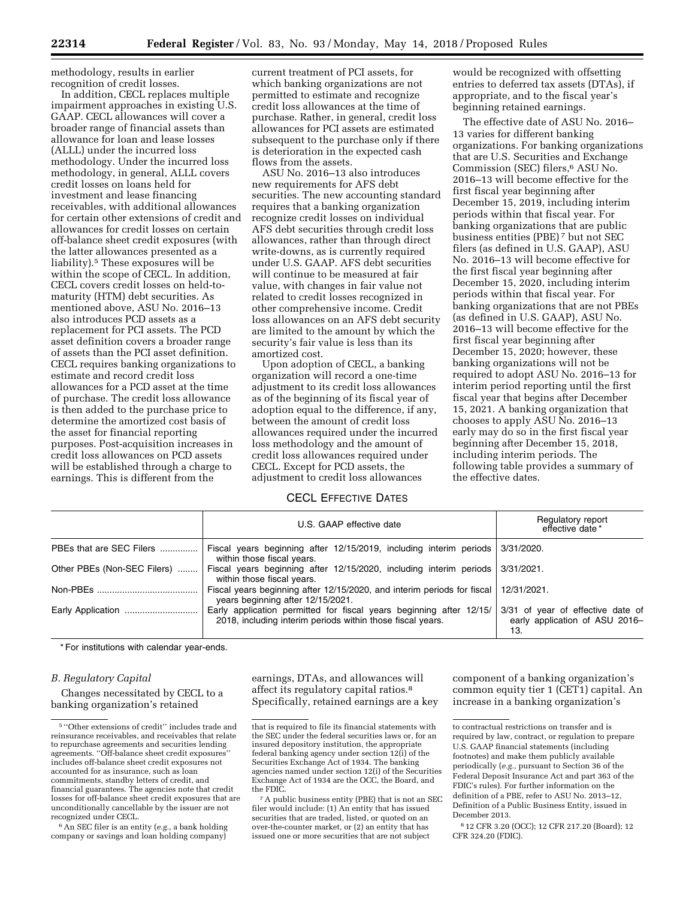methodology, results in earlier recognition of credit losses.

In addition, CECL replaces multiple impairment approaches in existing U.S. GAAP. CECL allowances will cover a broader range of financial assets than allowance for loan and lease losses (ALLL) under the incurred loss methodology. Under the incurred loss methodology, in general, ALLL covers credit losses on loans held for investment and lease financing receivables, with additional allowances for certain other extensions of credit and allowances for credit losses on certain off-balance sheet credit exposures (with the latter allowances presented as a liability).5 These exposures will be within the scope of CECL. In addition, CECL covers credit losses on held-tomaturity (HTM) debt securities. As mentioned above, ASU No. 2016–13 also introduces PCD assets as a replacement for PCI assets. The PCD asset definition covers a broader range of assets than the PCI asset definition. CECL requires banking organizations to estimate and record credit loss allowances for a PCD asset at the time of purchase. The credit loss allowance is then added to the purchase price to determine the amortized cost basis of the asset for financial reporting purposes. Post-acquisition increases in credit loss allowances on PCD assets will be established through a charge to earnings. This is different from the

current treatment of PCI assets, for which banking organizations are not permitted to estimate and recognize credit loss allowances at the time of purchase. Rather, in general, credit loss allowances for PCI assets are estimated subsequent to the purchase only if there is deterioration in the expected cash flows from the assets.

ASU No. 2016–13 also introduces new requirements for AFS debt securities. The new accounting standard requires that a banking organization recognize credit losses on individual AFS debt securities through credit loss allowances, rather than through direct write-downs, as is currently required under U.S. GAAP. AFS debt securities will continue to be measured at fair value, with changes in fair value not related to credit losses recognized in other comprehensive income. Credit loss allowances on an AFS debt security are limited to the amount by which the security's fair value is less than its amortized cost.

Upon adoption of CECL, a banking organization will record a one-time adjustment to its credit loss allowances as of the beginning of its fiscal year of adoption equal to the difference, if any, between the amount of credit loss allowances required under the incurred loss methodology and the amount of credit loss allowances required under CECL. Except for PCD assets, the adjustment to credit loss allowances

# CECL EFFECTIVE DATES

would be recognized with offsetting entries to deferred tax assets (DTAs), if appropriate, and to the fiscal year's beginning retained earnings.

The effective date of ASU No. 2016– 13 varies for different banking organizations. For banking organizations that are U.S. Securities and Exchange Commission (SEC) filers,6 ASU No. 2016–13 will become effective for the first fiscal year beginning after December 15, 2019, including interim periods within that fiscal year. For banking organizations that are public business entities (PBE) 7 but not SEC filers (as defined in U.S. GAAP), ASU No. 2016–13 will become effective for the first fiscal year beginning after December 15, 2020, including interim periods within that fiscal year. For banking organizations that are not PBEs (as defined in U.S. GAAP), ASU No. 2016–13 will become effective for the first fiscal year beginning after December 15, 2020; however, these banking organizations will not be required to adopt ASU No. 2016–13 for interim period reporting until the first fiscal year that begins after December 15, 2021. A banking organization that chooses to apply ASU No. 2016–13 early may do so in the first fiscal year beginning after December 15, 2018, including interim periods. The following table provides a summary of the effective dates.

|                             | U.S. GAAP effective date                                                                                                          | Regulatory report<br>effective date *                                      |
|-----------------------------|-----------------------------------------------------------------------------------------------------------------------------------|----------------------------------------------------------------------------|
| PBEs that are SEC Filers    | Fiscal years beginning after 12/15/2019, including interim periods 3/31/2020.<br>within those fiscal years.                       |                                                                            |
| Other PBEs (Non-SEC Filers) | Fiscal years beginning after 12/15/2020, including interim periods 3/31/2021.<br>within those fiscal years.                       |                                                                            |
|                             | Fiscal years beginning after 12/15/2020, and interim periods for fiscal<br>years beginning after 12/15/2021.                      | 12/31/2021.                                                                |
| Early Application           | Early application permitted for fiscal years beginning after 12/15/<br>2018, including interim periods within those fiscal years. | 3/31 of year of effective date of<br>early application of ASU 2016-<br>13. |

\* For institutions with calendar year-ends.

# *B. Regulatory Capital*

Changes necessitated by CECL to a banking organization's retained

6An SEC filer is an entity (*e.g.,* a bank holding company or savings and loan holding company)

earnings, DTAs, and allowances will affect its regulatory capital ratios.8 Specifically, retained earnings are a key component of a banking organization's common equity tier 1 (CET1) capital. An increase in a banking organization's

<sup>5</sup> ''Other extensions of credit'' includes trade and reinsurance receivables, and receivables that relate to repurchase agreements and securities lending agreements. ''Off-balance sheet credit exposures'' includes off-balance sheet credit exposures not accounted for as insurance, such as loan commitments, standby letters of credit, and financial guarantees. The agencies note that credit losses for off-balance sheet credit exposures that are unconditionally cancellable by the issuer are not recognized under CECL.

that is required to file its financial statements with the SEC under the federal securities laws or, for an insured depository institution, the appropriate federal banking agency under section 12(i) of the Securities Exchange Act of 1934. The banking agencies named under section 12(i) of the Securities Exchange Act of 1934 are the OCC, the Board, and the FDIC.

<sup>7</sup>A public business entity (PBE) that is not an SEC filer would include: (1) An entity that has issued securities that are traded, listed, or quoted on an over-the-counter market, or (2) an entity that has issued one or more securities that are not subject

to contractual restrictions on transfer and is required by law, contract, or regulation to prepare U.S. GAAP financial statements (including footnotes) and make them publicly available periodically (*e.g.,* pursuant to Section 36 of the Federal Deposit Insurance Act and part 363 of the FDIC's rules). For further information on the definition of a PBE, refer to ASU No. 2013–12, Definition of a Public Business Entity, issued in December 2013.

<sup>8</sup> 12 CFR 3.20 (OCC); 12 CFR 217.20 (Board); 12 CFR 324.20 (FDIC).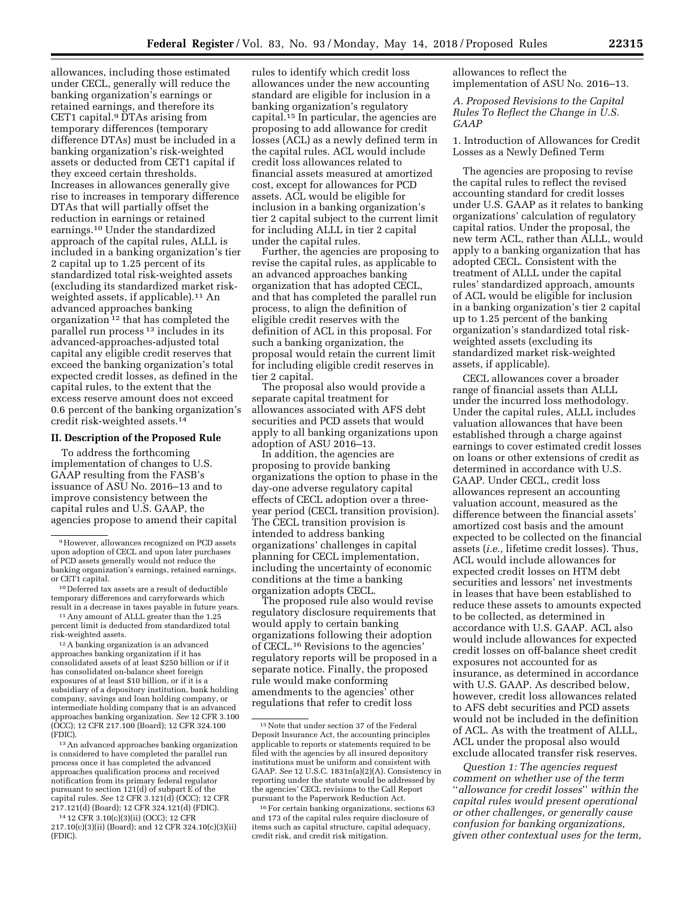allowances, including those estimated under CECL, generally will reduce the banking organization's earnings or retained earnings, and therefore its CET1 capital.<sup>9</sup> DTAs arising from temporary differences (temporary difference DTAs) must be included in a banking organization's risk-weighted assets or deducted from CET1 capital if they exceed certain thresholds. Increases in allowances generally give rise to increases in temporary difference DTAs that will partially offset the reduction in earnings or retained earnings.10 Under the standardized approach of the capital rules, ALLL is included in a banking organization's tier 2 capital up to 1.25 percent of its standardized total risk-weighted assets (excluding its standardized market riskweighted assets, if applicable).<sup>11</sup> An advanced approaches banking organization 12 that has completed the parallel run process 13 includes in its advanced-approaches-adjusted total capital any eligible credit reserves that exceed the banking organization's total expected credit losses, as defined in the capital rules, to the extent that the excess reserve amount does not exceed 0.6 percent of the banking organization's credit risk-weighted assets.14

# **II. Description of the Proposed Rule**

To address the forthcoming implementation of changes to U.S. GAAP resulting from the FASB's issuance of ASU No. 2016–13 and to improve consistency between the capital rules and U.S. GAAP, the agencies propose to amend their capital

10 Deferred tax assets are a result of deductible temporary differences and carryforwards which result in a decrease in taxes payable in future years.

11Any amount of ALLL greater than the 1.25 percent limit is deducted from standardized total risk-weighted assets.

12A banking organization is an advanced approaches banking organization if it has consolidated assets of at least \$250 billion or if it has consolidated on-balance sheet foreign exposures of at least \$10 billion, or if it is a subsidiary of a depository institution, bank holding company, savings and loan holding company, or intermediate holding company that is an advanced approaches banking organization. *See* 12 CFR 3.100 (OCC); 12 CFR 217.100 (Board); 12 CFR 324.100 (FDIC).

13An advanced approaches banking organization is considered to have completed the parallel run process once it has completed the advanced approaches qualification process and received notification from its primary federal regulator pursuant to section 121(d) of subpart E of the capital rules. *See* 12 CFR 3.121(d) (OCC); 12 CFR 217.121(d) (Board); 12 CFR 324.121(d) (FDIC).

14 12 CFR 3.10(c)(3)(ii) (OCC); 12 CFR 217.10(c)(3)(ii) (Board); and 12 CFR 324.10(c)(3)(ii) (FDIC).

rules to identify which credit loss allowances under the new accounting standard are eligible for inclusion in a banking organization's regulatory capital.15 In particular, the agencies are proposing to add allowance for credit losses (ACL) as a newly defined term in the capital rules. ACL would include credit loss allowances related to financial assets measured at amortized cost, except for allowances for PCD assets. ACL would be eligible for inclusion in a banking organization's tier 2 capital subject to the current limit for including ALLL in tier 2 capital under the capital rules.

Further, the agencies are proposing to revise the capital rules, as applicable to an advanced approaches banking organization that has adopted CECL, and that has completed the parallel run process, to align the definition of eligible credit reserves with the definition of ACL in this proposal. For such a banking organization, the proposal would retain the current limit for including eligible credit reserves in tier 2 capital.

The proposal also would provide a separate capital treatment for allowances associated with AFS debt securities and PCD assets that would apply to all banking organizations upon adoption of ASU 2016–13.

In addition, the agencies are proposing to provide banking organizations the option to phase in the day-one adverse regulatory capital effects of CECL adoption over a threeyear period (CECL transition provision). The CECL transition provision is intended to address banking organizations' challenges in capital planning for CECL implementation, including the uncertainty of economic conditions at the time a banking organization adopts CECL.

The proposed rule also would revise regulatory disclosure requirements that would apply to certain banking organizations following their adoption of CECL.16 Revisions to the agencies' regulatory reports will be proposed in a separate notice. Finally, the proposed rule would make conforming amendments to the agencies' other regulations that refer to credit loss

allowances to reflect the implementation of ASU No. 2016–13.

# *A. Proposed Revisions to the Capital Rules To Reflect the Change in U.S. GAAP*

1. Introduction of Allowances for Credit Losses as a Newly Defined Term

The agencies are proposing to revise the capital rules to reflect the revised accounting standard for credit losses under U.S. GAAP as it relates to banking organizations' calculation of regulatory capital ratios. Under the proposal, the new term ACL, rather than ALLL, would apply to a banking organization that has adopted CECL. Consistent with the treatment of ALLL under the capital rules' standardized approach, amounts of ACL would be eligible for inclusion in a banking organization's tier 2 capital up to 1.25 percent of the banking organization's standardized total riskweighted assets (excluding its standardized market risk-weighted assets, if applicable).

CECL allowances cover a broader range of financial assets than ALLL under the incurred loss methodology. Under the capital rules, ALLL includes valuation allowances that have been established through a charge against earnings to cover estimated credit losses on loans or other extensions of credit as determined in accordance with U.S. GAAP. Under CECL, credit loss allowances represent an accounting valuation account, measured as the difference between the financial assets' amortized cost basis and the amount expected to be collected on the financial assets (*i.e.,* lifetime credit losses). Thus, ACL would include allowances for expected credit losses on HTM debt securities and lessors' net investments in leases that have been established to reduce these assets to amounts expected to be collected, as determined in accordance with U.S. GAAP. ACL also would include allowances for expected credit losses on off-balance sheet credit exposures not accounted for as insurance, as determined in accordance with U.S. GAAP. As described below, however, credit loss allowances related to AFS debt securities and PCD assets would not be included in the definition of ACL. As with the treatment of ALLL, ACL under the proposal also would exclude allocated transfer risk reserves.

*Question 1: The agencies request comment on whether use of the term*  ''*allowance for credit losses*'' *within the capital rules would present operational or other challenges, or generally cause confusion for banking organizations, given other contextual uses for the term,* 

<sup>9</sup>However, allowances recognized on PCD assets upon adoption of CECL and upon later purchases of PCD assets generally would not reduce the banking organization's earnings, retained earnings, or CET1 capital.

<sup>15</sup>Note that under section 37 of the Federal Deposit Insurance Act, the accounting principles applicable to reports or statements required to be filed with the agencies by all insured depository institutions must be uniform and consistent with GAAP. *See* 12 U.S.C. 1831n(a)(2)(A). Consistency in reporting under the statute would be addressed by the agencies' CECL revisions to the Call Report pursuant to the Paperwork Reduction Act.

<sup>16</sup>For certain banking organizations, sections 63 and 173 of the capital rules require disclosure of items such as capital structure, capital adequacy, credit risk, and credit risk mitigation.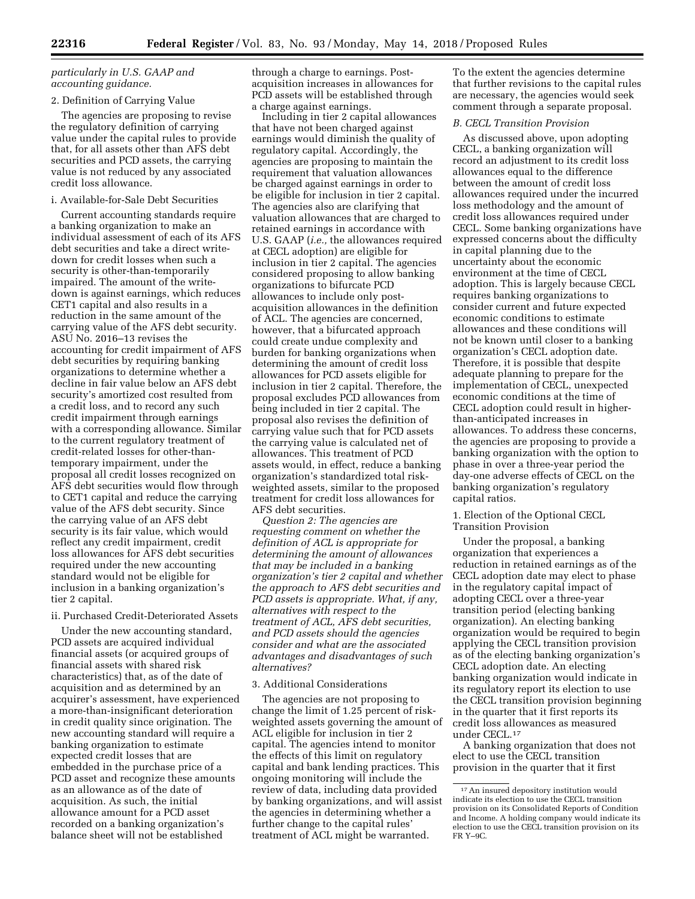# *particularly in U.S. GAAP and accounting guidance.*

# 2. Definition of Carrying Value

The agencies are proposing to revise the regulatory definition of carrying value under the capital rules to provide that, for all assets other than AFS debt securities and PCD assets, the carrying value is not reduced by any associated credit loss allowance.

#### i. Available-for-Sale Debt Securities

Current accounting standards require a banking organization to make an individual assessment of each of its AFS debt securities and take a direct writedown for credit losses when such a security is other-than-temporarily impaired. The amount of the writedown is against earnings, which reduces CET1 capital and also results in a reduction in the same amount of the carrying value of the AFS debt security. ASU No. 2016–13 revises the accounting for credit impairment of AFS debt securities by requiring banking organizations to determine whether a decline in fair value below an AFS debt security's amortized cost resulted from a credit loss, and to record any such credit impairment through earnings with a corresponding allowance. Similar to the current regulatory treatment of credit-related losses for other-thantemporary impairment, under the proposal all credit losses recognized on AFS debt securities would flow through to CET1 capital and reduce the carrying value of the AFS debt security. Since the carrying value of an AFS debt security is its fair value, which would reflect any credit impairment, credit loss allowances for AFS debt securities required under the new accounting standard would not be eligible for inclusion in a banking organization's tier 2 capital.

# ii. Purchased Credit-Deteriorated Assets

Under the new accounting standard, PCD assets are acquired individual financial assets (or acquired groups of financial assets with shared risk characteristics) that, as of the date of acquisition and as determined by an acquirer's assessment, have experienced a more-than-insignificant deterioration in credit quality since origination. The new accounting standard will require a banking organization to estimate expected credit losses that are embedded in the purchase price of a PCD asset and recognize these amounts as an allowance as of the date of acquisition. As such, the initial allowance amount for a PCD asset recorded on a banking organization's balance sheet will not be established

through a charge to earnings. Postacquisition increases in allowances for PCD assets will be established through a charge against earnings.

Including in tier 2 capital allowances that have not been charged against earnings would diminish the quality of regulatory capital. Accordingly, the agencies are proposing to maintain the requirement that valuation allowances be charged against earnings in order to be eligible for inclusion in tier 2 capital. The agencies also are clarifying that valuation allowances that are charged to retained earnings in accordance with U.S. GAAP (*i.e.,* the allowances required at CECL adoption) are eligible for inclusion in tier 2 capital. The agencies considered proposing to allow banking organizations to bifurcate PCD allowances to include only postacquisition allowances in the definition of ACL. The agencies are concerned, however, that a bifurcated approach could create undue complexity and burden for banking organizations when determining the amount of credit loss allowances for PCD assets eligible for inclusion in tier 2 capital. Therefore, the proposal excludes PCD allowances from being included in tier 2 capital. The proposal also revises the definition of carrying value such that for PCD assets the carrying value is calculated net of allowances. This treatment of PCD assets would, in effect, reduce a banking organization's standardized total riskweighted assets, similar to the proposed treatment for credit loss allowances for AFS debt securities.

*Question 2: The agencies are requesting comment on whether the definition of ACL is appropriate for determining the amount of allowances that may be included in a banking organization's tier 2 capital and whether the approach to AFS debt securities and PCD assets is appropriate. What, if any, alternatives with respect to the treatment of ACL, AFS debt securities, and PCD assets should the agencies consider and what are the associated advantages and disadvantages of such alternatives?* 

### 3. Additional Considerations

The agencies are not proposing to change the limit of 1.25 percent of riskweighted assets governing the amount of ACL eligible for inclusion in tier 2 capital. The agencies intend to monitor the effects of this limit on regulatory capital and bank lending practices. This ongoing monitoring will include the review of data, including data provided by banking organizations, and will assist the agencies in determining whether a further change to the capital rules' treatment of ACL might be warranted.

To the extent the agencies determine that further revisions to the capital rules are necessary, the agencies would seek comment through a separate proposal.

### *B. CECL Transition Provision*

As discussed above, upon adopting CECL, a banking organization will record an adjustment to its credit loss allowances equal to the difference between the amount of credit loss allowances required under the incurred loss methodology and the amount of credit loss allowances required under CECL. Some banking organizations have expressed concerns about the difficulty in capital planning due to the uncertainty about the economic environment at the time of CECL adoption. This is largely because CECL requires banking organizations to consider current and future expected economic conditions to estimate allowances and these conditions will not be known until closer to a banking organization's CECL adoption date. Therefore, it is possible that despite adequate planning to prepare for the implementation of CECL, unexpected economic conditions at the time of CECL adoption could result in higherthan-anticipated increases in allowances. To address these concerns, the agencies are proposing to provide a banking organization with the option to phase in over a three-year period the day-one adverse effects of CECL on the banking organization's regulatory capital ratios.

1. Election of the Optional CECL Transition Provision

Under the proposal, a banking organization that experiences a reduction in retained earnings as of the CECL adoption date may elect to phase in the regulatory capital impact of adopting CECL over a three-year transition period (electing banking organization). An electing banking organization would be required to begin applying the CECL transition provision as of the electing banking organization's CECL adoption date. An electing banking organization would indicate in its regulatory report its election to use the CECL transition provision beginning in the quarter that it first reports its credit loss allowances as measured under CECL.17

A banking organization that does not elect to use the CECL transition provision in the quarter that it first

<sup>17</sup>An insured depository institution would indicate its election to use the CECL transition provision on its Consolidated Reports of Condition and Income. A holding company would indicate its election to use the CECL transition provision on its FR Y–9C.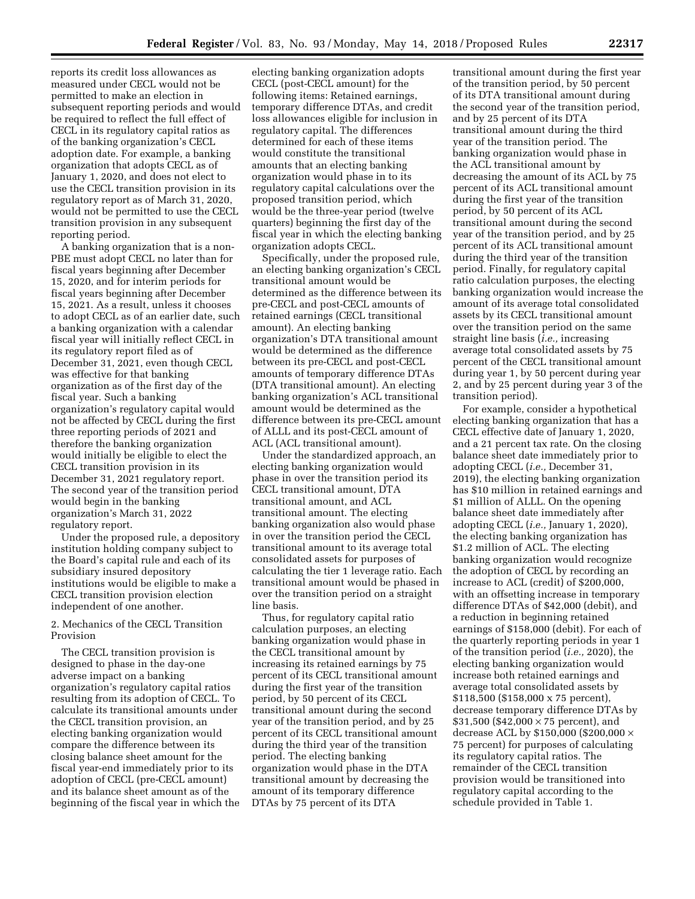reports its credit loss allowances as measured under CECL would not be permitted to make an election in subsequent reporting periods and would be required to reflect the full effect of CECL in its regulatory capital ratios as of the banking organization's CECL adoption date. For example, a banking organization that adopts CECL as of January 1, 2020, and does not elect to use the CECL transition provision in its regulatory report as of March 31, 2020, would not be permitted to use the CECL transition provision in any subsequent reporting period.

A banking organization that is a non-PBE must adopt CECL no later than for fiscal years beginning after December 15, 2020, and for interim periods for fiscal years beginning after December 15, 2021. As a result, unless it chooses to adopt CECL as of an earlier date, such a banking organization with a calendar fiscal year will initially reflect CECL in its regulatory report filed as of December 31, 2021, even though CECL was effective for that banking organization as of the first day of the fiscal year. Such a banking organization's regulatory capital would not be affected by CECL during the first three reporting periods of 2021 and therefore the banking organization would initially be eligible to elect the CECL transition provision in its December 31, 2021 regulatory report. The second year of the transition period would begin in the banking organization's March 31, 2022 regulatory report.

Under the proposed rule, a depository institution holding company subject to the Board's capital rule and each of its subsidiary insured depository institutions would be eligible to make a CECL transition provision election independent of one another.

2. Mechanics of the CECL Transition Provision

The CECL transition provision is designed to phase in the day-one adverse impact on a banking organization's regulatory capital ratios resulting from its adoption of CECL. To calculate its transitional amounts under the CECL transition provision, an electing banking organization would compare the difference between its closing balance sheet amount for the fiscal year-end immediately prior to its adoption of CECL (pre-CECL amount) and its balance sheet amount as of the beginning of the fiscal year in which the

electing banking organization adopts CECL (post-CECL amount) for the following items: Retained earnings, temporary difference DTAs, and credit loss allowances eligible for inclusion in regulatory capital. The differences determined for each of these items would constitute the transitional amounts that an electing banking organization would phase in to its regulatory capital calculations over the proposed transition period, which would be the three-year period (twelve quarters) beginning the first day of the fiscal year in which the electing banking organization adopts CECL.

Specifically, under the proposed rule, an electing banking organization's CECL transitional amount would be determined as the difference between its pre-CECL and post-CECL amounts of retained earnings (CECL transitional amount). An electing banking organization's DTA transitional amount would be determined as the difference between its pre-CECL and post-CECL amounts of temporary difference DTAs (DTA transitional amount). An electing banking organization's ACL transitional amount would be determined as the difference between its pre-CECL amount of ALLL and its post-CECL amount of ACL (ACL transitional amount).

Under the standardized approach, an electing banking organization would phase in over the transition period its CECL transitional amount, DTA transitional amount, and ACL transitional amount. The electing banking organization also would phase in over the transition period the CECL transitional amount to its average total consolidated assets for purposes of calculating the tier 1 leverage ratio. Each transitional amount would be phased in over the transition period on a straight line basis.

Thus, for regulatory capital ratio calculation purposes, an electing banking organization would phase in the CECL transitional amount by increasing its retained earnings by 75 percent of its CECL transitional amount during the first year of the transition period, by 50 percent of its CECL transitional amount during the second year of the transition period, and by 25 percent of its CECL transitional amount during the third year of the transition period. The electing banking organization would phase in the DTA transitional amount by decreasing the amount of its temporary difference DTAs by 75 percent of its DTA

transitional amount during the first year of the transition period, by 50 percent of its DTA transitional amount during the second year of the transition period, and by 25 percent of its DTA transitional amount during the third year of the transition period. The banking organization would phase in the ACL transitional amount by decreasing the amount of its ACL by 75 percent of its ACL transitional amount during the first year of the transition period, by 50 percent of its ACL transitional amount during the second year of the transition period, and by 25 percent of its ACL transitional amount during the third year of the transition period. Finally, for regulatory capital ratio calculation purposes, the electing banking organization would increase the amount of its average total consolidated assets by its CECL transitional amount over the transition period on the same straight line basis (*i.e.,* increasing average total consolidated assets by 75 percent of the CECL transitional amount during year 1, by 50 percent during year 2, and by 25 percent during year 3 of the transition period).

For example, consider a hypothetical electing banking organization that has a CECL effective date of January 1, 2020, and a 21 percent tax rate. On the closing balance sheet date immediately prior to adopting CECL (*i.e.,* December 31, 2019), the electing banking organization has \$10 million in retained earnings and \$1 million of ALLL. On the opening balance sheet date immediately after adopting CECL (*i.e.,* January 1, 2020), the electing banking organization has \$1.2 million of ACL. The electing banking organization would recognize the adoption of CECL by recording an increase to ACL (credit) of \$200,000, with an offsetting increase in temporary difference DTAs of \$42,000 (debit), and a reduction in beginning retained earnings of \$158,000 (debit). For each of the quarterly reporting periods in year 1 of the transition period (*i.e.,* 2020), the electing banking organization would increase both retained earnings and average total consolidated assets by \$118,500 (\$158,000 x 75 percent), decrease temporary difference DTAs by  $$31,500$  (\$42,000  $\times$  75 percent), and decrease ACL by \$150,000 (\$200,000  $\times$ 75 percent) for purposes of calculating its regulatory capital ratios. The remainder of the CECL transition provision would be transitioned into regulatory capital according to the schedule provided in Table 1.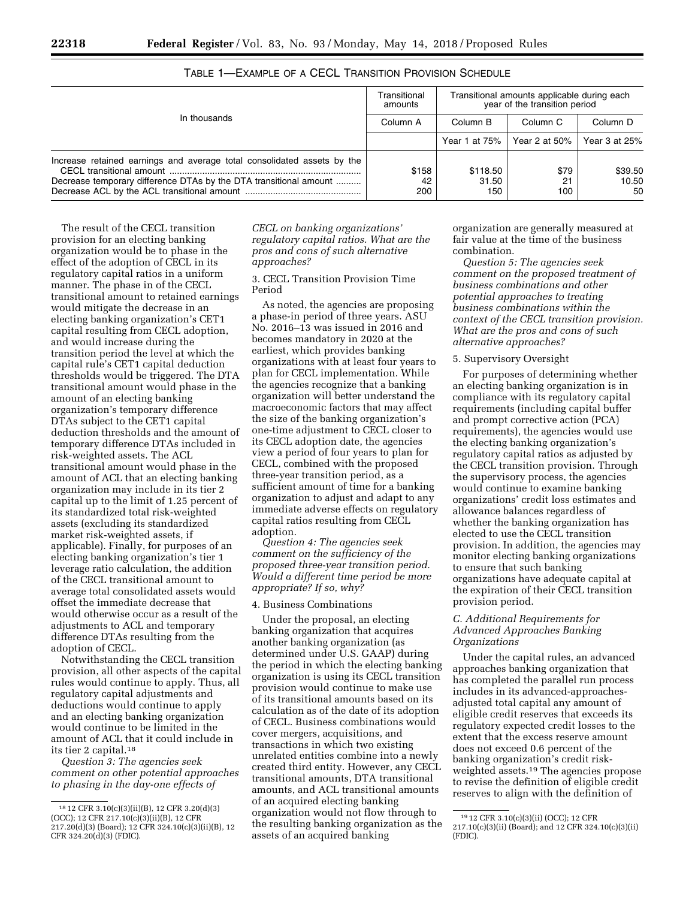|                                                                                                                                              | Transitional<br>amounts |                          | Transitional amounts applicable during each<br>year of the transition period |                        |
|----------------------------------------------------------------------------------------------------------------------------------------------|-------------------------|--------------------------|------------------------------------------------------------------------------|------------------------|
| In thousands                                                                                                                                 | Column A                | Column B                 | Column <sub>C</sub>                                                          | Column D               |
|                                                                                                                                              |                         | Year 1 at 75%            | Year 2 at 50%                                                                | Year 3 at 25%          |
| Increase retained earnings and average total consolidated assets by the<br>Decrease temporary difference DTAs by the DTA transitional amount | \$158<br>42<br>200      | \$118.50<br>31.50<br>150 | \$79<br>21<br>100                                                            | \$39.50<br>10.50<br>50 |

# TABLE 1—EXAMPLE OF A CECL TRANSITION PROVISION SCHEDULE

The result of the CECL transition provision for an electing banking organization would be to phase in the effect of the adoption of CECL in its regulatory capital ratios in a uniform manner. The phase in of the CECL transitional amount to retained earnings would mitigate the decrease in an electing banking organization's CET1 capital resulting from CECL adoption, and would increase during the transition period the level at which the capital rule's CET1 capital deduction thresholds would be triggered. The DTA transitional amount would phase in the amount of an electing banking organization's temporary difference DTAs subject to the CET1 capital deduction thresholds and the amount of temporary difference DTAs included in risk-weighted assets. The ACL transitional amount would phase in the amount of ACL that an electing banking organization may include in its tier 2 capital up to the limit of 1.25 percent of its standardized total risk-weighted assets (excluding its standardized market risk-weighted assets, if applicable). Finally, for purposes of an electing banking organization's tier 1 leverage ratio calculation, the addition of the CECL transitional amount to average total consolidated assets would offset the immediate decrease that would otherwise occur as a result of the adjustments to ACL and temporary difference DTAs resulting from the adoption of CECL.

Notwithstanding the CECL transition provision, all other aspects of the capital rules would continue to apply. Thus, all regulatory capital adjustments and deductions would continue to apply and an electing banking organization would continue to be limited in the amount of ACL that it could include in its tier 2 capital.18

*Question 3: The agencies seek comment on other potential approaches to phasing in the day-one effects of* 

*CECL on banking organizations' regulatory capital ratios. What are the pros and cons of such alternative approaches?* 

3. CECL Transition Provision Time Period

As noted, the agencies are proposing a phase-in period of three years. ASU No. 2016–13 was issued in 2016 and becomes mandatory in 2020 at the earliest, which provides banking organizations with at least four years to plan for CECL implementation. While the agencies recognize that a banking organization will better understand the macroeconomic factors that may affect the size of the banking organization's one-time adjustment to CECL closer to its CECL adoption date, the agencies view a period of four years to plan for CECL, combined with the proposed three-year transition period, as a sufficient amount of time for a banking organization to adjust and adapt to any immediate adverse effects on regulatory capital ratios resulting from CECL adoption.

*Question 4: The agencies seek comment on the sufficiency of the proposed three-year transition period. Would a different time period be more appropriate? If so, why?* 

#### 4. Business Combinations

Under the proposal, an electing banking organization that acquires another banking organization (as determined under U.S. GAAP) during the period in which the electing banking organization is using its CECL transition provision would continue to make use of its transitional amounts based on its calculation as of the date of its adoption of CECL. Business combinations would cover mergers, acquisitions, and transactions in which two existing unrelated entities combine into a newly created third entity. However, any CECL transitional amounts, DTA transitional amounts, and ACL transitional amounts of an acquired electing banking organization would not flow through to the resulting banking organization as the assets of an acquired banking

organization are generally measured at fair value at the time of the business combination.

*Question 5: The agencies seek comment on the proposed treatment of business combinations and other potential approaches to treating business combinations within the context of the CECL transition provision. What are the pros and cons of such alternative approaches?* 

# 5. Supervisory Oversight

For purposes of determining whether an electing banking organization is in compliance with its regulatory capital requirements (including capital buffer and prompt corrective action (PCA) requirements), the agencies would use the electing banking organization's regulatory capital ratios as adjusted by the CECL transition provision. Through the supervisory process, the agencies would continue to examine banking organizations' credit loss estimates and allowance balances regardless of whether the banking organization has elected to use the CECL transition provision. In addition, the agencies may monitor electing banking organizations to ensure that such banking organizations have adequate capital at the expiration of their CECL transition provision period.

# *C. Additional Requirements for Advanced Approaches Banking Organizations*

Under the capital rules, an advanced approaches banking organization that has completed the parallel run process includes in its advanced-approachesadjusted total capital any amount of eligible credit reserves that exceeds its regulatory expected credit losses to the extent that the excess reserve amount does not exceed 0.6 percent of the banking organization's credit riskweighted assets.19 The agencies propose to revise the definition of eligible credit reserves to align with the definition of

<sup>18</sup> 12 CFR 3.10(c)(3)(ii)(B), 12 CFR 3.20(d)(3) (OCC); 12 CFR 217.10(c)(3)(ii)(B), 12 CFR 217.20(d)(3) (Board); 12 CFR 324.10(c)(3)(ii)(B), 12 CFR 324.20(d)(3) (FDIC).

<sup>19</sup> 12 CFR 3.10(c)(3)(ii) (OCC); 12 CFR 217.10(c)(3)(ii) (Board); and 12 CFR 324.10(c)(3)(ii) (FDIC).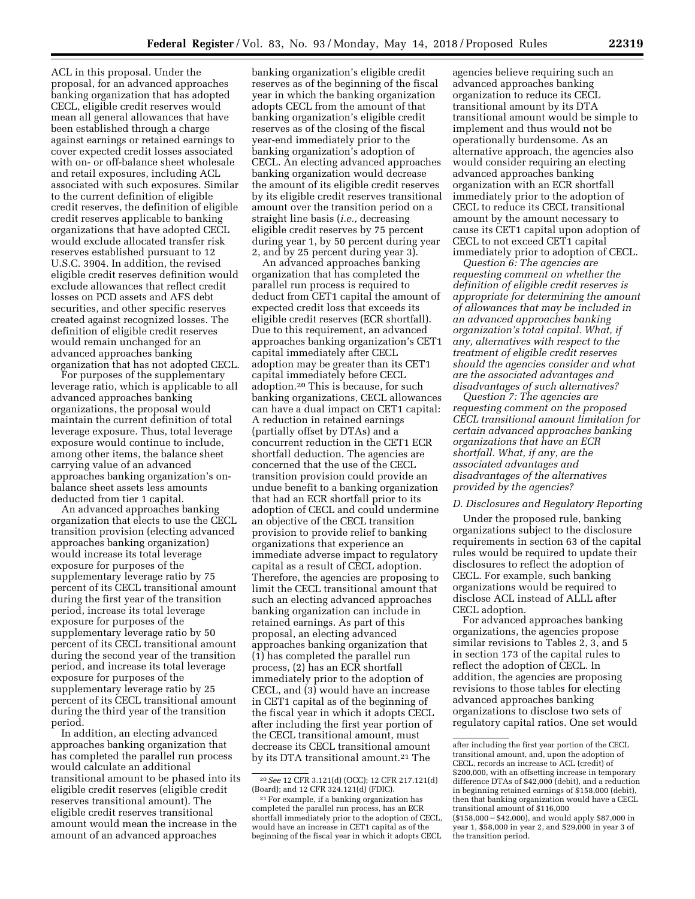ACL in this proposal. Under the proposal, for an advanced approaches banking organization that has adopted CECL, eligible credit reserves would mean all general allowances that have been established through a charge against earnings or retained earnings to cover expected credit losses associated with on- or off-balance sheet wholesale and retail exposures, including ACL associated with such exposures. Similar to the current definition of eligible credit reserves, the definition of eligible credit reserves applicable to banking organizations that have adopted CECL would exclude allocated transfer risk reserves established pursuant to 12 U.S.C. 3904. In addition, the revised eligible credit reserves definition would exclude allowances that reflect credit losses on PCD assets and AFS debt securities, and other specific reserves created against recognized losses. The definition of eligible credit reserves would remain unchanged for an advanced approaches banking organization that has not adopted CECL.

For purposes of the supplementary leverage ratio, which is applicable to all advanced approaches banking organizations, the proposal would maintain the current definition of total leverage exposure. Thus, total leverage exposure would continue to include, among other items, the balance sheet carrying value of an advanced approaches banking organization's onbalance sheet assets less amounts deducted from tier 1 capital.

An advanced approaches banking organization that elects to use the CECL transition provision (electing advanced approaches banking organization) would increase its total leverage exposure for purposes of the supplementary leverage ratio by 75 percent of its CECL transitional amount during the first year of the transition period, increase its total leverage exposure for purposes of the supplementary leverage ratio by 50 percent of its CECL transitional amount during the second year of the transition period, and increase its total leverage exposure for purposes of the supplementary leverage ratio by 25 percent of its CECL transitional amount during the third year of the transition period.

In addition, an electing advanced approaches banking organization that has completed the parallel run process would calculate an additional transitional amount to be phased into its eligible credit reserves (eligible credit reserves transitional amount). The eligible credit reserves transitional amount would mean the increase in the amount of an advanced approaches

banking organization's eligible credit reserves as of the beginning of the fiscal year in which the banking organization adopts CECL from the amount of that banking organization's eligible credit reserves as of the closing of the fiscal year-end immediately prior to the banking organization's adoption of CECL. An electing advanced approaches banking organization would decrease the amount of its eligible credit reserves by its eligible credit reserves transitional amount over the transition period on a straight line basis (*i.e.,* decreasing eligible credit reserves by 75 percent during year 1, by 50 percent during year 2, and by 25 percent during year 3).

An advanced approaches banking organization that has completed the parallel run process is required to deduct from CET1 capital the amount of expected credit loss that exceeds its eligible credit reserves (ECR shortfall). Due to this requirement, an advanced approaches banking organization's CET1 capital immediately after CECL adoption may be greater than its CET1 capital immediately before CECL adoption.20 This is because, for such banking organizations, CECL allowances can have a dual impact on CET1 capital: A reduction in retained earnings (partially offset by DTAs) and a concurrent reduction in the CET1 ECR shortfall deduction. The agencies are concerned that the use of the CECL transition provision could provide an undue benefit to a banking organization that had an ECR shortfall prior to its adoption of CECL and could undermine an objective of the CECL transition provision to provide relief to banking organizations that experience an immediate adverse impact to regulatory capital as a result of CECL adoption. Therefore, the agencies are proposing to limit the CECL transitional amount that such an electing advanced approaches banking organization can include in retained earnings. As part of this proposal, an electing advanced approaches banking organization that (1) has completed the parallel run process, (2) has an ECR shortfall immediately prior to the adoption of CECL, and (3) would have an increase in CET1 capital as of the beginning of the fiscal year in which it adopts CECL after including the first year portion of the CECL transitional amount, must decrease its CECL transitional amount by its DTA transitional amount.<sup>21</sup> The

agencies believe requiring such an advanced approaches banking organization to reduce its CECL transitional amount by its DTA transitional amount would be simple to implement and thus would not be operationally burdensome. As an alternative approach, the agencies also would consider requiring an electing advanced approaches banking organization with an ECR shortfall immediately prior to the adoption of CECL to reduce its CECL transitional amount by the amount necessary to cause its CET1 capital upon adoption of CECL to not exceed CET1 capital immediately prior to adoption of CECL.

*Question 6: The agencies are requesting comment on whether the definition of eligible credit reserves is appropriate for determining the amount of allowances that may be included in an advanced approaches banking organization's total capital. What, if any, alternatives with respect to the treatment of eligible credit reserves should the agencies consider and what are the associated advantages and disadvantages of such alternatives?* 

*Question 7: The agencies are requesting comment on the proposed CECL transitional amount limitation for certain advanced approaches banking organizations that have an ECR shortfall. What, if any, are the associated advantages and disadvantages of the alternatives provided by the agencies?* 

# *D. Disclosures and Regulatory Reporting*

Under the proposed rule, banking organizations subject to the disclosure requirements in section 63 of the capital rules would be required to update their disclosures to reflect the adoption of CECL. For example, such banking organizations would be required to disclose ACL instead of ALLL after CECL adoption.

For advanced approaches banking organizations, the agencies propose similar revisions to Tables 2, 3, and 5 in section 173 of the capital rules to reflect the adoption of CECL. In addition, the agencies are proposing revisions to those tables for electing advanced approaches banking organizations to disclose two sets of regulatory capital ratios. One set would

<sup>20</sup>*See* 12 CFR 3.121(d) (OCC); 12 CFR 217.121(d) (Board); and 12 CFR 324.121(d) (FDIC).

<sup>21</sup>For example, if a banking organization has completed the parallel run process, has an ECR shortfall immediately prior to the adoption of CECL, would have an increase in CET1 capital as of the beginning of the fiscal year in which it adopts CECL

after including the first year portion of the CECL transitional amount, and, upon the adoption of CECL, records an increase to ACL (credit) of \$200,000, with an offsetting increase in temporary difference DTAs of \$42,000 (debit), and a reduction in beginning retained earnings of \$158,000 (debit), then that banking organization would have a CECL transitional amount of \$116,000 (\$158,000 - \$42,000), and would apply \$87,000 in year 1, \$58,000 in year 2, and \$29,000 in year 3 of the transition period.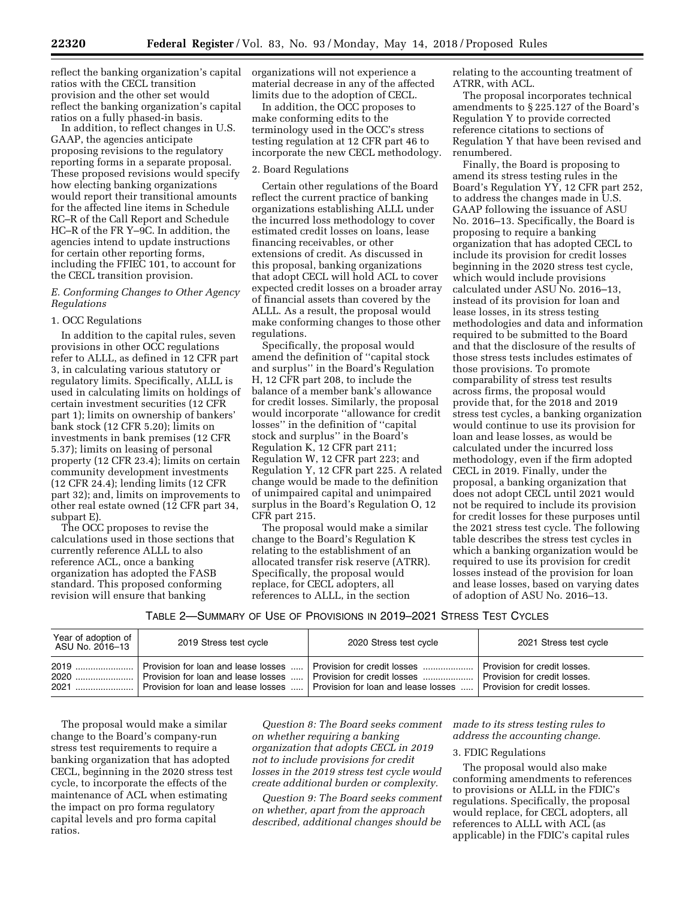reflect the banking organization's capital ratios with the CECL transition provision and the other set would reflect the banking organization's capital ratios on a fully phased-in basis.

In addition, to reflect changes in U.S. GAAP, the agencies anticipate proposing revisions to the regulatory reporting forms in a separate proposal. These proposed revisions would specify how electing banking organizations would report their transitional amounts for the affected line items in Schedule RC–R of the Call Report and Schedule HC–R of the FR Y–9C. In addition, the agencies intend to update instructions for certain other reporting forms, including the FFIEC 101, to account for the CECL transition provision.

# *E. Conforming Changes to Other Agency Regulations*

### 1. OCC Regulations

In addition to the capital rules, seven provisions in other OCC regulations refer to ALLL, as defined in 12 CFR part 3, in calculating various statutory or regulatory limits. Specifically, ALLL is used in calculating limits on holdings of certain investment securities (12 CFR part 1); limits on ownership of bankers' bank stock (12 CFR 5.20); limits on investments in bank premises (12 CFR 5.37); limits on leasing of personal property (12 CFR 23.4); limits on certain community development investments (12 CFR 24.4); lending limits (12 CFR part 32); and, limits on improvements to other real estate owned (12 CFR part 34, subpart E).

The OCC proposes to revise the calculations used in those sections that currently reference ALLL to also reference ACL, once a banking organization has adopted the FASB standard. This proposed conforming revision will ensure that banking

organizations will not experience a material decrease in any of the affected limits due to the adoption of CECL.

In addition, the OCC proposes to make conforming edits to the terminology used in the OCC's stress testing regulation at 12 CFR part 46 to incorporate the new CECL methodology.

#### 2. Board Regulations

Certain other regulations of the Board reflect the current practice of banking organizations establishing ALLL under the incurred loss methodology to cover estimated credit losses on loans, lease financing receivables, or other extensions of credit. As discussed in this proposal, banking organizations that adopt CECL will hold ACL to cover expected credit losses on a broader array of financial assets than covered by the ALLL. As a result, the proposal would make conforming changes to those other regulations.

Specifically, the proposal would amend the definition of ''capital stock and surplus'' in the Board's Regulation H, 12 CFR part 208, to include the balance of a member bank's allowance for credit losses. Similarly, the proposal would incorporate ''allowance for credit losses'' in the definition of ''capital stock and surplus'' in the Board's Regulation K, 12 CFR part 211; Regulation W, 12 CFR part 223; and Regulation Y, 12 CFR part 225. A related change would be made to the definition of unimpaired capital and unimpaired surplus in the Board's Regulation O, 12 CFR part 215.

The proposal would make a similar change to the Board's Regulation K relating to the establishment of an allocated transfer risk reserve (ATRR). Specifically, the proposal would replace, for CECL adopters, all references to ALLL, in the section

relating to the accounting treatment of ATRR, with ACL.

The proposal incorporates technical amendments to § 225.127 of the Board's Regulation Y to provide corrected reference citations to sections of Regulation Y that have been revised and renumbered.

Finally, the Board is proposing to amend its stress testing rules in the Board's Regulation YY, 12 CFR part 252, to address the changes made in U.S. GAAP following the issuance of ASU No. 2016–13. Specifically, the Board is proposing to require a banking organization that has adopted CECL to include its provision for credit losses beginning in the 2020 stress test cycle, which would include provisions calculated under ASU No. 2016–13, instead of its provision for loan and lease losses, in its stress testing methodologies and data and information required to be submitted to the Board and that the disclosure of the results of those stress tests includes estimates of those provisions. To promote comparability of stress test results across firms, the proposal would provide that, for the 2018 and 2019 stress test cycles, a banking organization would continue to use its provision for loan and lease losses, as would be calculated under the incurred loss methodology, even if the firm adopted CECL in 2019. Finally, under the proposal, a banking organization that does not adopt CECL until 2021 would not be required to include its provision for credit losses for these purposes until the 2021 stress test cycle. The following table describes the stress test cycles in which a banking organization would be required to use its provision for credit losses instead of the provision for loan and lease losses, based on varying dates of adoption of ASU No. 2016–13.

TABLE 2—SUMMARY OF USE OF PROVISIONS IN 2019–2021 STRESS TEST CYCLES

| Year of adoption of<br>ASU No. 2016–13 | 2019 Stress test cycle                                                                        | 2020 Stress test cycle      | 2021 Stress test cycle       |
|----------------------------------------|-----------------------------------------------------------------------------------------------|-----------------------------|------------------------------|
|                                        | Provision for loan and lease losses                                                           | Provision for credit losses | Provision for credit losses. |
|                                        | Provision for loan and lease losses …   Provision for credit losses ……………….                   |                             | Provision for credit losses. |
|                                        | Provision for loan and lease losses $\ldots$ . Provision for loan and lease losses $\ldots$ . |                             | Provision for credit losses. |

The proposal would make a similar change to the Board's company-run stress test requirements to require a banking organization that has adopted CECL, beginning in the 2020 stress test cycle, to incorporate the effects of the maintenance of ACL when estimating the impact on pro forma regulatory capital levels and pro forma capital ratios.

*Question 8: The Board seeks comment on whether requiring a banking organization that adopts CECL in 2019 not to include provisions for credit losses in the 2019 stress test cycle would create additional burden or complexity.* 

*Question 9: The Board seeks comment on whether, apart from the approach described, additional changes should be* 

*made to its stress testing rules to address the accounting change.* 

### 3. FDIC Regulations

The proposal would also make conforming amendments to references to provisions or ALLL in the FDIC's regulations. Specifically, the proposal would replace, for CECL adopters, all references to ALLL with ACL (as applicable) in the FDIC's capital rules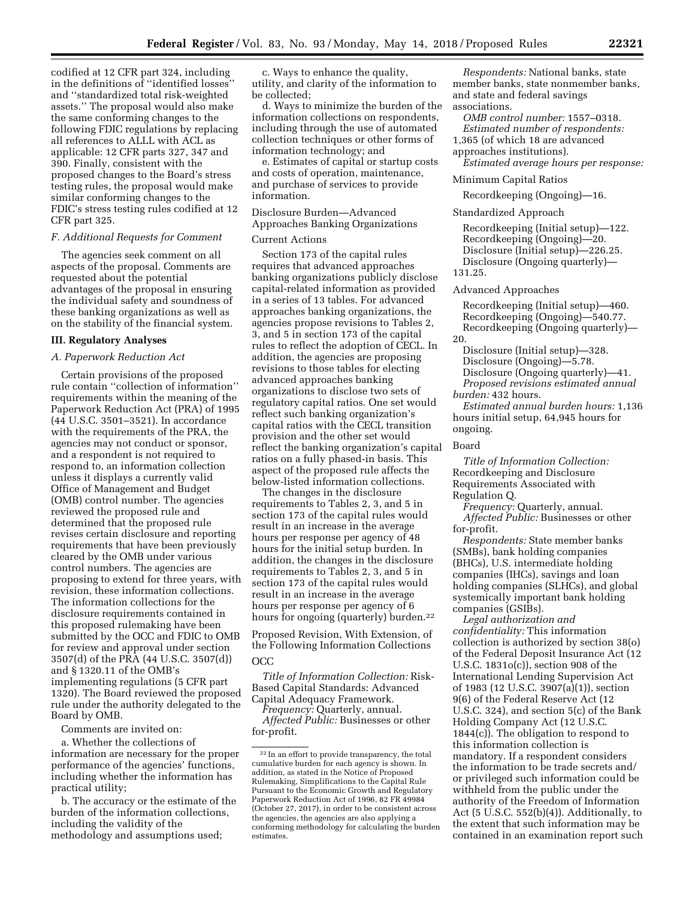codified at 12 CFR part 324, including in the definitions of ''identified losses'' and ''standardized total risk-weighted assets.'' The proposal would also make the same conforming changes to the following FDIC regulations by replacing all references to ALLL with ACL as applicable: 12 CFR parts 327, 347 and 390. Finally, consistent with the proposed changes to the Board's stress testing rules, the proposal would make similar conforming changes to the FDIC's stress testing rules codified at 12 CFR part 325.

# *F. Additional Requests for Comment*

The agencies seek comment on all aspects of the proposal. Comments are requested about the potential advantages of the proposal in ensuring the individual safety and soundness of these banking organizations as well as on the stability of the financial system.

#### **III. Regulatory Analyses**

#### *A. Paperwork Reduction Act*

Certain provisions of the proposed rule contain ''collection of information'' requirements within the meaning of the Paperwork Reduction Act (PRA) of 1995 (44 U.S.C. 3501–3521). In accordance with the requirements of the PRA, the agencies may not conduct or sponsor, and a respondent is not required to respond to, an information collection unless it displays a currently valid Office of Management and Budget (OMB) control number. The agencies reviewed the proposed rule and determined that the proposed rule revises certain disclosure and reporting requirements that have been previously cleared by the OMB under various control numbers. The agencies are proposing to extend for three years, with revision, these information collections. The information collections for the disclosure requirements contained in this proposed rulemaking have been submitted by the OCC and FDIC to OMB for review and approval under section 3507(d) of the PRA (44 U.S.C. 3507(d)) and § 1320.11 of the OMB's implementing regulations (5 CFR part 1320). The Board reviewed the proposed rule under the authority delegated to the Board by OMB.

Comments are invited on:

a. Whether the collections of information are necessary for the proper performance of the agencies' functions, including whether the information has practical utility;

b. The accuracy or the estimate of the burden of the information collections, including the validity of the methodology and assumptions used;

c. Ways to enhance the quality, utility, and clarity of the information to be collected;

d. Ways to minimize the burden of the information collections on respondents, including through the use of automated collection techniques or other forms of information technology; and

e. Estimates of capital or startup costs and costs of operation, maintenance, and purchase of services to provide information.

Disclosure Burden—Advanced Approaches Banking Organizations

#### Current Actions

Section 173 of the capital rules requires that advanced approaches banking organizations publicly disclose capital-related information as provided in a series of 13 tables. For advanced approaches banking organizations, the agencies propose revisions to Tables 2, 3, and 5 in section 173 of the capital rules to reflect the adoption of CECL. In addition, the agencies are proposing revisions to those tables for electing advanced approaches banking organizations to disclose two sets of regulatory capital ratios. One set would reflect such banking organization's capital ratios with the CECL transition provision and the other set would reflect the banking organization's capital ratios on a fully phased-in basis. This aspect of the proposed rule affects the below-listed information collections.

The changes in the disclosure requirements to Tables 2, 3, and 5 in section 173 of the capital rules would result in an increase in the average hours per response per agency of 48 hours for the initial setup burden. In addition, the changes in the disclosure requirements to Tables 2, 3, and 5 in section 173 of the capital rules would result in an increase in the average hours per response per agency of 6 hours for ongoing (quarterly) burden.22

Proposed Revision, With Extension, of the Following Information Collections OCC

# *Title of Information Collection:* Risk-Based Capital Standards: Advanced Capital Adequacy Framework.

*Frequency:* Quarterly, annual. *Affected Public:* Businesses or other for-profit.

*Respondents:* National banks, state member banks, state nonmember banks, and state and federal savings associations.

*OMB control number:* 1557–0318. *Estimated number of respondents:*  1,365 (of which 18 are advanced approaches institutions).

*Estimated average hours per response:* 

#### Minimum Capital Ratios

Recordkeeping (Ongoing)—16.

#### Standardized Approach

Recordkeeping (Initial setup)—122. Recordkeeping (Ongoing)—20. Disclosure (Initial setup)—226.25. Disclosure (Ongoing quarterly)— 131.25.

#### Advanced Approaches

Recordkeeping (Initial setup)—460. Recordkeeping (Ongoing)—540.77. Recordkeeping (Ongoing quarterly)— 20.

Disclosure (Initial setup)—328. Disclosure (Ongoing)—5.78. Disclosure (Ongoing quarterly)—41. *Proposed revisions estimated annual burden:* 432 hours.

*Estimated annual burden hours:* 1,136 hours initial setup, 64,945 hours for ongoing.

#### Board

*Title of Information Collection:*  Recordkeeping and Disclosure Requirements Associated with Regulation Q.

*Frequency:* Quarterly, annual. *Affected Public:* Businesses or other for-profit.

*Respondents:* State member banks (SMBs), bank holding companies (BHCs), U.S. intermediate holding companies (IHCs), savings and loan holding companies (SLHCs), and global systemically important bank holding companies (GSIBs).

*Legal authorization and confidentiality:* This information collection is authorized by section 38(o) of the Federal Deposit Insurance Act (12 U.S.C. 1831o(c)), section 908 of the International Lending Supervision Act of 1983 (12 U.S.C. 3907(a)(1)), section 9(6) of the Federal Reserve Act (12 U.S.C. 324), and section 5(c) of the Bank Holding Company Act (12 U.S.C. 1844(c)). The obligation to respond to this information collection is mandatory. If a respondent considers the information to be trade secrets and/ or privileged such information could be withheld from the public under the authority of the Freedom of Information Act (5 U.S.C. 552(b)(4)). Additionally, to the extent that such information may be contained in an examination report such

<sup>22</sup> In an effort to provide transparency, the total cumulative burden for each agency is shown. In addition, as stated in the Notice of Proposed Rulemaking, Simplifications to the Capital Rule Pursuant to the Economic Growth and Regulatory Paperwork Reduction Act of 1996, 82 FR 49984 (October 27, 2017), in order to be consistent across the agencies, the agencies are also applying a conforming methodology for calculating the burden estimates.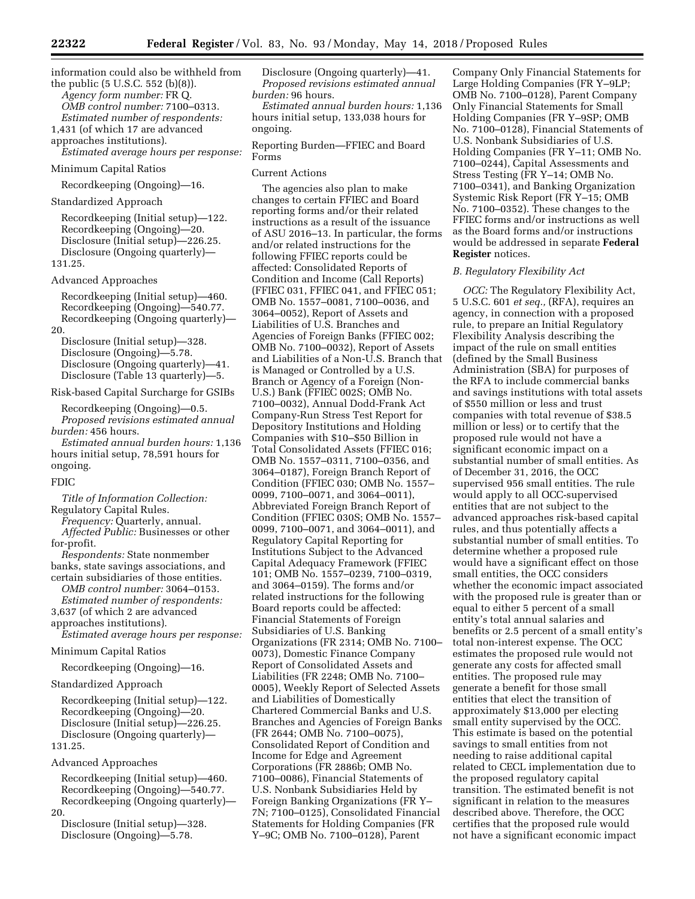information could also be withheld from the public (5 U.S.C. 552 (b)(8)). *Agency form number:* FR Q. *OMB control number:* 7100–0313.

*Estimated number of respondents:*  1,431 (of which 17 are advanced

approaches institutions).

*Estimated average hours per response:* 

# Minimum Capital Ratios

Recordkeeping (Ongoing)—16.

# Standardized Approach

Recordkeeping (Initial setup)—122. Recordkeeping (Ongoing)—20. Disclosure (Initial setup)—226.25. Disclosure (Ongoing quarterly)— 131.25.

#### Advanced Approaches

Recordkeeping (Initial setup)—460. Recordkeeping (Ongoing)—540.77. Recordkeeping (Ongoing quarterly)— 20.

Disclosure (Initial setup)—328. Disclosure (Ongoing)—5.78. Disclosure (Ongoing quarterly)—41. Disclosure (Table 13 quarterly)—5.

### Risk-based Capital Surcharge for GSIBs

Recordkeeping (Ongoing)—0.5. *Proposed revisions estimated annual burden:* 456 hours.

*Estimated annual burden hours:* 1,136 hours initial setup, 78,591 hours for ongoing.

#### FDIC

*Title of Information Collection:*  Regulatory Capital Rules.

*Frequency:* Quarterly, annual. *Affected Public:* Businesses or other for-profit.

*Respondents:* State nonmember banks, state savings associations, and certain subsidiaries of those entities.

*OMB control number:* 3064–0153. *Estimated number of respondents:* 

3,637 (of which 2 are advanced

approaches institutions).

*Estimated average hours per response:* 

Minimum Capital Ratios

Recordkeeping (Ongoing)—16.

# Standardized Approach

Recordkeeping (Initial setup)—122. Recordkeeping (Ongoing)—20. Disclosure (Initial setup)—226.25. Disclosure (Ongoing quarterly)— 131.25.

#### Advanced Approaches

Recordkeeping (Initial setup)—460. Recordkeeping (Ongoing)—540.77. Recordkeeping (Ongoing quarterly)— 20.

Disclosure (Initial setup)—328. Disclosure (Ongoing)—5.78.

Disclosure (Ongoing quarterly)—41. *Proposed revisions estimated annual burden:* 96 hours.

*Estimated annual burden hours:* 1,136 hours initial setup, 133,038 hours for ongoing.

Reporting Burden—FFIEC and Board Forms

### Current Actions

The agencies also plan to make changes to certain FFIEC and Board reporting forms and/or their related instructions as a result of the issuance of ASU 2016–13. In particular, the forms and/or related instructions for the following FFIEC reports could be affected: Consolidated Reports of Condition and Income (Call Reports) (FFIEC 031, FFIEC 041, and FFIEC 051; OMB No. 1557–0081, 7100–0036, and 3064–0052), Report of Assets and Liabilities of U.S. Branches and Agencies of Foreign Banks (FFIEC 002; OMB No. 7100–0032), Report of Assets and Liabilities of a Non-U.S. Branch that is Managed or Controlled by a U.S. Branch or Agency of a Foreign (Non-U.S.) Bank (FFIEC 002S; OMB No. 7100–0032), Annual Dodd-Frank Act Company-Run Stress Test Report for Depository Institutions and Holding Companies with \$10–\$50 Billion in Total Consolidated Assets (FFIEC 016; OMB No. 1557–0311, 7100–0356, and 3064–0187), Foreign Branch Report of Condition (FFIEC 030; OMB No. 1557– 0099, 7100–0071, and 3064–0011), Abbreviated Foreign Branch Report of Condition (FFIEC 030S; OMB No. 1557– 0099, 7100–0071, and 3064–0011), and Regulatory Capital Reporting for Institutions Subject to the Advanced Capital Adequacy Framework (FFIEC 101; OMB No. 1557–0239, 7100–0319, and 3064–0159). The forms and/or related instructions for the following Board reports could be affected: Financial Statements of Foreign Subsidiaries of U.S. Banking Organizations (FR 2314; OMB No. 7100– 0073), Domestic Finance Company Report of Consolidated Assets and Liabilities (FR 2248; OMB No. 7100– 0005), Weekly Report of Selected Assets and Liabilities of Domestically Chartered Commercial Banks and U.S. Branches and Agencies of Foreign Banks (FR 2644; OMB No. 7100–0075), Consolidated Report of Condition and Income for Edge and Agreement Corporations (FR 2886b; OMB No. 7100–0086), Financial Statements of U.S. Nonbank Subsidiaries Held by Foreign Banking Organizations (FR Y– 7N; 7100–0125), Consolidated Financial Statements for Holding Companies (FR Y–9C; OMB No. 7100–0128), Parent

Company Only Financial Statements for Large Holding Companies (FR Y–9LP; OMB No. 7100–0128), Parent Company Only Financial Statements for Small Holding Companies (FR Y–9SP; OMB No. 7100–0128), Financial Statements of U.S. Nonbank Subsidiaries of U.S. Holding Companies (FR Y–11; OMB No. 7100–0244), Capital Assessments and Stress Testing (FR Y–14; OMB No. 7100–0341), and Banking Organization Systemic Risk Report (FR Y–15; OMB No. 7100–0352). These changes to the FFIEC forms and/or instructions as well as the Board forms and/or instructions would be addressed in separate **Federal Register** notices.

#### *B. Regulatory Flexibility Act*

*OCC:* The Regulatory Flexibility Act, 5 U.S.C. 601 *et seq.,* (RFA), requires an agency, in connection with a proposed rule, to prepare an Initial Regulatory Flexibility Analysis describing the impact of the rule on small entities (defined by the Small Business Administration (SBA) for purposes of the RFA to include commercial banks and savings institutions with total assets of \$550 million or less and trust companies with total revenue of \$38.5 million or less) or to certify that the proposed rule would not have a significant economic impact on a substantial number of small entities. As of December 31, 2016, the OCC supervised 956 small entities. The rule would apply to all OCC-supervised entities that are not subject to the advanced approaches risk-based capital rules, and thus potentially affects a substantial number of small entities. To determine whether a proposed rule would have a significant effect on those small entities, the OCC considers whether the economic impact associated with the proposed rule is greater than or equal to either 5 percent of a small entity's total annual salaries and benefits or 2.5 percent of a small entity's total non-interest expense. The OCC estimates the proposed rule would not generate any costs for affected small entities. The proposed rule may generate a benefit for those small entities that elect the transition of approximately \$13,000 per electing small entity supervised by the OCC. This estimate is based on the potential savings to small entities from not needing to raise additional capital related to CECL implementation due to the proposed regulatory capital transition. The estimated benefit is not significant in relation to the measures described above. Therefore, the OCC certifies that the proposed rule would not have a significant economic impact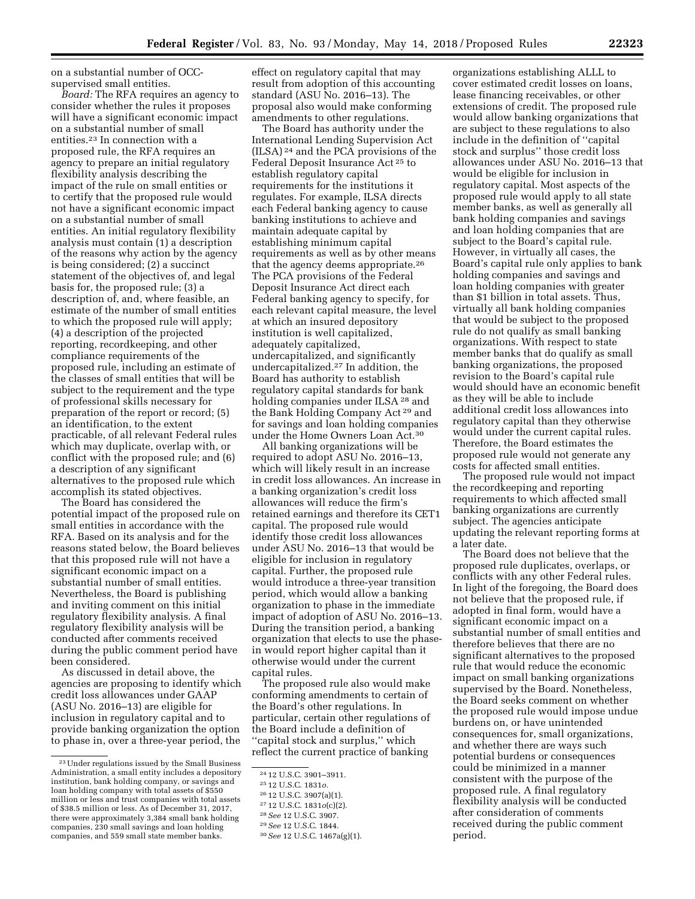on a substantial number of OCCsupervised small entities.

*Board:* The RFA requires an agency to consider whether the rules it proposes will have a significant economic impact on a substantial number of small entities.23 In connection with a proposed rule, the RFA requires an agency to prepare an initial regulatory flexibility analysis describing the impact of the rule on small entities or to certify that the proposed rule would not have a significant economic impact on a substantial number of small entities. An initial regulatory flexibility analysis must contain (1) a description of the reasons why action by the agency is being considered; (2) a succinct statement of the objectives of, and legal basis for, the proposed rule; (3) a description of, and, where feasible, an estimate of the number of small entities to which the proposed rule will apply; (4) a description of the projected reporting, recordkeeping, and other compliance requirements of the proposed rule, including an estimate of the classes of small entities that will be subject to the requirement and the type of professional skills necessary for preparation of the report or record; (5) an identification, to the extent practicable, of all relevant Federal rules which may duplicate, overlap with, or conflict with the proposed rule; and (6) a description of any significant alternatives to the proposed rule which accomplish its stated objectives.

The Board has considered the potential impact of the proposed rule on small entities in accordance with the RFA. Based on its analysis and for the reasons stated below, the Board believes that this proposed rule will not have a significant economic impact on a substantial number of small entities. Nevertheless, the Board is publishing and inviting comment on this initial regulatory flexibility analysis. A final regulatory flexibility analysis will be conducted after comments received during the public comment period have been considered.

As discussed in detail above, the agencies are proposing to identify which credit loss allowances under GAAP (ASU No. 2016–13) are eligible for inclusion in regulatory capital and to provide banking organization the option to phase in, over a three-year period, the

effect on regulatory capital that may result from adoption of this accounting standard (ASU No. 2016–13). The proposal also would make conforming amendments to other regulations.

The Board has authority under the International Lending Supervision Act (ILSA) 24 and the PCA provisions of the Federal Deposit Insurance Act 25 to establish regulatory capital requirements for the institutions it regulates. For example, ILSA directs each Federal banking agency to cause banking institutions to achieve and maintain adequate capital by establishing minimum capital requirements as well as by other means that the agency deems appropriate.26 The PCA provisions of the Federal Deposit Insurance Act direct each Federal banking agency to specify, for each relevant capital measure, the level at which an insured depository institution is well capitalized, adequately capitalized, undercapitalized, and significantly undercapitalized.27 In addition, the Board has authority to establish regulatory capital standards for bank holding companies under ILSA 28 and the Bank Holding Company Act 29 and for savings and loan holding companies under the Home Owners Loan Act.30

All banking organizations will be required to adopt ASU No. 2016–13, which will likely result in an increase in credit loss allowances. An increase in a banking organization's credit loss allowances will reduce the firm's retained earnings and therefore its CET1 capital. The proposed rule would identify those credit loss allowances under ASU No. 2016–13 that would be eligible for inclusion in regulatory capital. Further, the proposed rule would introduce a three-year transition period, which would allow a banking organization to phase in the immediate impact of adoption of ASU No. 2016–13. During the transition period, a banking organization that elects to use the phasein would report higher capital than it otherwise would under the current capital rules.

The proposed rule also would make conforming amendments to certain of the Board's other regulations. In particular, certain other regulations of the Board include a definition of ''capital stock and surplus,'' which reflect the current practice of banking

28*See* 12 U.S.C. 3907.

29*See* 12 U.S.C. 1844.

organizations establishing ALLL to cover estimated credit losses on loans, lease financing receivables, or other extensions of credit. The proposed rule would allow banking organizations that are subject to these regulations to also include in the definition of ''capital stock and surplus'' those credit loss allowances under ASU No. 2016–13 that would be eligible for inclusion in regulatory capital. Most aspects of the proposed rule would apply to all state member banks, as well as generally all bank holding companies and savings and loan holding companies that are subject to the Board's capital rule. However, in virtually all cases, the Board's capital rule only applies to bank holding companies and savings and loan holding companies with greater than \$1 billion in total assets. Thus, virtually all bank holding companies that would be subject to the proposed rule do not qualify as small banking organizations. With respect to state member banks that do qualify as small banking organizations, the proposed revision to the Board's capital rule would should have an economic benefit as they will be able to include additional credit loss allowances into regulatory capital than they otherwise would under the current capital rules. Therefore, the Board estimates the proposed rule would not generate any costs for affected small entities.

The proposed rule would not impact the recordkeeping and reporting requirements to which affected small banking organizations are currently subject. The agencies anticipate updating the relevant reporting forms at a later date.

The Board does not believe that the proposed rule duplicates, overlaps, or conflicts with any other Federal rules. In light of the foregoing, the Board does not believe that the proposed rule, if adopted in final form, would have a significant economic impact on a substantial number of small entities and therefore believes that there are no significant alternatives to the proposed rule that would reduce the economic impact on small banking organizations supervised by the Board. Nonetheless, the Board seeks comment on whether the proposed rule would impose undue burdens on, or have unintended consequences for, small organizations, and whether there are ways such potential burdens or consequences could be minimized in a manner consistent with the purpose of the proposed rule. A final regulatory flexibility analysis will be conducted after consideration of comments received during the public comment period.

<sup>23</sup>Under regulations issued by the Small Business Administration, a small entity includes a depository institution, bank holding company, or savings and loan holding company with total assets of \$550 million or less and trust companies with total assets of \$38.5 million or less. As of December 31, 2017, there were approximately 3,384 small bank holding companies, 230 small savings and loan holding companies, and 559 small state member banks.

<sup>24</sup> 12 U.S.C. 3901–3911.

<sup>25</sup> 12 U.S.C. 1831*o.* 

<sup>26</sup> 12 U.S.C. 3907(a)(1).

<sup>27</sup> 12 U.S.C. 1831*o*(c)(2).

<sup>30</sup>*See* 12 U.S.C. 1467a(g)(1).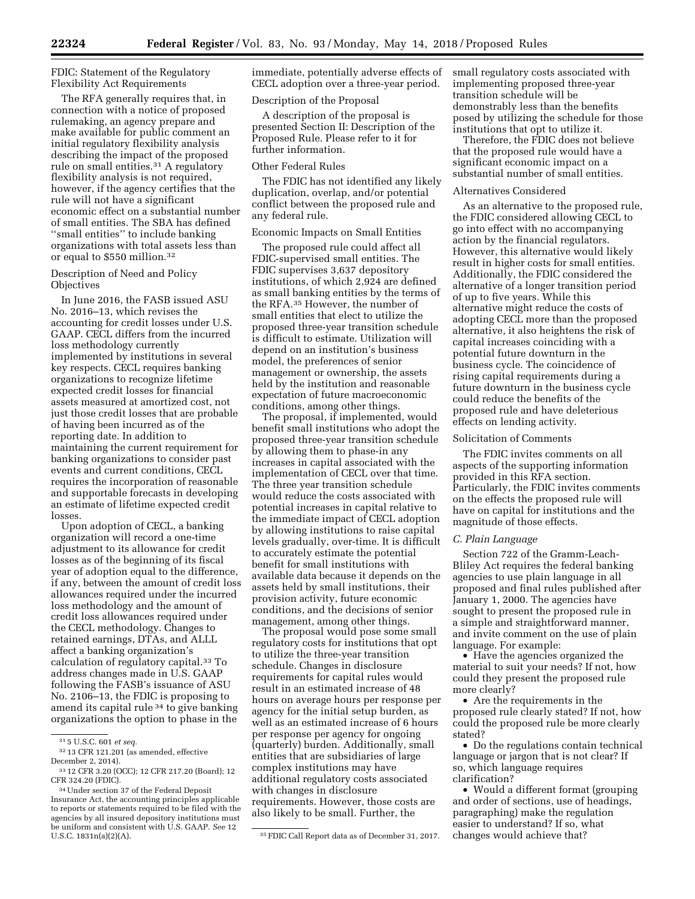FDIC: Statement of the Regulatory Flexibility Act Requirements

The RFA generally requires that, in connection with a notice of proposed rulemaking, an agency prepare and make available for public comment an initial regulatory flexibility analysis describing the impact of the proposed rule on small entities.<sup>31</sup> A regulatory flexibility analysis is not required, however, if the agency certifies that the rule will not have a significant economic effect on a substantial number of small entities. The SBA has defined ''small entities'' to include banking organizations with total assets less than or equal to \$550 million.32

Description of Need and Policy **Objectives** 

In June 2016, the FASB issued ASU No. 2016–13, which revises the accounting for credit losses under U.S. GAAP. CECL differs from the incurred loss methodology currently implemented by institutions in several key respects. CECL requires banking organizations to recognize lifetime expected credit losses for financial assets measured at amortized cost, not just those credit losses that are probable of having been incurred as of the reporting date. In addition to maintaining the current requirement for banking organizations to consider past events and current conditions, CECL requires the incorporation of reasonable and supportable forecasts in developing an estimate of lifetime expected credit losses.

Upon adoption of CECL, a banking organization will record a one-time adjustment to its allowance for credit losses as of the beginning of its fiscal year of adoption equal to the difference, if any, between the amount of credit loss allowances required under the incurred loss methodology and the amount of credit loss allowances required under the CECL methodology. Changes to retained earnings, DTAs, and ALLL affect a banking organization's calculation of regulatory capital.33 To address changes made in U.S. GAAP following the FASB's issuance of ASU No. 2106–13, the FDIC is proposing to amend its capital rule 34 to give banking organizations the option to phase in the

32 13 CFR 121.201 (as amended, effective December 2, 2014).

immediate, potentially adverse effects of CECL adoption over a three-year period.

#### Description of the Proposal

A description of the proposal is presented Section II: Description of the Proposed Rule. Please refer to it for further information.

#### Other Federal Rules

The FDIC has not identified any likely duplication, overlap, and/or potential conflict between the proposed rule and any federal rule.

#### Economic Impacts on Small Entities

The proposed rule could affect all FDIC-supervised small entities. The FDIC supervises 3,637 depository institutions, of which 2,924 are defined as small banking entities by the terms of the RFA.35 However, the number of small entities that elect to utilize the proposed three-year transition schedule is difficult to estimate. Utilization will depend on an institution's business model, the preferences of senior management or ownership, the assets held by the institution and reasonable expectation of future macroeconomic conditions, among other things.

The proposal, if implemented, would benefit small institutions who adopt the proposed three-year transition schedule by allowing them to phase-in any increases in capital associated with the implementation of CECL over that time. The three year transition schedule would reduce the costs associated with potential increases in capital relative to the immediate impact of CECL adoption by allowing institutions to raise capital levels gradually, over-time. It is difficult to accurately estimate the potential benefit for small institutions with available data because it depends on the assets held by small institutions, their provision activity, future economic conditions, and the decisions of senior management, among other things.

The proposal would pose some small regulatory costs for institutions that opt to utilize the three-year transition schedule. Changes in disclosure requirements for capital rules would result in an estimated increase of 48 hours on average hours per response per agency for the initial setup burden, as well as an estimated increase of 6 hours per response per agency for ongoing (quarterly) burden. Additionally, small entities that are subsidiaries of large complex institutions may have additional regulatory costs associated with changes in disclosure requirements. However, those costs are also likely to be small. Further, the

small regulatory costs associated with implementing proposed three-year transition schedule will be demonstrably less than the benefits posed by utilizing the schedule for those institutions that opt to utilize it.

Therefore, the FDIC does not believe that the proposed rule would have a significant economic impact on a substantial number of small entities.

#### Alternatives Considered

As an alternative to the proposed rule, the FDIC considered allowing CECL to go into effect with no accompanying action by the financial regulators. However, this alternative would likely result in higher costs for small entities. Additionally, the FDIC considered the alternative of a longer transition period of up to five years. While this alternative might reduce the costs of adopting CECL more than the proposed alternative, it also heightens the risk of capital increases coinciding with a potential future downturn in the business cycle. The coincidence of rising capital requirements during a future downturn in the business cycle could reduce the benefits of the proposed rule and have deleterious effects on lending activity.

#### Solicitation of Comments

The FDIC invites comments on all aspects of the supporting information provided in this RFA section. Particularly, the FDIC invites comments on the effects the proposed rule will have on capital for institutions and the magnitude of those effects.

### *C. Plain Language*

Section 722 of the Gramm-Leach-Bliley Act requires the federal banking agencies to use plain language in all proposed and final rules published after January 1, 2000. The agencies have sought to present the proposed rule in a simple and straightforward manner, and invite comment on the use of plain language. For example:

• Have the agencies organized the material to suit your needs? If not, how could they present the proposed rule more clearly?

• Are the requirements in the proposed rule clearly stated? If not, how could the proposed rule be more clearly stated?

• Do the regulations contain technical language or jargon that is not clear? If so, which language requires clarification?

• Would a different format (grouping and order of sections, use of headings, paragraphing) make the regulation easier to understand? If so, what changes would achieve that?

<sup>31</sup> 5 U.S.C. 601 *et seq.* 

<sup>33</sup> 12 CFR 3.20 (OCC); 12 CFR 217.20 (Board); 12 CFR 324.20 (FDIC).

<sup>34</sup>Under section 37 of the Federal Deposit Insurance Act, the accounting principles applicable to reports or statements required to be filed with the agencies by all insured depository institutions must be uniform and consistent with U.S. GAAP. *See* 12

<sup>&</sup>lt;sup>35</sup> FDIC Call Report data as of December 31, 2017.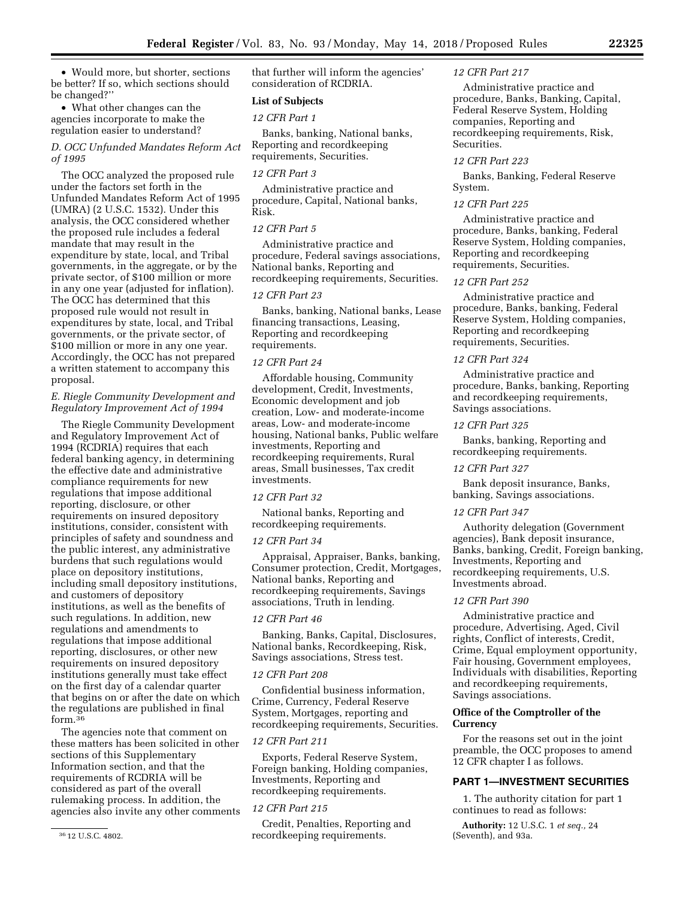• Would more, but shorter, sections be better? If so, which sections should be changed?''

• What other changes can the agencies incorporate to make the regulation easier to understand?

*D. OCC Unfunded Mandates Reform Act of 1995* 

The OCC analyzed the proposed rule under the factors set forth in the Unfunded Mandates Reform Act of 1995 (UMRA) (2 U.S.C. 1532). Under this analysis, the OCC considered whether the proposed rule includes a federal mandate that may result in the expenditure by state, local, and Tribal governments, in the aggregate, or by the private sector, of \$100 million or more in any one year (adjusted for inflation). The OCC has determined that this proposed rule would not result in expenditures by state, local, and Tribal governments, or the private sector, of \$100 million or more in any one year. Accordingly, the OCC has not prepared a written statement to accompany this proposal.

# *E. Riegle Community Development and Regulatory Improvement Act of 1994*

The Riegle Community Development and Regulatory Improvement Act of 1994 (RCDRIA) requires that each federal banking agency, in determining the effective date and administrative compliance requirements for new regulations that impose additional reporting, disclosure, or other requirements on insured depository institutions, consider, consistent with principles of safety and soundness and the public interest, any administrative burdens that such regulations would place on depository institutions, including small depository institutions, and customers of depository institutions, as well as the benefits of such regulations. In addition, new regulations and amendments to regulations that impose additional reporting, disclosures, or other new requirements on insured depository institutions generally must take effect on the first day of a calendar quarter that begins on or after the date on which the regulations are published in final form.36

The agencies note that comment on these matters has been solicited in other sections of this Supplementary Information section, and that the requirements of RCDRIA will be considered as part of the overall rulemaking process. In addition, the agencies also invite any other comments that further will inform the agencies' consideration of RCDRIA.

# **List of Subjects**

### *12 CFR Part 1*

Banks, banking, National banks, Reporting and recordkeeping requirements, Securities.

# *12 CFR Part 3*

Administrative practice and procedure, Capital, National banks, Risk.

# *12 CFR Part 5*

Administrative practice and procedure, Federal savings associations, National banks, Reporting and recordkeeping requirements, Securities.

#### *12 CFR Part 23*

Banks, banking, National banks, Lease financing transactions, Leasing, Reporting and recordkeeping requirements.

### *12 CFR Part 24*

Affordable housing, Community development, Credit, Investments, Economic development and job creation, Low- and moderate-income areas, Low- and moderate-income housing, National banks, Public welfare investments, Reporting and recordkeeping requirements, Rural areas, Small businesses, Tax credit investments.

#### *12 CFR Part 32*

National banks, Reporting and recordkeeping requirements.

#### *12 CFR Part 34*

Appraisal, Appraiser, Banks, banking, Consumer protection, Credit, Mortgages, National banks, Reporting and recordkeeping requirements, Savings associations, Truth in lending.

#### *12 CFR Part 46*

Banking, Banks, Capital, Disclosures, National banks, Recordkeeping, Risk, Savings associations, Stress test.

# *12 CFR Part 208*

Confidential business information, Crime, Currency, Federal Reserve System, Mortgages, reporting and recordkeeping requirements, Securities.

### *12 CFR Part 211*

Exports, Federal Reserve System, Foreign banking, Holding companies, Investments, Reporting and recordkeeping requirements.

# *12 CFR Part 215*

Credit, Penalties, Reporting and recordkeeping requirements.

# *12 CFR Part 217*

Administrative practice and procedure, Banks, Banking, Capital, Federal Reserve System, Holding companies, Reporting and recordkeeping requirements, Risk, Securities.

# *12 CFR Part 223*

Banks, Banking, Federal Reserve System.

### *12 CFR Part 225*

Administrative practice and procedure, Banks, banking, Federal Reserve System, Holding companies, Reporting and recordkeeping requirements, Securities.

# *12 CFR Part 252*

Administrative practice and procedure, Banks, banking, Federal Reserve System, Holding companies, Reporting and recordkeeping requirements, Securities.

# *12 CFR Part 324*

Administrative practice and procedure, Banks, banking, Reporting and recordkeeping requirements, Savings associations.

#### *12 CFR Part 325*

Banks, banking, Reporting and recordkeeping requirements.

#### *12 CFR Part 327*

Bank deposit insurance, Banks, banking, Savings associations.

#### *12 CFR Part 347*

Authority delegation (Government agencies), Bank deposit insurance, Banks, banking, Credit, Foreign banking, Investments, Reporting and recordkeeping requirements, U.S. Investments abroad.

#### *12 CFR Part 390*

Administrative practice and procedure, Advertising, Aged, Civil rights, Conflict of interests, Credit, Crime, Equal employment opportunity, Fair housing, Government employees, Individuals with disabilities, Reporting and recordkeeping requirements, Savings associations.

### **Office of the Comptroller of the Currency**

For the reasons set out in the joint preamble, the OCC proposes to amend 12 CFR chapter I as follows.

#### **PART 1—INVESTMENT SECURITIES**

1. The authority citation for part 1 continues to read as follows:

**Authority:** 12 U.S.C. 1 *et seq.,* 24 (Seventh), and 93a.

<sup>36</sup> 12 U.S.C. 4802.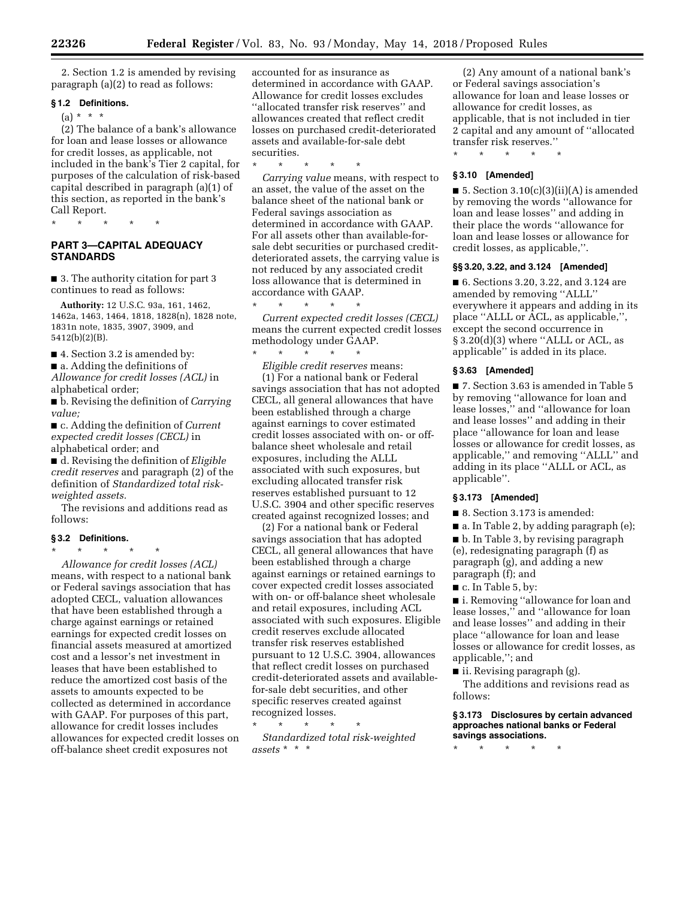2. Section 1.2 is amended by revising paragraph (a)(2) to read as follows:

# **§ 1.2 Definitions.**

 $(a) * * * *$ 

(2) The balance of a bank's allowance for loan and lease losses or allowance for credit losses, as applicable, not included in the bank's Tier 2 capital, for purposes of the calculation of risk-based capital described in paragraph (a)(1) of this section, as reported in the bank's Call Report.

\* \* \* \* \*

# **PART 3—CAPITAL ADEQUACY STANDARDS**

■ 3. The authority citation for part 3 continues to read as follows:

**Authority:** 12 U.S.C. 93a, 161, 1462, 1462a, 1463, 1464, 1818, 1828(n), 1828 note, 1831n note, 1835, 3907, 3909, and 5412(b)(2)(B).

■ 4. Section 3.2 is amended by:

■ a. Adding the definitions of

*Allowance for credit losses (ACL)* in alphabetical order;

■ b. Revising the definition of *Carrying value;* 

■ c. Adding the definition of *Current expected credit losses (CECL)* in alphabetical order; and

■ d. Revising the definition of *Eligible credit reserves* and paragraph (2) of the definition of *Standardized total riskweighted assets.* 

The revisions and additions read as follows:

# **§ 3.2 Definitions.**

\* \* \* \* \*

*Allowance for credit losses (ACL)*  means, with respect to a national bank or Federal savings association that has adopted CECL, valuation allowances that have been established through a charge against earnings or retained earnings for expected credit losses on financial assets measured at amortized cost and a lessor's net investment in leases that have been established to reduce the amortized cost basis of the assets to amounts expected to be collected as determined in accordance with GAAP. For purposes of this part, allowance for credit losses includes allowances for expected credit losses on off-balance sheet credit exposures not

accounted for as insurance as determined in accordance with GAAP. Allowance for credit losses excludes ''allocated transfer risk reserves'' and allowances created that reflect credit losses on purchased credit-deteriorated assets and available-for-sale debt securities.

\* \* \* \* \* *Carrying value* means, with respect to an asset, the value of the asset on the balance sheet of the national bank or Federal savings association as determined in accordance with GAAP. For all assets other than available-forsale debt securities or purchased creditdeteriorated assets, the carrying value is not reduced by any associated credit loss allowance that is determined in accordance with GAAP. \* \* \* \* \*

*Current expected credit losses (CECL)*  means the current expected credit losses methodology under GAAP.

\* \* \* \* \*

*Eligible credit reserves* means: (1) For a national bank or Federal savings association that has not adopted CECL, all general allowances that have been established through a charge against earnings to cover estimated credit losses associated with on- or offbalance sheet wholesale and retail exposures, including the ALLL associated with such exposures, but excluding allocated transfer risk reserves established pursuant to 12 U.S.C. 3904 and other specific reserves created against recognized losses; and

(2) For a national bank or Federal savings association that has adopted CECL, all general allowances that have been established through a charge against earnings or retained earnings to cover expected credit losses associated with on- or off-balance sheet wholesale and retail exposures, including ACL associated with such exposures. Eligible credit reserves exclude allocated transfer risk reserves established pursuant to 12 U.S.C. 3904, allowances that reflect credit losses on purchased credit-deteriorated assets and availablefor-sale debt securities, and other specific reserves created against recognized losses.

\* \* \* \* \* *Standardized total risk-weighted assets* \* \* \*

(2) Any amount of a national bank's or Federal savings association's allowance for loan and lease losses or allowance for credit losses, as applicable, that is not included in tier 2 capital and any amount of ''allocated transfer risk reserves.''

\* \* \* \* \*

# **§ 3.10 [Amended]**

■ 5. Section 3.10(c)(3)(ii)(A) is amended by removing the words ''allowance for loan and lease losses'' and adding in their place the words ''allowance for loan and lease losses or allowance for credit losses, as applicable,''.

#### **§§ 3.20, 3.22, and 3.124 [Amended]**

■ 6. Sections 3.20, 3.22, and 3.124 are amended by removing ''ALLL'' everywhere it appears and adding in its place ''ALLL or ACL, as applicable,'', except the second occurrence in  $§ 3.20(d)(3)$  where "ALLL or ACL, as applicable'' is added in its place.

#### **§ 3.63 [Amended]**

■ 7. Section 3.63 is amended in Table 5 by removing ''allowance for loan and lease losses,'' and ''allowance for loan and lease losses'' and adding in their place ''allowance for loan and lease losses or allowance for credit losses, as applicable,'' and removing ''ALLL'' and adding in its place ''ALLL or ACL, as applicable''.

# **§ 3.173 [Amended]**

■ 8. Section 3.173 is amended:

■ a. In Table 2, by adding paragraph (e);

■ b. In Table 3, by revising paragraph (e), redesignating paragraph (f) as paragraph (g), and adding a new paragraph (f); and

■ c. In Table 5, by:

■ i. Removing "allowance for loan and lease losses,'' and ''allowance for loan and lease losses'' and adding in their place ''allowance for loan and lease losses or allowance for credit losses, as applicable,''; and

■ ii. Revising paragraph (g).

The additions and revisions read as follows:

### **§ 3.173 Disclosures by certain advanced approaches national banks or Federal savings associations.**

\* \* \* \* \*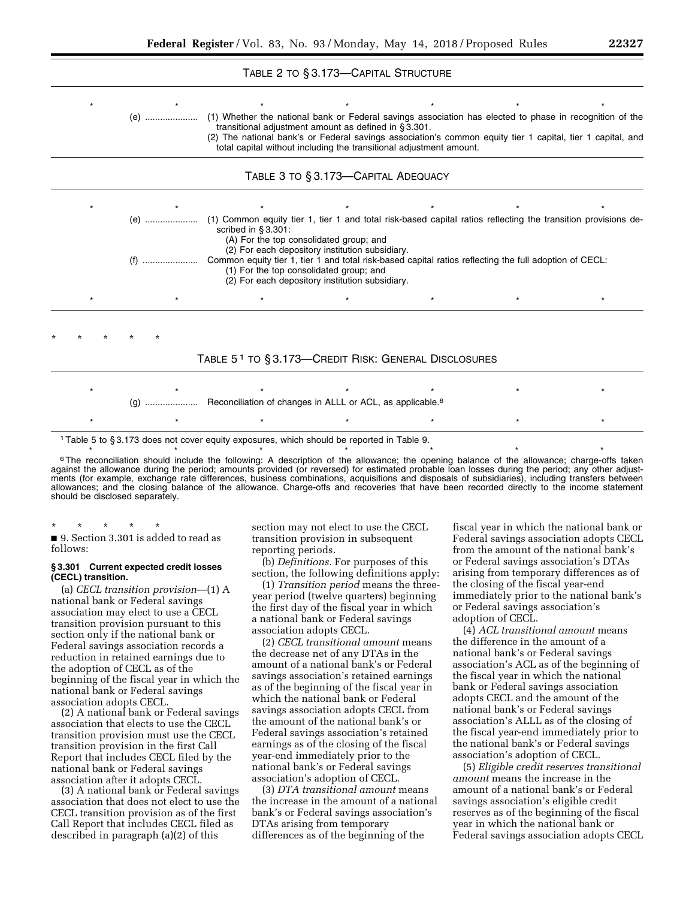# TABLE 2 TO § 3.173—CAPITAL STRUCTURE

| (e) ………………… | (1) Whether the national bank or Federal savings association has elected to phase in recognition of the                             | transitional adjustment amount as defined in §3.301.                                                                                          |                                                                     |  |
|-------------|-------------------------------------------------------------------------------------------------------------------------------------|-----------------------------------------------------------------------------------------------------------------------------------------------|---------------------------------------------------------------------|--|
|             | (2) The national bank's or Federal savings association's common equity tier 1 capital, tier 1 capital, and                          |                                                                                                                                               | total capital without including the transitional adjustment amount. |  |
|             |                                                                                                                                     | TABLE 3 TO § 3.173-CAPITAL ADEQUACY                                                                                                           |                                                                     |  |
|             |                                                                                                                                     |                                                                                                                                               |                                                                     |  |
| (e)         | (1) Common equity tier 1, tier 1 and total risk-based capital ratios reflecting the transition provisions de-<br>scribed in §3.301: | (A) For the top consolidated group; and                                                                                                       |                                                                     |  |
|             | Common equity tier 1, tier 1 and total risk-based capital ratios reflecting the full adoption of CECL:                              | (2) For each depository institution subsidiary.<br>(1) For the top consolidated group; and<br>(2) For each depository institution subsidiary. |                                                                     |  |
|             |                                                                                                                                     |                                                                                                                                               |                                                                     |  |
|             |                                                                                                                                     |                                                                                                                                               |                                                                     |  |
|             | TABLE 5 <sup>1</sup> TO § 3.173-CREDIT RISK: GENERAL DISCLOSURES                                                                    |                                                                                                                                               |                                                                     |  |
|             |                                                                                                                                     |                                                                                                                                               |                                                                     |  |
|             | (g)  Reconciliation of changes in ALLL or ACL, as applicable. <sup>6</sup>                                                          |                                                                                                                                               |                                                                     |  |
|             |                                                                                                                                     |                                                                                                                                               |                                                                     |  |

1Table 5 to § 3.173 does not cover equity exposures, which should be reported in Table 9.

<sup>6</sup> The reconciliation should include the following: A description of the allowance; the opening balance of the allowance; charge-offs taken against the allowance during the period; amounts provided (or reversed) for estimated probable loan losses during the period; any other adjustments (for example, exchange rate differences, business combinations, acquisitions and disposals of subsidiaries), including transfers between allowances; and the closing balance of the allowance. Charge-offs and recoveries that have been recorded directly to the income statement should be disclosed separately.

# \* \* \* \* \*

■ 9. Section 3.301 is added to read as follows:

#### **§ 3.301 Current expected credit losses (CECL) transition.**

(a) *CECL transition provision*—(1) A national bank or Federal savings association may elect to use a CECL transition provision pursuant to this section only if the national bank or Federal savings association records a reduction in retained earnings due to the adoption of CECL as of the beginning of the fiscal year in which the national bank or Federal savings association adopts CECL.

(2) A national bank or Federal savings association that elects to use the CECL transition provision must use the CECL transition provision in the first Call Report that includes CECL filed by the national bank or Federal savings association after it adopts CECL.

(3) A national bank or Federal savings association that does not elect to use the CECL transition provision as of the first Call Report that includes CECL filed as described in paragraph (a)(2) of this

section may not elect to use the CECL transition provision in subsequent reporting periods.

(b) *Definitions.* For purposes of this section, the following definitions apply:

(1) *Transition period* means the threeyear period (twelve quarters) beginning the first day of the fiscal year in which a national bank or Federal savings association adopts CECL.

(2) *CECL transitional amount* means the decrease net of any DTAs in the amount of a national bank's or Federal savings association's retained earnings as of the beginning of the fiscal year in which the national bank or Federal savings association adopts CECL from the amount of the national bank's or Federal savings association's retained earnings as of the closing of the fiscal year-end immediately prior to the national bank's or Federal savings association's adoption of CECL.

(3) *DTA transitional amount* means the increase in the amount of a national bank's or Federal savings association's DTAs arising from temporary differences as of the beginning of the

fiscal year in which the national bank or Federal savings association adopts CECL from the amount of the national bank's or Federal savings association's DTAs arising from temporary differences as of the closing of the fiscal year-end immediately prior to the national bank's or Federal savings association's adoption of CECL.

(4) *ACL transitional amount* means the difference in the amount of a national bank's or Federal savings association's ACL as of the beginning of the fiscal year in which the national bank or Federal savings association adopts CECL and the amount of the national bank's or Federal savings association's ALLL as of the closing of the fiscal year-end immediately prior to the national bank's or Federal savings association's adoption of CECL.

(5) *Eligible credit reserves transitional amount* means the increase in the amount of a national bank's or Federal savings association's eligible credit reserves as of the beginning of the fiscal year in which the national bank or Federal savings association adopts CECL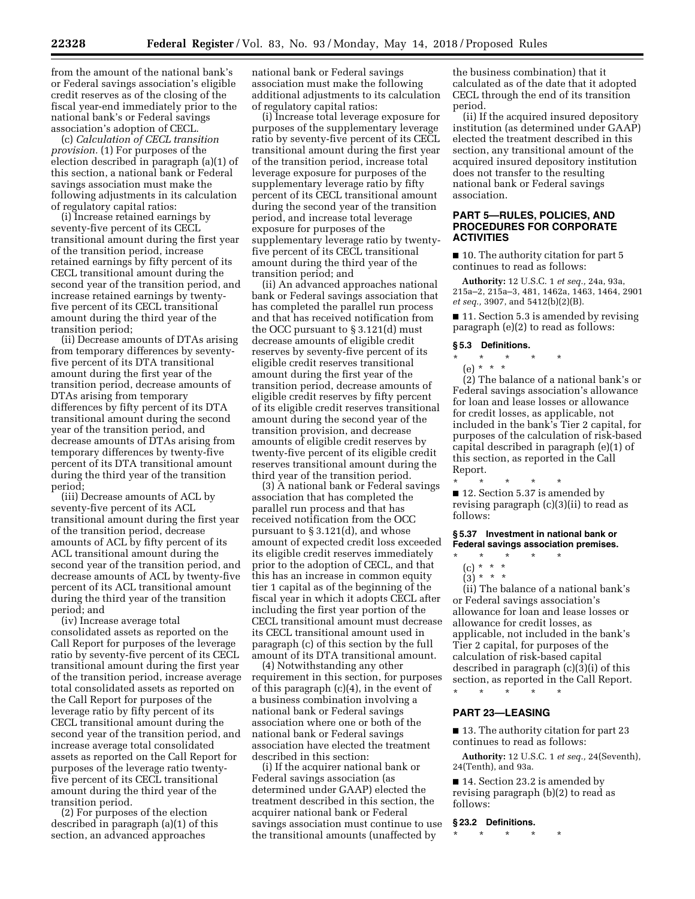from the amount of the national bank's or Federal savings association's eligible credit reserves as of the closing of the fiscal year-end immediately prior to the national bank's or Federal savings association's adoption of CECL.

(c) *Calculation of CECL transition provision.* (1) For purposes of the election described in paragraph (a)(1) of this section, a national bank or Federal savings association must make the following adjustments in its calculation of regulatory capital ratios:

(i) Increase retained earnings by seventy-five percent of its CECL transitional amount during the first year of the transition period, increase retained earnings by fifty percent of its CECL transitional amount during the second year of the transition period, and increase retained earnings by twentyfive percent of its CECL transitional amount during the third year of the transition period;

(ii) Decrease amounts of DTAs arising from temporary differences by seventyfive percent of its DTA transitional amount during the first year of the transition period, decrease amounts of DTAs arising from temporary differences by fifty percent of its DTA transitional amount during the second year of the transition period, and decrease amounts of DTAs arising from temporary differences by twenty-five percent of its DTA transitional amount during the third year of the transition period;

(iii) Decrease amounts of ACL by seventy-five percent of its ACL transitional amount during the first year of the transition period, decrease amounts of ACL by fifty percent of its ACL transitional amount during the second year of the transition period, and decrease amounts of ACL by twenty-five percent of its ACL transitional amount during the third year of the transition period; and

(iv) Increase average total consolidated assets as reported on the Call Report for purposes of the leverage ratio by seventy-five percent of its CECL transitional amount during the first year of the transition period, increase average total consolidated assets as reported on the Call Report for purposes of the leverage ratio by fifty percent of its CECL transitional amount during the second year of the transition period, and increase average total consolidated assets as reported on the Call Report for purposes of the leverage ratio twentyfive percent of its CECL transitional amount during the third year of the transition period.

(2) For purposes of the election described in paragraph (a)(1) of this section, an advanced approaches

national bank or Federal savings association must make the following additional adjustments to its calculation of regulatory capital ratios:

(i) Increase total leverage exposure for purposes of the supplementary leverage ratio by seventy-five percent of its CECL transitional amount during the first year of the transition period, increase total leverage exposure for purposes of the supplementary leverage ratio by fifty percent of its CECL transitional amount during the second year of the transition period, and increase total leverage exposure for purposes of the supplementary leverage ratio by twentyfive percent of its CECL transitional amount during the third year of the transition period; and

(ii) An advanced approaches national bank or Federal savings association that has completed the parallel run process and that has received notification from the OCC pursuant to § 3.121(d) must decrease amounts of eligible credit reserves by seventy-five percent of its eligible credit reserves transitional amount during the first year of the transition period, decrease amounts of eligible credit reserves by fifty percent of its eligible credit reserves transitional amount during the second year of the transition provision, and decrease amounts of eligible credit reserves by twenty-five percent of its eligible credit reserves transitional amount during the third year of the transition period.

(3) A national bank or Federal savings association that has completed the parallel run process and that has received notification from the OCC pursuant to § 3.121(d), and whose amount of expected credit loss exceeded its eligible credit reserves immediately prior to the adoption of CECL, and that this has an increase in common equity tier 1 capital as of the beginning of the fiscal year in which it adopts CECL after including the first year portion of the CECL transitional amount must decrease its CECL transitional amount used in paragraph (c) of this section by the full amount of its DTA transitional amount.

(4) Notwithstanding any other requirement in this section, for purposes of this paragraph (c)(4), in the event of a business combination involving a national bank or Federal savings association where one or both of the national bank or Federal savings association have elected the treatment described in this section:

(i) If the acquirer national bank or Federal savings association (as determined under GAAP) elected the treatment described in this section, the acquirer national bank or Federal savings association must continue to use the transitional amounts (unaffected by

the business combination) that it calculated as of the date that it adopted CECL through the end of its transition period.

(ii) If the acquired insured depository institution (as determined under GAAP) elected the treatment described in this section, any transitional amount of the acquired insured depository institution does not transfer to the resulting national bank or Federal savings association.

# **PART 5—RULES, POLICIES, AND PROCEDURES FOR CORPORATE ACTIVITIES**

■ 10. The authority citation for part 5 continues to read as follows:

**Authority:** 12 U.S.C. 1 *et seq.,* 24a, 93a, 215a–2, 215a–3, 481, 1462a, 1463, 1464, 2901 *et seq.,* 3907, and 5412(b)(2)(B).

■ 11. Section 5.3 is amended by revising paragraph (e)(2) to read as follows:

#### **§ 5.3 Definitions.**

\* \* \* \* \*

(e) \* \* \* (2) The balance of a national bank's or Federal savings association's allowance for loan and lease losses or allowance for credit losses, as applicable, not included in the bank's Tier 2 capital, for purposes of the calculation of risk-based capital described in paragraph (e)(1) of this section, as reported in the Call Report.

\* \* \* \* \* ■ 12. Section 5.37 is amended by revising paragraph (c)(3)(ii) to read as follows:

**§ 5.37 Investment in national bank or Federal savings association premises.** 

- \* \* \* \* \*
- (c) \* \* \*  $\binom{5}{3}$  \* \* \*
- 

(ii) The balance of a national bank's or Federal savings association's allowance for loan and lease losses or allowance for credit losses, as applicable, not included in the bank's Tier 2 capital, for purposes of the calculation of risk-based capital described in paragraph (c)(3)(i) of this section, as reported in the Call Report. \* \* \* \* \*

### **PART 23—LEASING**

■ 13. The authority citation for part 23 continues to read as follows:

**Authority:** 12 U.S.C. 1 *et seq.,* 24(Seventh), 24(Tenth), and 93a.

■ 14. Section 23.2 is amended by revising paragraph (b)(2) to read as follows:

#### **§ 23.2 Definitions.**

\* \* \* \* \*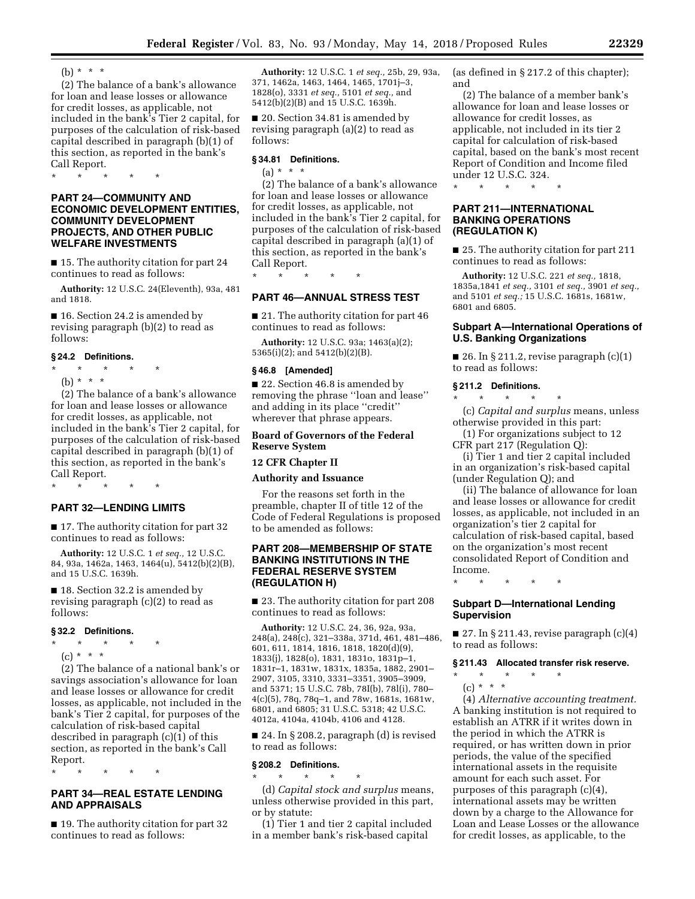(b)  $* * * *$ 

(2) The balance of a bank's allowance for loan and lease losses or allowance for credit losses, as applicable, not included in the bank's Tier 2 capital, for purposes of the calculation of risk-based capital described in paragraph (b)(1) of this section, as reported in the bank's Call Report.

\* \* \* \* \*

# **PART 24—COMMUNITY AND ECONOMIC DEVELOPMENT ENTITIES, COMMUNITY DEVELOPMENT PROJECTS, AND OTHER PUBLIC WELFARE INVESTMENTS**

■ 15. The authority citation for part 24 continues to read as follows:

**Authority:** 12 U.S.C. 24(Eleventh), 93a, 481 and 1818.

■ 16. Section 24.2 is amended by revising paragraph (b)(2) to read as follows:

#### **§ 24.2 Definitions.**

- $\star$   $\star$
- (b) \* \* \* \*

(2) The balance of a bank's allowance for loan and lease losses or allowance for credit losses, as applicable, not included in the bank's Tier 2 capital, for purposes of the calculation of risk-based capital described in paragraph (b)(1) of this section, as reported in the bank's Call Report.

\* \* \* \* \*

# **PART 32—LENDING LIMITS**

■ 17. The authority citation for part 32 continues to read as follows:

**Authority:** 12 U.S.C. 1 *et seq.,* 12 U.S.C. 84, 93a, 1462a, 1463, 1464(u), 5412(b)(2)(B), and 15 U.S.C. 1639h.

■ 18. Section 32.2 is amended by revising paragraph (c)(2) to read as follows:

# **§ 32.2 Definitions.**

- \* \* \* \* \*
- $(c) * * * *$

(2) The balance of a national bank's or savings association's allowance for loan and lease losses or allowance for credit losses, as applicable, not included in the bank's Tier 2 capital, for purposes of the calculation of risk-based capital described in paragraph (c)(1) of this section, as reported in the bank's Call Report.

\* \* \* \* \*

# **PART 34—REAL ESTATE LENDING AND APPRAISALS**

■ 19. The authority citation for part 32 continues to read as follows:

**Authority:** 12 U.S.C. 1 *et seq.,* 25b, 29, 93a, 371, 1462a, 1463, 1464, 1465, 1701j–3, 1828(o), 3331 *et seq.,* 5101 *et seq.,* and 5412(b)(2)(B) and 15 U.S.C. 1639h.

■ 20. Section 34.81 is amended by revising paragraph (a)(2) to read as follows:

# **§ 34.81 Definitions.**

 $(a) * * * *$ 

(2) The balance of a bank's allowance for loan and lease losses or allowance for credit losses, as applicable, not included in the bank's Tier 2 capital, for purposes of the calculation of risk-based capital described in paragraph (a)(1) of this section, as reported in the bank's Call Report.

\* \* \* \* \*

# **PART 46—ANNUAL STRESS TEST**

■ 21. The authority citation for part 46 continues to read as follows:

**Authority:** 12 U.S.C. 93a; 1463(a)(2); 5365(i)(2); and 5412(b)(2)(B).

### **§ 46.8 [Amended]**

■ 22. Section 46.8 is amended by removing the phrase ''loan and lease'' and adding in its place ''credit'' wherever that phrase appears.

# **Board of Governors of the Federal Reserve System**

#### **12 CFR Chapter II**

# **Authority and Issuance**

For the reasons set forth in the preamble, chapter II of title 12 of the Code of Federal Regulations is proposed to be amended as follows:

# **PART 208—MEMBERSHIP OF STATE BANKING INSTITUTIONS IN THE FEDERAL RESERVE SYSTEM (REGULATION H)**

■ 23. The authority citation for part 208 continues to read as follows:

**Authority:** 12 U.S.C. 24, 36, 92a, 93a, 248(a), 248(c), 321–338a, 371d, 461, 481–486, 601, 611, 1814, 1816, 1818, 1820(d)(9), 1833(j), 1828(o), 1831, 1831o, 1831p–1, 1831r–1, 1831w, 1831x, 1835a, 1882, 2901– 2907, 3105, 3310, 3331–3351, 3905–3909, and 5371; 15 U.S.C. 78b, 78I(b), 78l(i), 780– 4(c)(5), 78q, 78q–1, and 78w, 1681s, 1681w, 6801, and 6805; 31 U.S.C. 5318; 42 U.S.C. 4012a, 4104a, 4104b, 4106 and 4128.

■ 24. In § 208.2, paragraph (d) is revised to read as follows:

#### **§ 208.2 Definitions.**

\* \* \* \* \*

(d) *Capital stock and surplus* means, unless otherwise provided in this part, or by statute:

(1) Tier 1 and tier 2 capital included in a member bank's risk-based capital

(as defined in § 217.2 of this chapter); and

(2) The balance of a member bank's allowance for loan and lease losses or allowance for credit losses, as applicable, not included in its tier 2 capital for calculation of risk-based capital, based on the bank's most recent Report of Condition and Income filed under 12 U.S.C. 324.

\* \* \* \* \*

# **PART 211—INTERNATIONAL BANKING OPERATIONS (REGULATION K)**

■ 25. The authority citation for part 211 continues to read as follows:

**Authority:** 12 U.S.C. 221 *et seq.,* 1818, 1835a,1841 *et seq.,* 3101 *et seq.,* 3901 *et seq.,*  and 5101 *et seq.;* 15 U.S.C. 1681s, 1681w, 6801 and 6805.

### **Subpart A—International Operations of U.S. Banking Organizations**

■ 26. In § 211.2, revise paragraph  $(c)(1)$ to read as follows:

### **§ 211.2 Definitions.**

\* \* \* \* \* (c) *Capital and surplus* means, unless otherwise provided in this part:

(1) For organizations subject to 12 CFR part 217 (Regulation Q):

(i) Tier 1 and tier 2 capital included in an organization's risk-based capital (under Regulation Q); and

(ii) The balance of allowance for loan and lease losses or allowance for credit losses, as applicable, not included in an organization's tier 2 capital for calculation of risk-based capital, based on the organization's most recent consolidated Report of Condition and Income.

\* \* \* \* \*

# **Subpart D—International Lending Supervision**

 $\blacksquare$  27. In § 211.43, revise paragraph (c)(4) to read as follows:

# **§ 211.43 Allocated transfer risk reserve.**

- \* \* \* \* \*
- $(c) * * * *$ (4) *Alternative accounting treatment.*  A banking institution is not required to establish an ATRR if it writes down in the period in which the ATRR is required, or has written down in prior periods, the value of the specified international assets in the requisite amount for each such asset. For purposes of this paragraph (c)(4),

international assets may be written down by a charge to the Allowance for Loan and Lease Losses or the allowance for credit losses, as applicable, to the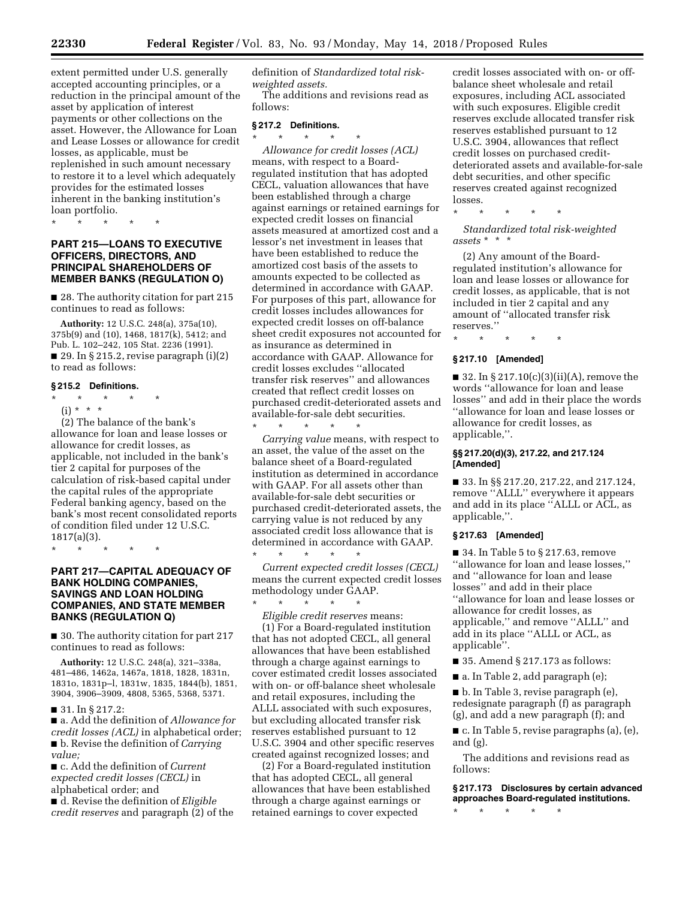extent permitted under U.S. generally accepted accounting principles, or a reduction in the principal amount of the asset by application of interest payments or other collections on the asset. However, the Allowance for Loan and Lease Losses or allowance for credit losses, as applicable, must be replenished in such amount necessary to restore it to a level which adequately provides for the estimated losses inherent in the banking institution's loan portfolio.

\* \* \* \* \*

# **PART 215—LOANS TO EXECUTIVE OFFICERS, DIRECTORS, AND PRINCIPAL SHAREHOLDERS OF MEMBER BANKS (REGULATION O)**

■ 28. The authority citation for part 215 continues to read as follows:

**Authority:** 12 U.S.C. 248(a), 375a(10), 375b(9) and (10), 1468, 1817(k), 5412; and Pub. L. 102–242, 105 Stat. 2236 (1991).  $\blacksquare$  29. In § 215.2, revise paragraph (i)(2) to read as follows:

#### **§ 215.2 Definitions.**

- \* \* \* \* \*
- $(i) * * * *$

(2) The balance of the bank's allowance for loan and lease losses or allowance for credit losses, as applicable, not included in the bank's tier 2 capital for purposes of the calculation of risk-based capital under the capital rules of the appropriate Federal banking agency, based on the bank's most recent consolidated reports of condition filed under 12 U.S.C. 1817(a)(3).

\* \* \* \* \*

# **PART 217—CAPITAL ADEQUACY OF BANK HOLDING COMPANIES, SAVINGS AND LOAN HOLDING COMPANIES, AND STATE MEMBER BANKS (REGULATION Q)**

■ 30. The authority citation for part 217 continues to read as follows:

**Authority:** 12 U.S.C. 248(a), 321–338a, 481–486, 1462a, 1467a, 1818, 1828, 1831n, 1831o, 1831p–l, 1831w, 1835, 1844(b), 1851, 3904, 3906–3909, 4808, 5365, 5368, 5371.

# ■ 31. In § 217.2:

■ a. Add the definition of *Allowance for credit losses (ACL)* in alphabetical order; ■ **b**. Revise the definition of *Carrying value;* 

■ c. Add the definition of *Current expected credit losses (CECL)* in alphabetical order; and

■ d. Revise the definition of *Eligible credit reserves* and paragraph (2) of the definition of *Standardized total riskweighted assets.* 

The additions and revisions read as follows:

# **§ 217.2 Definitions.**

\* \* \* \* \* *Allowance for credit losses (ACL)*  means, with respect to a Boardregulated institution that has adopted CECL, valuation allowances that have been established through a charge against earnings or retained earnings for expected credit losses on financial assets measured at amortized cost and a lessor's net investment in leases that have been established to reduce the amortized cost basis of the assets to amounts expected to be collected as determined in accordance with GAAP. For purposes of this part, allowance for credit losses includes allowances for expected credit losses on off-balance sheet credit exposures not accounted for as insurance as determined in accordance with GAAP. Allowance for credit losses excludes ''allocated transfer risk reserves'' and allowances created that reflect credit losses on purchased credit-deteriorated assets and available-for-sale debt securities.

\* \* \* \* \* *Carrying value* means, with respect to an asset, the value of the asset on the balance sheet of a Board-regulated institution as determined in accordance with GAAP. For all assets other than available-for-sale debt securities or purchased credit-deteriorated assets, the carrying value is not reduced by any associated credit loss allowance that is determined in accordance with GAAP.

\* \* \* \* \* *Current expected credit losses (CECL)*  means the current expected credit losses methodology under GAAP. \* \* \* \* \*

*Eligible credit reserves* means: (1) For a Board-regulated institution that has not adopted CECL, all general allowances that have been established through a charge against earnings to cover estimated credit losses associated with on- or off-balance sheet wholesale and retail exposures, including the ALLL associated with such exposures, but excluding allocated transfer risk reserves established pursuant to 12 U.S.C. 3904 and other specific reserves created against recognized losses; and

(2) For a Board-regulated institution that has adopted CECL, all general allowances that have been established through a charge against earnings or retained earnings to cover expected

credit losses associated with on- or offbalance sheet wholesale and retail exposures, including ACL associated with such exposures. Eligible credit reserves exclude allocated transfer risk reserves established pursuant to 12 U.S.C. 3904, allowances that reflect credit losses on purchased creditdeteriorated assets and available-for-sale debt securities, and other specific reserves created against recognized losses.

*Standardized total risk-weighted assets* \* \* \*

\* \* \* \* \*

(2) Any amount of the Boardregulated institution's allowance for loan and lease losses or allowance for credit losses, as applicable, that is not included in tier 2 capital and any amount of ''allocated transfer risk reserves.''

# \* \* \* \* \* **§ 217.10 [Amended]**

■ 32. In § 217.10(c)(3)(ii)(A), remove the words ''allowance for loan and lease losses'' and add in their place the words ''allowance for loan and lease losses or allowance for credit losses, as

# applicable,''. **§§ 217.20(d)(3), 217.22, and 217.124 [Amended]**

■ 33. In §§ 217.20, 217.22, and 217.124, remove ''ALLL'' everywhere it appears and add in its place ''ALLL or ACL, as applicable,''.

# **§ 217.63 [Amended]**

■ 34. In Table 5 to § 217.63, remove ''allowance for loan and lease losses,'' and ''allowance for loan and lease losses'' and add in their place ''allowance for loan and lease losses or allowance for credit losses, as applicable,'' and remove ''ALLL'' and add in its place ''ALLL or ACL, as applicable''.

 $\blacksquare$  35. Amend § 217.173 as follows:

■ a. In Table 2, add paragraph (e);

■ b. In Table 3, revise paragraph (e), redesignate paragraph (f) as paragraph (g), and add a new paragraph (f); and

■ c. In Table 5, revise paragraphs (a), (e), and (g).

The additions and revisions read as follows:

**§ 217.173 Disclosures by certain advanced approaches Board-regulated institutions.** 

\* \* \* \* \*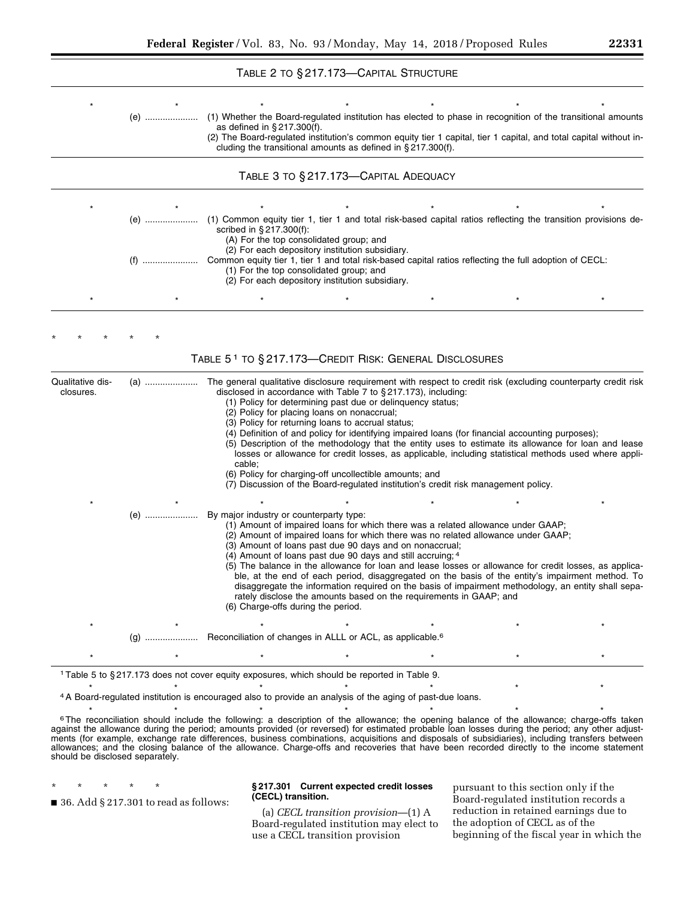# TABLE 2 TO § 217.173—CAPITAL STRUCTURE

|                               | (e)         | (1) Whether the Board-regulated institution has elected to phase in recognition of the transitional amounts<br>as defined in $\S 217.300(f)$ .<br>(2) The Board-regulated institution's common equity tier 1 capital, tier 1 capital, and total capital without in-                                                                                         |                                                                                                                                                                                                                                                                                                                                                                                                                                                                                                                                                                  |  |
|-------------------------------|-------------|-------------------------------------------------------------------------------------------------------------------------------------------------------------------------------------------------------------------------------------------------------------------------------------------------------------------------------------------------------------|------------------------------------------------------------------------------------------------------------------------------------------------------------------------------------------------------------------------------------------------------------------------------------------------------------------------------------------------------------------------------------------------------------------------------------------------------------------------------------------------------------------------------------------------------------------|--|
|                               |             | cluding the transitional amounts as defined in $\S 217.300(f)$ .                                                                                                                                                                                                                                                                                            |                                                                                                                                                                                                                                                                                                                                                                                                                                                                                                                                                                  |  |
|                               |             | TABLE 3 TO § 217.173-CAPITAL ADEQUACY                                                                                                                                                                                                                                                                                                                       |                                                                                                                                                                                                                                                                                                                                                                                                                                                                                                                                                                  |  |
|                               |             |                                                                                                                                                                                                                                                                                                                                                             |                                                                                                                                                                                                                                                                                                                                                                                                                                                                                                                                                                  |  |
|                               | (e) ………………… | (1) Common equity tier 1, tier 1 and total risk-based capital ratios reflecting the transition provisions de-<br>scribed in §217.300(f):<br>(A) For the top consolidated group; and                                                                                                                                                                         |                                                                                                                                                                                                                                                                                                                                                                                                                                                                                                                                                                  |  |
|                               |             | (2) For each depository institution subsidiary.<br>Common equity tier 1, tier 1 and total risk-based capital ratios reflecting the full adoption of CECL:<br>(1) For the top consolidated group; and<br>(2) For each depository institution subsidiary.                                                                                                     |                                                                                                                                                                                                                                                                                                                                                                                                                                                                                                                                                                  |  |
|                               |             |                                                                                                                                                                                                                                                                                                                                                             |                                                                                                                                                                                                                                                                                                                                                                                                                                                                                                                                                                  |  |
|                               |             |                                                                                                                                                                                                                                                                                                                                                             |                                                                                                                                                                                                                                                                                                                                                                                                                                                                                                                                                                  |  |
|                               |             | TABLE 51 TO §217.173-CREDIT RISK: GENERAL DISCLOSURES                                                                                                                                                                                                                                                                                                       |                                                                                                                                                                                                                                                                                                                                                                                                                                                                                                                                                                  |  |
| Qualitative dis-<br>closures. | (a) ………………… | The general qualitative disclosure requirement with respect to credit risk (excluding counterparty credit risk<br>disclosed in accordance with Table 7 to §217.173), including:<br>(1) Policy for determining past due or delinquency status;<br>(2) Policy for placing loans on nonaccrual;<br>(3) Policy for returning loans to accrual status;<br>cable; | (4) Definition of and policy for identifying impaired loans (for financial accounting purposes);<br>(5) Description of the methodology that the entity uses to estimate its allowance for loan and lease<br>losses or allowance for credit losses, as applicable, including statistical methods used where appli-                                                                                                                                                                                                                                                |  |
|                               |             | (6) Policy for charging-off uncollectible amounts; and                                                                                                                                                                                                                                                                                                      | (7) Discussion of the Board-regulated institution's credit risk management policy.                                                                                                                                                                                                                                                                                                                                                                                                                                                                               |  |
|                               | (e)         | By major industry or counterparty type:<br>(3) Amount of loans past due 90 days and on nonaccrual;<br>(4) Amount of loans past due 90 days and still accruing; 4<br>(6) Charge-offs during the period.                                                                                                                                                      | (1) Amount of impaired loans for which there was a related allowance under GAAP;<br>(2) Amount of impaired loans for which there was no related allowance under GAAP;<br>(5) The balance in the allowance for loan and lease losses or allowance for credit losses, as applica-<br>ble, at the end of each period, disaggregated on the basis of the entity's impairment method. To<br>disaggregate the information required on the basis of impairment methodology, an entity shall sepa-<br>rately disclose the amounts based on the requirements in GAAP; and |  |
|                               |             |                                                                                                                                                                                                                                                                                                                                                             |                                                                                                                                                                                                                                                                                                                                                                                                                                                                                                                                                                  |  |
|                               |             |                                                                                                                                                                                                                                                                                                                                                             |                                                                                                                                                                                                                                                                                                                                                                                                                                                                                                                                                                  |  |
|                               |             |                                                                                                                                                                                                                                                                                                                                                             |                                                                                                                                                                                                                                                                                                                                                                                                                                                                                                                                                                  |  |
|                               |             | <sup>1</sup> Table 5 to §217.173 does not cover equity exposures, which should be reported in Table 9.                                                                                                                                                                                                                                                      |                                                                                                                                                                                                                                                                                                                                                                                                                                                                                                                                                                  |  |
|                               |             | 4 A Board-regulated institution is encouraged also to provide an analysis of the aging of past-due loans.                                                                                                                                                                                                                                                   |                                                                                                                                                                                                                                                                                                                                                                                                                                                                                                                                                                  |  |
|                               |             | <sup>6</sup> The reconciliation should include the following: a description of the allowance; the opening balance of the allowance; charge-offs taken                                                                                                                                                                                                       |                                                                                                                                                                                                                                                                                                                                                                                                                                                                                                                                                                  |  |

ments (for example, exchange rate differences, business combinations, acquisitions and disposals of subsidiaries), including transfers between allowances; and the closing balance of the allowance. Charge-offs and recoveries that have been recorded directly to the income statement should be disclosed separately.

\* \* \* \* \*

■ 36. Add § 217.301 to read as follows:

# **§ 217.301 Current expected credit losses (CECL) transition.**

(a) *CECL transition provision*—(1) A Board-regulated institution may elect to use a CECL transition provision

pursuant to this section only if the Board-regulated institution records a reduction in retained earnings due to the adoption of CECL as of the beginning of the fiscal year in which the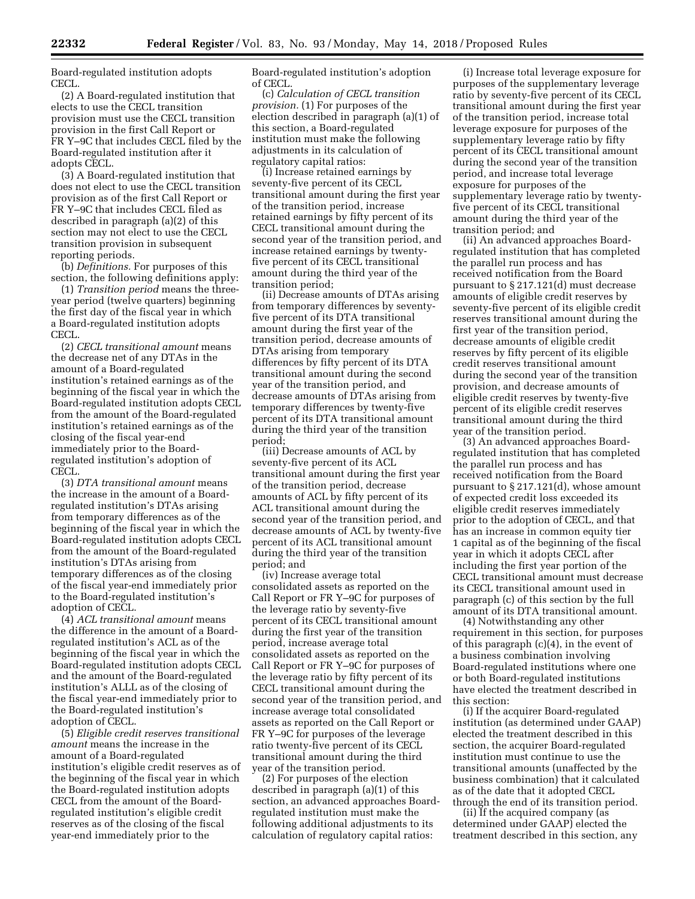Board-regulated institution adopts CECL.

(2) A Board-regulated institution that elects to use the CECL transition provision must use the CECL transition provision in the first Call Report or FR Y–9C that includes CECL filed by the Board-regulated institution after it adopts CECL.

(3) A Board-regulated institution that does not elect to use the CECL transition provision as of the first Call Report or FR Y–9C that includes CECL filed as described in paragraph (a)(2) of this section may not elect to use the CECL transition provision in subsequent reporting periods.

(b) *Definitions.* For purposes of this section, the following definitions apply:

(1) *Transition period* means the threeyear period (twelve quarters) beginning the first day of the fiscal year in which a Board-regulated institution adopts CECL.

(2) *CECL transitional amount* means the decrease net of any DTAs in the amount of a Board-regulated institution's retained earnings as of the beginning of the fiscal year in which the Board-regulated institution adopts CECL from the amount of the Board-regulated institution's retained earnings as of the closing of the fiscal year-end immediately prior to the Boardregulated institution's adoption of CECL.

(3) *DTA transitional amount* means the increase in the amount of a Boardregulated institution's DTAs arising from temporary differences as of the beginning of the fiscal year in which the Board-regulated institution adopts CECL from the amount of the Board-regulated institution's DTAs arising from temporary differences as of the closing of the fiscal year-end immediately prior to the Board-regulated institution's adoption of CECL.

(4) *ACL transitional amount* means the difference in the amount of a Boardregulated institution's ACL as of the beginning of the fiscal year in which the Board-regulated institution adopts CECL and the amount of the Board-regulated institution's ALLL as of the closing of the fiscal year-end immediately prior to the Board-regulated institution's adoption of CECL.

(5) *Eligible credit reserves transitional amount* means the increase in the amount of a Board-regulated institution's eligible credit reserves as of the beginning of the fiscal year in which the Board-regulated institution adopts CECL from the amount of the Boardregulated institution's eligible credit reserves as of the closing of the fiscal year-end immediately prior to the

Board-regulated institution's adoption of CECL.

(c) *Calculation of CECL transition provision.* (1) For purposes of the election described in paragraph (a)(1) of this section, a Board-regulated institution must make the following adjustments in its calculation of regulatory capital ratios:

(i) Increase retained earnings by seventy-five percent of its CECL transitional amount during the first year of the transition period, increase retained earnings by fifty percent of its CECL transitional amount during the second year of the transition period, and increase retained earnings by twentyfive percent of its CECL transitional amount during the third year of the transition period;

(ii) Decrease amounts of DTAs arising from temporary differences by seventyfive percent of its DTA transitional amount during the first year of the transition period, decrease amounts of DTAs arising from temporary differences by fifty percent of its DTA transitional amount during the second year of the transition period, and decrease amounts of DTAs arising from temporary differences by twenty-five percent of its DTA transitional amount during the third year of the transition period;

(iii) Decrease amounts of ACL by seventy-five percent of its ACL transitional amount during the first year of the transition period, decrease amounts of ACL by fifty percent of its ACL transitional amount during the second year of the transition period, and decrease amounts of ACL by twenty-five percent of its ACL transitional amount during the third year of the transition period; and

(iv) Increase average total consolidated assets as reported on the Call Report or FR Y–9C for purposes of the leverage ratio by seventy-five percent of its CECL transitional amount during the first year of the transition period, increase average total consolidated assets as reported on the Call Report or FR Y–9C for purposes of the leverage ratio by fifty percent of its CECL transitional amount during the second year of the transition period, and increase average total consolidated assets as reported on the Call Report or FR Y–9C for purposes of the leverage ratio twenty-five percent of its CECL transitional amount during the third year of the transition period.

(2) For purposes of the election described in paragraph (a)(1) of this section, an advanced approaches Boardregulated institution must make the following additional adjustments to its calculation of regulatory capital ratios:

(i) Increase total leverage exposure for purposes of the supplementary leverage ratio by seventy-five percent of its CECL transitional amount during the first year of the transition period, increase total leverage exposure for purposes of the supplementary leverage ratio by fifty percent of its CECL transitional amount during the second year of the transition period, and increase total leverage exposure for purposes of the supplementary leverage ratio by twentyfive percent of its CECL transitional amount during the third year of the transition period; and

(ii) An advanced approaches Boardregulated institution that has completed the parallel run process and has received notification from the Board pursuant to § 217.121(d) must decrease amounts of eligible credit reserves by seventy-five percent of its eligible credit reserves transitional amount during the first year of the transition period, decrease amounts of eligible credit reserves by fifty percent of its eligible credit reserves transitional amount during the second year of the transition provision, and decrease amounts of eligible credit reserves by twenty-five percent of its eligible credit reserves transitional amount during the third year of the transition period.

(3) An advanced approaches Boardregulated institution that has completed the parallel run process and has received notification from the Board pursuant to § 217.121(d), whose amount of expected credit loss exceeded its eligible credit reserves immediately prior to the adoption of CECL, and that has an increase in common equity tier 1 capital as of the beginning of the fiscal year in which it adopts CECL after including the first year portion of the CECL transitional amount must decrease its CECL transitional amount used in paragraph (c) of this section by the full amount of its DTA transitional amount.

(4) Notwithstanding any other requirement in this section, for purposes of this paragraph (c)(4), in the event of a business combination involving Board-regulated institutions where one or both Board-regulated institutions have elected the treatment described in this section:

(i) If the acquirer Board-regulated institution (as determined under GAAP) elected the treatment described in this section, the acquirer Board-regulated institution must continue to use the transitional amounts (unaffected by the business combination) that it calculated as of the date that it adopted CECL through the end of its transition period.

(ii) If the acquired company (as determined under GAAP) elected the treatment described in this section, any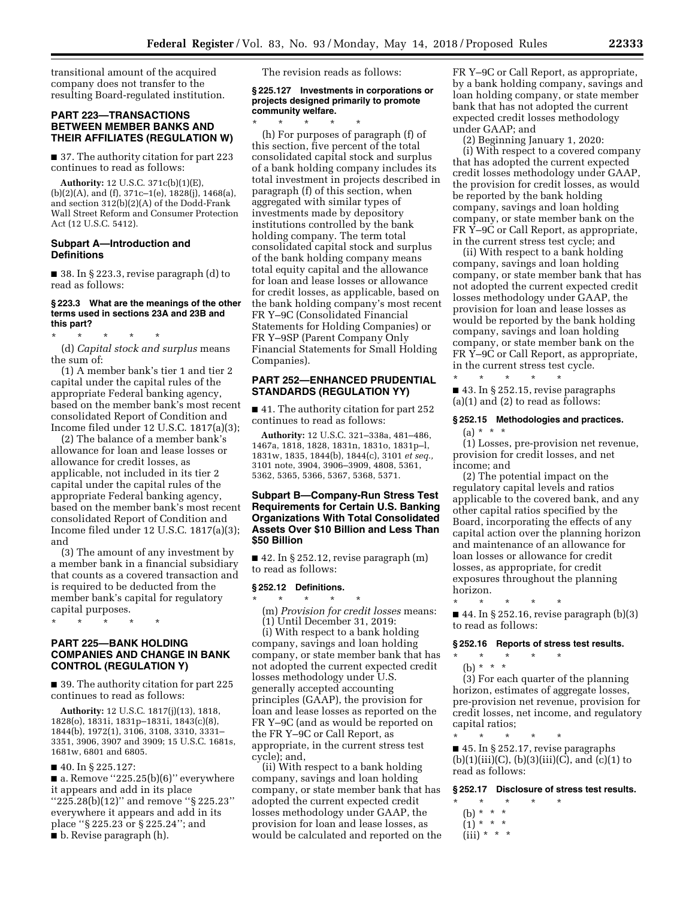transitional amount of the acquired company does not transfer to the resulting Board-regulated institution.

# **PART 223—TRANSACTIONS BETWEEN MEMBER BANKS AND THEIR AFFILIATES (REGULATION W)**

■ 37. The authority citation for part 223 continues to read as follows:

**Authority:** 12 U.S.C. 371c(b)(1)(E), (b)(2)(A), and (f), 371c–1(e), 1828(j), 1468(a), and section 312(b)(2)(A) of the Dodd-Frank Wall Street Reform and Consumer Protection Act (12 U.S.C. 5412).

### **Subpart A—Introduction and Definitions**

 $\blacksquare$  38. In § 223.3, revise paragraph (d) to read as follows:

#### **§ 223.3 What are the meanings of the other terms used in sections 23A and 23B and this part?**

\* \* \* \* \*

(d) *Capital stock and surplus* means the sum of:

(1) A member bank's tier 1 and tier 2 capital under the capital rules of the appropriate Federal banking agency, based on the member bank's most recent consolidated Report of Condition and Income filed under 12 U.S.C. 1817(a)(3);

(2) The balance of a member bank's allowance for loan and lease losses or allowance for credit losses, as applicable, not included in its tier 2 capital under the capital rules of the appropriate Federal banking agency, based on the member bank's most recent consolidated Report of Condition and Income filed under 12 U.S.C. 1817(a)(3); and

(3) The amount of any investment by a member bank in a financial subsidiary that counts as a covered transaction and is required to be deducted from the member bank's capital for regulatory capital purposes.

\* \* \* \* \*

# **PART 225—BANK HOLDING COMPANIES AND CHANGE IN BANK CONTROL (REGULATION Y)**

■ 39. The authority citation for part 225 continues to read as follows:

**Authority:** 12 U.S.C. 1817(j)(13), 1818, 1828(o), 1831i, 1831p–1831i, 1843(c)(8), 1844(b), 1972(1), 3106, 3108, 3310, 3331– 3351, 3906, 3907 and 3909; 15 U.S.C. 1681s, 1681w, 6801 and 6805.

■ 40. In § 225.127:

 $\blacksquare$  a. Remove "225.25(b)(6)" everywhere it appears and add in its place ''225.28(b)(12)'' and remove ''§ 225.23'' everywhere it appears and add in its place ''§ 225.23 or § 225.24''; and ■ b. Revise paragraph (h).

The revision reads as follows:

### **§ 225.127 Investments in corporations or projects designed primarily to promote community welfare.**

\* \* \* \* \* (h) For purposes of paragraph (f) of this section, five percent of the total consolidated capital stock and surplus of a bank holding company includes its total investment in projects described in paragraph (f) of this section, when aggregated with similar types of investments made by depository institutions controlled by the bank holding company. The term total consolidated capital stock and surplus of the bank holding company means total equity capital and the allowance for loan and lease losses or allowance for credit losses, as applicable, based on the bank holding company's most recent FR Y–9C (Consolidated Financial Statements for Holding Companies) or FR Y–9SP (Parent Company Only Financial Statements for Small Holding Companies).

# **PART 252—ENHANCED PRUDENTIAL STANDARDS (REGULATION YY)**

■ 41. The authority citation for part 252 continues to read as follows:

**Authority:** 12 U.S.C. 321–338a, 481–486, 1467a, 1818, 1828, 1831n, 1831o, 1831p–l, 1831w, 1835, 1844(b), 1844(c), 3101 *et seq.,*  3101 note, 3904, 3906–3909, 4808, 5361, 5362, 5365, 5366, 5367, 5368, 5371.

# **Subpart B—Company-Run Stress Test Requirements for Certain U.S. Banking Organizations With Total Consolidated Assets Over \$10 Billion and Less Than \$50 Billion**

 $\blacksquare$  42. In § 252.12, revise paragraph  $(m)$ to read as follows:

# **§ 252.12 Definitions.**

- \* \* \* \* \* (m) *Provision for credit losses* means:
	- (1) Until December 31, 2019: (i) With respect to a bank holding

company, savings and loan holding company, or state member bank that has not adopted the current expected credit losses methodology under U.S. generally accepted accounting principles (GAAP), the provision for loan and lease losses as reported on the FR Y–9C (and as would be reported on the FR Y–9C or Call Report, as appropriate, in the current stress test cycle); and,

(ii) With respect to a bank holding company, savings and loan holding company, or state member bank that has adopted the current expected credit losses methodology under GAAP, the provision for loan and lease losses, as would be calculated and reported on the FR Y–9C or Call Report, as appropriate, by a bank holding company, savings and loan holding company, or state member bank that has not adopted the current expected credit losses methodology under GAAP; and

(2) Beginning January 1, 2020: (i) With respect to a covered company that has adopted the current expected credit losses methodology under GAAP, the provision for credit losses, as would be reported by the bank holding company, savings and loan holding company, or state member bank on the FR Y–9C or Call Report, as appropriate, in the current stress test cycle; and

(ii) With respect to a bank holding company, savings and loan holding company, or state member bank that has not adopted the current expected credit losses methodology under GAAP, the provision for loan and lease losses as would be reported by the bank holding company, savings and loan holding company, or state member bank on the FR Y–9C or Call Report, as appropriate, in the current stress test cycle. \* \* \* \* \*

■ 43. In § 252.15, revise paragraphs (a)(1) and (2) to read as follows:

# **§ 252.15 Methodologies and practices.**   $(a) * * * *$

(1) Losses, pre-provision net revenue, provision for credit losses, and net income; and

(2) The potential impact on the regulatory capital levels and ratios applicable to the covered bank, and any other capital ratios specified by the Board, incorporating the effects of any capital action over the planning horizon and maintenance of an allowance for loan losses or allowance for credit losses, as appropriate, for credit exposures throughout the planning horizon.

\* \* \* \* \* ■ 44. In § 252.16, revise paragraph (b)(3) to read as follows:

### **§ 252.16 Reports of stress test results.**

\* \* \* \* \* (b) \* \* \*

(3) For each quarter of the planning horizon, estimates of aggregate losses, pre-provision net revenue, provision for credit losses, net income, and regulatory capital ratios;

\* \* \* \* \* ■ 45. In § 252.17, revise paragraphs  $(b)(1)(iii)(C), (b)(3)(iii)(C), and (c)(1)$  to read as follows:

#### **§ 252.17 Disclosure of stress test results.**

- \* \* \* \* \*
	- (b) \* \* \*
- $(1) * * * *$  $(iii) * * * *$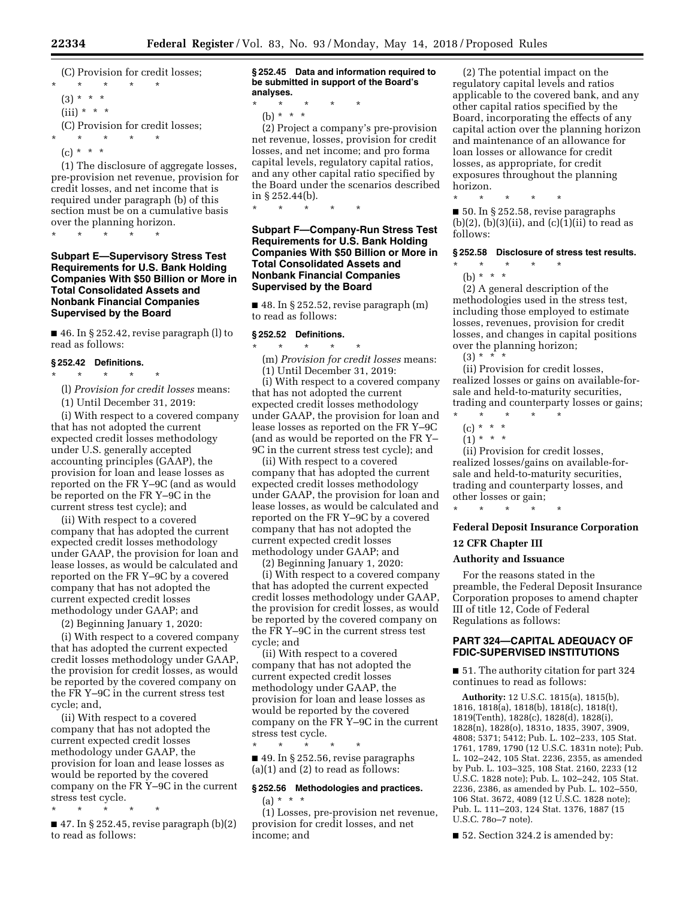(C) Provision for credit losses; \* \* \* \* \*

 $(3) * * * *$  $(iii) * * * *$ 

(C) Provision for credit losses;

- \* \* \* \* \*
- $(c) * * * *$

(1) The disclosure of aggregate losses, pre-provision net revenue, provision for credit losses, and net income that is required under paragraph (b) of this section must be on a cumulative basis over the planning horizon.

\* \* \* \* \*

# **Subpart E—Supervisory Stress Test Requirements for U.S. Bank Holding Companies With \$50 Billion or More in Total Consolidated Assets and Nonbank Financial Companies Supervised by the Board**

 $\blacksquare$  46. In § 252.42, revise paragraph (l) to read as follows:

# **§ 252.42 Definitions.**

\* \* \* \* \*

(l) *Provision for credit losses* means:

(1) Until December 31, 2019:

(i) With respect to a covered company that has not adopted the current expected credit losses methodology under U.S. generally accepted accounting principles (GAAP), the provision for loan and lease losses as reported on the FR Y–9C (and as would be reported on the FR Y–9C in the current stress test cycle); and

(ii) With respect to a covered company that has adopted the current expected credit losses methodology under GAAP, the provision for loan and lease losses, as would be calculated and reported on the FR Y–9C by a covered company that has not adopted the current expected credit losses methodology under GAAP; and

(2) Beginning January 1, 2020:

(i) With respect to a covered company that has adopted the current expected credit losses methodology under GAAP, the provision for credit losses, as would be reported by the covered company on the FR Y–9C in the current stress test cycle; and,

(ii) With respect to a covered company that has not adopted the current expected credit losses methodology under GAAP, the provision for loan and lease losses as would be reported by the covered company on the FR Y–9C in the current stress test cycle.

\* \* \* \* \*

 $\blacksquare$  47. In § 252.45, revise paragraph (b)(2) to read as follows:

**§ 252.45 Data and information required to be submitted in support of the Board's analyses.** 

- \* \* \* \* \*
	- (b) \* \* \*

(2) Project a company's pre-provision net revenue, losses, provision for credit losses, and net income; and pro forma capital levels, regulatory capital ratios, and any other capital ratio specified by the Board under the scenarios described in § 252.44(b).

\* \* \* \* \*

# **Subpart F—Company-Run Stress Test Requirements for U.S. Bank Holding Companies With \$50 Billion or More in Total Consolidated Assets and Nonbank Financial Companies Supervised by the Board**

 $\blacksquare$  48. In § 252.52, revise paragraph  $(m)$ to read as follows:

#### **§ 252.52 Definitions.**

\* \* \* \* \* (m) *Provision for credit losses* means: (1) Until December 31, 2019:

(i) With respect to a covered company that has not adopted the current expected credit losses methodology under GAAP, the provision for loan and lease losses as reported on the FR Y–9C (and as would be reported on the FR Y– 9C in the current stress test cycle); and

(ii) With respect to a covered company that has adopted the current expected credit losses methodology under GAAP, the provision for loan and lease losses, as would be calculated and reported on the FR Y–9C by a covered company that has not adopted the current expected credit losses methodology under GAAP; and

(2) Beginning January 1, 2020:

(i) With respect to a covered company that has adopted the current expected credit losses methodology under GAAP, the provision for credit losses, as would be reported by the covered company on the FR Y–9C in the current stress test cycle; and

(ii) With respect to a covered company that has not adopted the current expected credit losses methodology under GAAP, the provision for loan and lease losses as would be reported by the covered company on the FR Y–9C in the current stress test cycle.

■ 49. In § 252.56, revise paragraphs (a)(1) and (2) to read as follows:

\* \* \* \* \*

# **§ 252.56 Methodologies and practices.**   $(a) * * * *$

(1) Losses, pre-provision net revenue, provision for credit losses, and net income; and

(2) The potential impact on the regulatory capital levels and ratios applicable to the covered bank, and any other capital ratios specified by the Board, incorporating the effects of any capital action over the planning horizon and maintenance of an allowance for loan losses or allowance for credit losses, as appropriate, for credit exposures throughout the planning horizon.

■ 50. In § 252.58, revise paragraphs  $(b)(2)$ ,  $(b)(3)(ii)$ , and  $(c)(1)(ii)$  to read as follows:

# **§ 252.58 Disclosure of stress test results.**

\* \* \* \* \* (b) \* \* \*

\* \* \* \* \*

(2) A general description of the methodologies used in the stress test, including those employed to estimate losses, revenues, provision for credit losses, and changes in capital positions over the planning horizon;

 $(3) * * * * *$ 

(ii) Provision for credit losses, realized losses or gains on available-forsale and held-to-maturity securities, trading and counterparty losses or gains;

- $\star$   $\star$   $\star$
- $(c) * * * *$
- $(1) * * * *$

(ii) Provision for credit losses, realized losses/gains on available-forsale and held-to-maturity securities, trading and counterparty losses, and other losses or gain;

\* \* \* \* \*

# **Federal Deposit Insurance Corporation**

# **12 CFR Chapter III**

# **Authority and Issuance**

For the reasons stated in the preamble, the Federal Deposit Insurance Corporation proposes to amend chapter III of title 12, Code of Federal Regulations as follows:

### **PART 324—CAPITAL ADEQUACY OF FDIC-SUPERVISED INSTITUTIONS**

■ 51. The authority citation for part 324 continues to read as follows:

**Authority:** 12 U.S.C. 1815(a), 1815(b), 1816, 1818(a), 1818(b), 1818(c), 1818(t), 1819(Tenth), 1828(c), 1828(d), 1828(i), 1828(n), 1828(o), 1831o, 1835, 3907, 3909, 4808; 5371; 5412; Pub. L. 102–233, 105 Stat. 1761, 1789, 1790 (12 U.S.C. 1831n note); Pub. L. 102–242, 105 Stat. 2236, 2355, as amended by Pub. L. 103–325, 108 Stat. 2160, 2233 (12 U.S.C. 1828 note); Pub. L. 102–242, 105 Stat. 2236, 2386, as amended by Pub. L. 102–550, 106 Stat. 3672, 4089 (12 U.S.C. 1828 note); Pub. L. 111–203, 124 Stat. 1376, 1887 (15 U.S.C. 78o–7 note).

■ 52. Section 324.2 is amended by: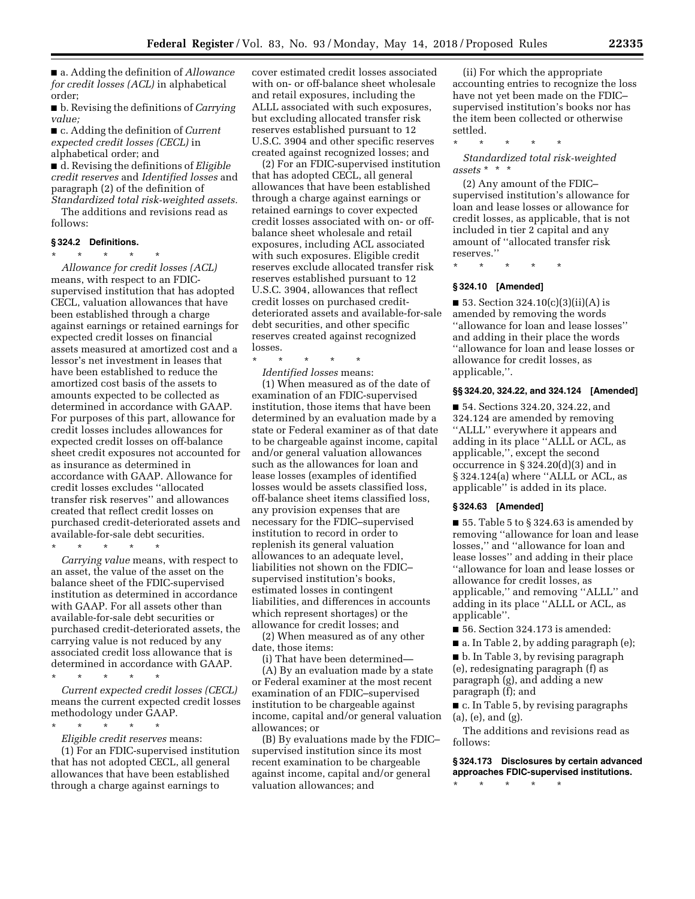■ a. Adding the definition of *Allowance for credit losses (ACL)* in alphabetical order;

■ b. Revising the definitions of *Carrying value;* 

■ c. Adding the definition of *Current expected credit losses (CECL)* in alphabetical order; and

■ d. Revising the definitions of *Eligible credit reserves* and *Identified losses* and paragraph (2) of the definition of *Standardized total risk-weighted assets.* 

The additions and revisions read as follows:

# **§ 324.2 Definitions.**

\* \* \* \* \* *Allowance for credit losses (ACL)*  means, with respect to an FDICsupervised institution that has adopted CECL, valuation allowances that have been established through a charge against earnings or retained earnings for expected credit losses on financial assets measured at amortized cost and a lessor's net investment in leases that have been established to reduce the amortized cost basis of the assets to amounts expected to be collected as determined in accordance with GAAP. For purposes of this part, allowance for credit losses includes allowances for expected credit losses on off-balance sheet credit exposures not accounted for as insurance as determined in accordance with GAAP. Allowance for credit losses excludes ''allocated transfer risk reserves'' and allowances created that reflect credit losses on purchased credit-deteriorated assets and available-for-sale debt securities.

\* \* \* \* \*

*Carrying value* means, with respect to an asset, the value of the asset on the balance sheet of the FDIC-supervised institution as determined in accordance with GAAP. For all assets other than available-for-sale debt securities or purchased credit-deteriorated assets, the carrying value is not reduced by any associated credit loss allowance that is determined in accordance with GAAP.

\* \* \* \* \* *Current expected credit losses (CECL)*  means the current expected credit losses

methodology under GAAP.

\* \* \* \* \* *Eligible credit reserves* means:

(1) For an FDIC-supervised institution that has not adopted CECL, all general allowances that have been established through a charge against earnings to

cover estimated credit losses associated with on- or off-balance sheet wholesale and retail exposures, including the ALLL associated with such exposures, but excluding allocated transfer risk reserves established pursuant to 12 U.S.C. 3904 and other specific reserves created against recognized losses; and

(2) For an FDIC-supervised institution that has adopted CECL, all general allowances that have been established through a charge against earnings or retained earnings to cover expected credit losses associated with on- or offbalance sheet wholesale and retail exposures, including ACL associated with such exposures. Eligible credit reserves exclude allocated transfer risk reserves established pursuant to 12 U.S.C. 3904, allowances that reflect credit losses on purchased creditdeteriorated assets and available-for-sale debt securities, and other specific reserves created against recognized losses.

\* \* \* \* \*

*Identified losses* means:

(1) When measured as of the date of examination of an FDIC-supervised institution, those items that have been determined by an evaluation made by a state or Federal examiner as of that date to be chargeable against income, capital and/or general valuation allowances such as the allowances for loan and lease losses (examples of identified losses would be assets classified loss, off-balance sheet items classified loss, any provision expenses that are necessary for the FDIC–supervised institution to record in order to replenish its general valuation allowances to an adequate level, liabilities not shown on the FDIC– supervised institution's books, estimated losses in contingent liabilities, and differences in accounts which represent shortages) or the allowance for credit losses; and

(2) When measured as of any other date, those items:

(i) That have been determined—

(A) By an evaluation made by a state or Federal examiner at the most recent examination of an FDIC–supervised institution to be chargeable against income, capital and/or general valuation allowances; or

(B) By evaluations made by the FDIC– supervised institution since its most recent examination to be chargeable against income, capital and/or general valuation allowances; and

(ii) For which the appropriate accounting entries to recognize the loss have not yet been made on the FDIC– supervised institution's books nor has the item been collected or otherwise settled.

\* \* \* \* \*

*Standardized total risk-weighted assets* \* \* \*

(2) Any amount of the FDIC– supervised institution's allowance for loan and lease losses or allowance for credit losses, as applicable, that is not included in tier 2 capital and any amount of ''allocated transfer risk reserves.''

\* \* \* \* \*

# **§ 324.10 [Amended]**

 $\blacksquare$  53. Section 324.10(c)(3)(ii)(A) is amended by removing the words ''allowance for loan and lease losses'' and adding in their place the words ''allowance for loan and lease losses or allowance for credit losses, as applicable,''.

### **§§ 324.20, 324.22, and 324.124 [Amended]**

■ 54. Sections 324.20, 324.22, and 324.124 are amended by removing ''ALLL'' everywhere it appears and adding in its place ''ALLL or ACL, as applicable,'', except the second occurrence in §  $324.20(d)(3)$  and in § 324.124(a) where ''ALLL or ACL, as applicable'' is added in its place.

# **§ 324.63 [Amended]**

■ 55. Table 5 to § 324.63 is amended by removing ''allowance for loan and lease losses,'' and ''allowance for loan and lease losses'' and adding in their place ''allowance for loan and lease losses or allowance for credit losses, as applicable,'' and removing ''ALLL'' and adding in its place ''ALLL or ACL, as applicable''.

■ 56. Section 324.173 is amended:

■ a. In Table 2, by adding paragraph (e);

■ b. In Table 3, by revising paragraph (e), redesignating paragraph (f) as paragraph (g), and adding a new paragraph (f); and

■ c. In Table 5, by revising paragraphs (a), (e), and (g).

The additions and revisions read as follows:

**§ 324.173 Disclosures by certain advanced approaches FDIC-supervised institutions.** 

\* \* \* \* \*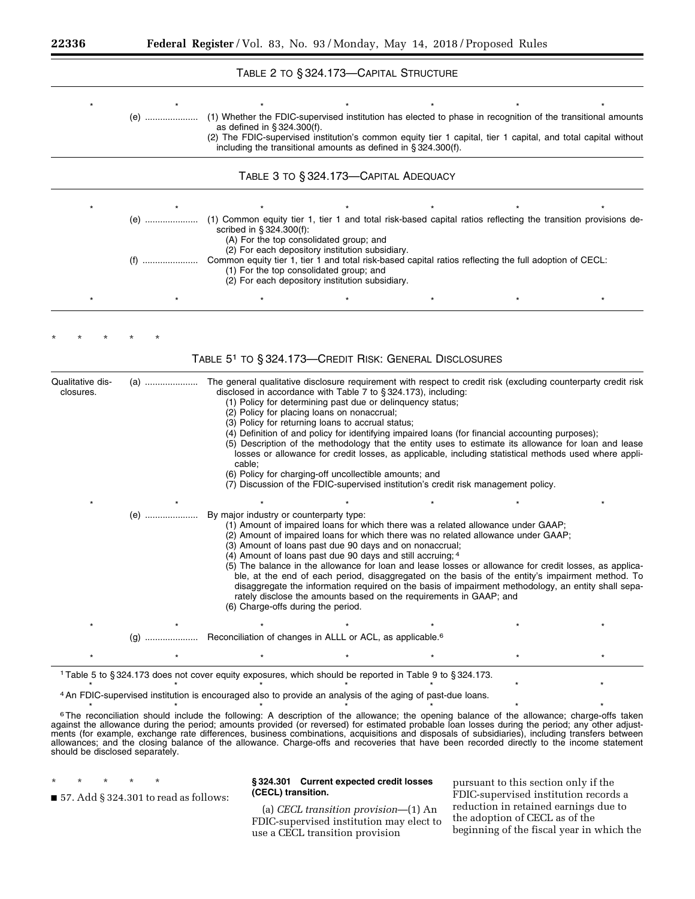|                               |     | TABLE 2 TO § 324.173-CAPITAL STRUCTURE                                                                                                                                                                                                                                                                                                                                                                                                                                                                                                                                                                |  |                                                                                                                                                                                                                                                                                                                   |  |
|-------------------------------|-----|-------------------------------------------------------------------------------------------------------------------------------------------------------------------------------------------------------------------------------------------------------------------------------------------------------------------------------------------------------------------------------------------------------------------------------------------------------------------------------------------------------------------------------------------------------------------------------------------------------|--|-------------------------------------------------------------------------------------------------------------------------------------------------------------------------------------------------------------------------------------------------------------------------------------------------------------------|--|
|                               | (e) | (1) Whether the FDIC-supervised institution has elected to phase in recognition of the transitional amounts<br>as defined in $\S 324.300(f)$ .<br>(2) The FDIC-supervised institution's common equity tier 1 capital, tier 1 capital, and total capital without<br>including the transitional amounts as defined in § 324.300(f).                                                                                                                                                                                                                                                                     |  |                                                                                                                                                                                                                                                                                                                   |  |
|                               |     | TABLE 3 TO § 324.173-CAPITAL ADEQUACY                                                                                                                                                                                                                                                                                                                                                                                                                                                                                                                                                                 |  |                                                                                                                                                                                                                                                                                                                   |  |
|                               |     | (e)  (1) Common equity tier 1, tier 1 and total risk-based capital ratios reflecting the transition provisions de-<br>scribed in §324.300(f):<br>(A) For the top consolidated group; and<br>(2) For each depository institution subsidiary.<br>Common equity tier 1, tier 1 and total risk-based capital ratios reflecting the full adoption of CECL:<br>(1) For the top consolidated group; and                                                                                                                                                                                                      |  |                                                                                                                                                                                                                                                                                                                   |  |
|                               |     | (2) For each depository institution subsidiary.                                                                                                                                                                                                                                                                                                                                                                                                                                                                                                                                                       |  |                                                                                                                                                                                                                                                                                                                   |  |
|                               |     |                                                                                                                                                                                                                                                                                                                                                                                                                                                                                                                                                                                                       |  |                                                                                                                                                                                                                                                                                                                   |  |
| Qualitative dis-<br>closures. |     | TABLE 5 <sup>1</sup> TO § 324.173-CREDIT RISK: GENERAL DISCLOSURES<br>The general qualitative disclosure requirement with respect to credit risk (excluding counterparty credit risk<br>disclosed in accordance with Table 7 to §324.173), including:<br>(1) Policy for determining past due or delinquency status;<br>(2) Policy for placing loans on nonaccrual;<br>(3) Policy for returning loans to accrual status;<br>cable;                                                                                                                                                                     |  | (4) Definition of and policy for identifying impaired loans (for financial accounting purposes);<br>(5) Description of the methodology that the entity uses to estimate its allowance for loan and lease<br>losses or allowance for credit losses, as applicable, including statistical methods used where appli- |  |
|                               | (e) | (6) Policy for charging-off uncollectible amounts; and<br>(7) Discussion of the FDIC-supervised institution's credit risk management policy.<br>By major industry or counterparty type:<br>(1) Amount of impaired loans for which there was a related allowance under GAAP;<br>(2) Amount of impaired loans for which there was no related allowance under GAAP;<br>(3) Amount of loans past due 90 days and on nonaccrual;<br>(4) Amount of loans past due 90 days and still accruing; 4<br>rately disclose the amounts based on the requirements in GAAP; and<br>(6) Charge-offs during the period. |  | (5) The balance in the allowance for loan and lease losses or allowance for credit losses, as applica-<br>ble, at the end of each period, disaggregated on the basis of the entity's impairment method. To<br>disaggregate the information required on the basis of impairment methodology, an entity shall sepa- |  |
|                               |     | Reconciliation of changes in ALLL or ACL, as applicable. <sup>6</sup>                                                                                                                                                                                                                                                                                                                                                                                                                                                                                                                                 |  |                                                                                                                                                                                                                                                                                                                   |  |

\* \* \* \* \* \* \* 4An FDIC-supervised institution is encouraged also to provide an analysis of the aging of past-due loans.

\* \* \* \* \* \* \* 6The reconciliation should include the following: A description of the allowance; the opening balance of the allowance; charge-offs taken against the allowance during the period; amounts provided (or reversed) for estimated probable loan losses during the period; any other adjustments (for example, exchange rate differences, business combinations, acquisitions and disposals of subsidiaries), including transfers between allowances; and the closing balance of the allowance. Charge-offs and recoveries that have been recorded directly to the income statement should be disclosed separately.

\* \* \* \* \* ■ 57. Add § 324.301 to read as follows:

# **§ 324.301 Current expected credit losses (CECL) transition.**

(a) *CECL transition provision*—(1) An FDIC-supervised institution may elect to use a CECL transition provision

pursuant to this section only if the FDIC-supervised institution records a reduction in retained earnings due to the adoption of CECL as of the beginning of the fiscal year in which the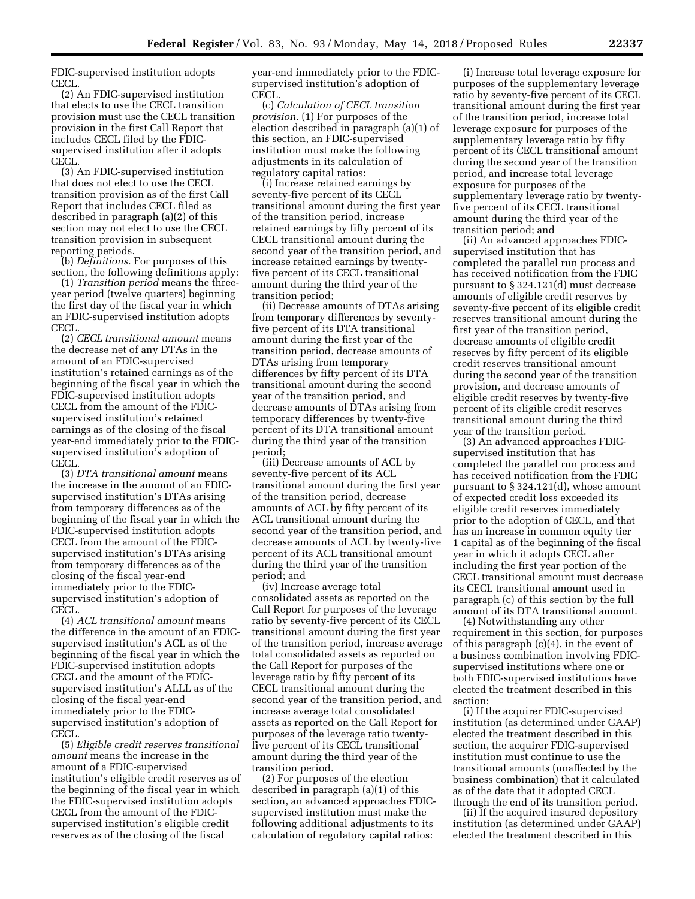FDIC-supervised institution adopts CECL.

(2) An FDIC-supervised institution that elects to use the CECL transition provision must use the CECL transition provision in the first Call Report that includes CECL filed by the FDICsupervised institution after it adopts CECL.

(3) An FDIC-supervised institution that does not elect to use the CECL transition provision as of the first Call Report that includes CECL filed as described in paragraph (a)(2) of this section may not elect to use the CECL transition provision in subsequent reporting periods.

(b) *Definitions.* For purposes of this section, the following definitions apply:

(1) *Transition period* means the threeyear period (twelve quarters) beginning the first day of the fiscal year in which an FDIC-supervised institution adopts CECL.

(2) *CECL transitional amount* means the decrease net of any DTAs in the amount of an FDIC-supervised institution's retained earnings as of the beginning of the fiscal year in which the FDIC-supervised institution adopts CECL from the amount of the FDICsupervised institution's retained earnings as of the closing of the fiscal year-end immediately prior to the FDICsupervised institution's adoption of CECL.

(3) *DTA transitional amount* means the increase in the amount of an FDICsupervised institution's DTAs arising from temporary differences as of the beginning of the fiscal year in which the FDIC-supervised institution adopts CECL from the amount of the FDICsupervised institution's DTAs arising from temporary differences as of the closing of the fiscal year-end immediately prior to the FDICsupervised institution's adoption of CECL.

(4) *ACL transitional amount* means the difference in the amount of an FDICsupervised institution's ACL as of the beginning of the fiscal year in which the FDIC-supervised institution adopts CECL and the amount of the FDICsupervised institution's ALLL as of the closing of the fiscal year-end immediately prior to the FDICsupervised institution's adoption of CECL.

(5) *Eligible credit reserves transitional amount* means the increase in the amount of a FDIC-supervised institution's eligible credit reserves as of the beginning of the fiscal year in which the FDIC-supervised institution adopts CECL from the amount of the FDICsupervised institution's eligible credit reserves as of the closing of the fiscal

year-end immediately prior to the FDICsupervised institution's adoption of CECL.

(c) *Calculation of CECL transition provision.* (1) For purposes of the election described in paragraph (a)(1) of this section, an FDIC-supervised institution must make the following adjustments in its calculation of regulatory capital ratios:

(i) Increase retained earnings by seventy-five percent of its CECL transitional amount during the first year of the transition period, increase retained earnings by fifty percent of its CECL transitional amount during the second year of the transition period, and increase retained earnings by twentyfive percent of its CECL transitional amount during the third year of the transition period;

(ii) Decrease amounts of DTAs arising from temporary differences by seventyfive percent of its DTA transitional amount during the first year of the transition period, decrease amounts of DTAs arising from temporary differences by fifty percent of its DTA transitional amount during the second year of the transition period, and decrease amounts of DTAs arising from temporary differences by twenty-five percent of its DTA transitional amount during the third year of the transition period;

(iii) Decrease amounts of ACL by seventy-five percent of its ACL transitional amount during the first year of the transition period, decrease amounts of ACL by fifty percent of its ACL transitional amount during the second year of the transition period, and decrease amounts of ACL by twenty-five percent of its ACL transitional amount during the third year of the transition period; and

(iv) Increase average total consolidated assets as reported on the Call Report for purposes of the leverage ratio by seventy-five percent of its CECL transitional amount during the first year of the transition period, increase average total consolidated assets as reported on the Call Report for purposes of the leverage ratio by fifty percent of its CECL transitional amount during the second year of the transition period, and increase average total consolidated assets as reported on the Call Report for purposes of the leverage ratio twentyfive percent of its CECL transitional amount during the third year of the transition period.

(2) For purposes of the election described in paragraph (a)(1) of this section, an advanced approaches FDICsupervised institution must make the following additional adjustments to its calculation of regulatory capital ratios:

(i) Increase total leverage exposure for purposes of the supplementary leverage ratio by seventy-five percent of its CECL transitional amount during the first year of the transition period, increase total leverage exposure for purposes of the supplementary leverage ratio by fifty percent of its CECL transitional amount during the second year of the transition period, and increase total leverage exposure for purposes of the supplementary leverage ratio by twentyfive percent of its CECL transitional amount during the third year of the transition period; and

(ii) An advanced approaches FDICsupervised institution that has completed the parallel run process and has received notification from the FDIC pursuant to § 324.121(d) must decrease amounts of eligible credit reserves by seventy-five percent of its eligible credit reserves transitional amount during the first year of the transition period, decrease amounts of eligible credit reserves by fifty percent of its eligible credit reserves transitional amount during the second year of the transition provision, and decrease amounts of eligible credit reserves by twenty-five percent of its eligible credit reserves transitional amount during the third year of the transition period.

(3) An advanced approaches FDICsupervised institution that has completed the parallel run process and has received notification from the FDIC pursuant to § 324.121(d), whose amount of expected credit loss exceeded its eligible credit reserves immediately prior to the adoption of CECL, and that has an increase in common equity tier 1 capital as of the beginning of the fiscal year in which it adopts CECL after including the first year portion of the CECL transitional amount must decrease its CECL transitional amount used in paragraph (c) of this section by the full amount of its DTA transitional amount.

(4) Notwithstanding any other requirement in this section, for purposes of this paragraph (c)(4), in the event of a business combination involving FDICsupervised institutions where one or both FDIC-supervised institutions have elected the treatment described in this section:

(i) If the acquirer FDIC-supervised institution (as determined under GAAP) elected the treatment described in this section, the acquirer FDIC-supervised institution must continue to use the transitional amounts (unaffected by the business combination) that it calculated as of the date that it adopted CECL through the end of its transition period.

(ii) If the acquired insured depository institution (as determined under GAAP) elected the treatment described in this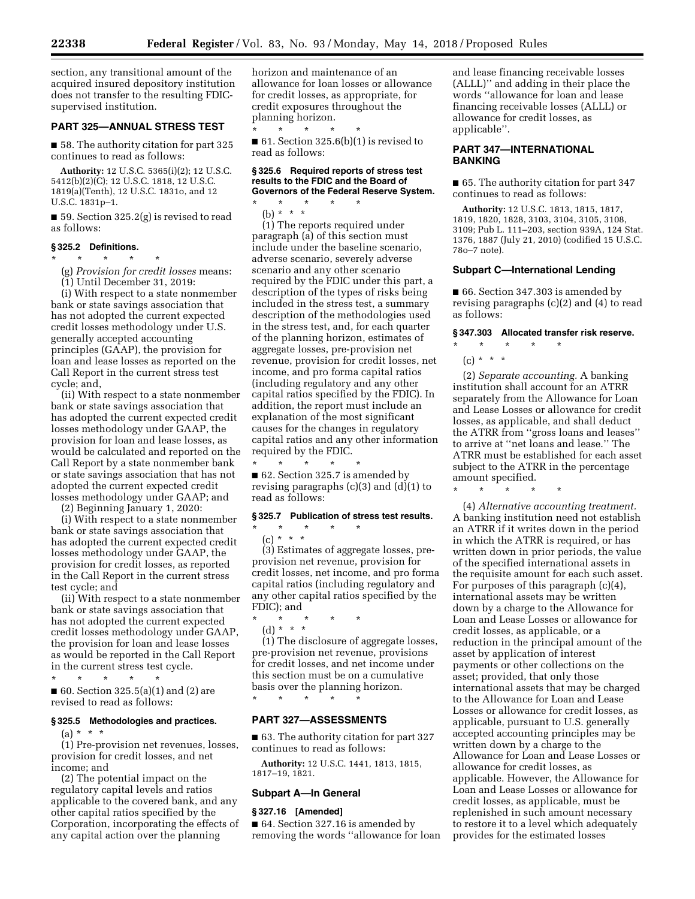section, any transitional amount of the acquired insured depository institution does not transfer to the resulting FDICsupervised institution.

# **PART 325—ANNUAL STRESS TEST**

■ 58. The authority citation for part 325 continues to read as follows:

**Authority:** 12 U.S.C. 5365(i)(2); 12 U.S.C. 5412(b)(2)(C); 12 U.S.C. 1818, 12 U.S.C. 1819(a)(Tenth), 12 U.S.C. 1831o, and 12 U.S.C. 1831p–1.

■ 59. Section 325.2(g) is revised to read as follows:

# **§ 325.2 Definitions.**

\* \* \* \* \*

(g) *Provision for credit losses* means:

(1) Until December 31, 2019:

(i) With respect to a state nonmember bank or state savings association that has not adopted the current expected credit losses methodology under U.S. generally accepted accounting principles (GAAP), the provision for loan and lease losses as reported on the Call Report in the current stress test cycle; and,

(ii) With respect to a state nonmember bank or state savings association that has adopted the current expected credit losses methodology under GAAP, the provision for loan and lease losses, as would be calculated and reported on the Call Report by a state nonmember bank or state savings association that has not adopted the current expected credit losses methodology under GAAP; and

(2) Beginning January 1, 2020:

(i) With respect to a state nonmember bank or state savings association that has adopted the current expected credit losses methodology under GAAP, the provision for credit losses, as reported in the Call Report in the current stress test cycle; and

(ii) With respect to a state nonmember bank or state savings association that has not adopted the current expected credit losses methodology under GAAP, the provision for loan and lease losses as would be reported in the Call Report in the current stress test cycle.

\* \* \* \* \* ■ 60. Section 325.5(a)(1) and (2) are revised to read as follows:

#### **§ 325.5 Methodologies and practices.**

 $(a) * * * *$ 

(1) Pre-provision net revenues, losses, provision for credit losses, and net income; and

(2) The potential impact on the regulatory capital levels and ratios applicable to the covered bank, and any other capital ratios specified by the Corporation, incorporating the effects of any capital action over the planning

horizon and maintenance of an allowance for loan losses or allowance for credit losses, as appropriate, for credit exposures throughout the planning horizon. \* \* \* \* \*

 $\blacksquare$  61. Section 325.6(b)(1) is revised to read as follows:

#### **§ 325.6 Required reports of stress test results to the FDIC and the Board of Governors of the Federal Reserve System.**

\* \* \* \* \* (b) \* \* \*

(1) The reports required under paragraph (a) of this section must include under the baseline scenario, adverse scenario, severely adverse scenario and any other scenario required by the FDIC under this part, a description of the types of risks being included in the stress test, a summary description of the methodologies used in the stress test, and, for each quarter of the planning horizon, estimates of aggregate losses, pre-provision net revenue, provision for credit losses, net income, and pro forma capital ratios (including regulatory and any other capital ratios specified by the FDIC). In addition, the report must include an explanation of the most significant causes for the changes in regulatory capital ratios and any other information required by the FDIC.

 $\star$   $\star$   $\star$ ■ 62. Section 325.7 is amended by revising paragraphs (c)(3) and (d)(1) to read as follows:

# **§ 325.7 Publication of stress test results.**

(c) \* \* \* (3) Estimates of aggregate losses, preprovision net revenue, provision for credit losses, net income, and pro forma capital ratios (including regulatory and any other capital ratios specified by the FDIC); and

\* \* \* \* \* (d) \* \* \*

\* \* \* \* \*

(1) The disclosure of aggregate losses, pre-provision net revenue, provisions for credit losses, and net income under this section must be on a cumulative basis over the planning horizon.

\* \* \* \* \*

# **PART 327—ASSESSMENTS**

■ 63. The authority citation for part 327 continues to read as follows:

**Authority:** 12 U.S.C. 1441, 1813, 1815, 1817–19, 1821.

#### **Subpart A—In General**

### **§ 327.16 [Amended]**

■ 64. Section 327.16 is amended by removing the words ''allowance for loan and lease financing receivable losses (ALLL)'' and adding in their place the words ''allowance for loan and lease financing receivable losses (ALLL) or allowance for credit losses, as applicable''.

# **PART 347—INTERNATIONAL BANKING**

■ 65. The authority citation for part 347 continues to read as follows:

**Authority:** 12 U.S.C. 1813, 1815, 1817, 1819, 1820, 1828, 3103, 3104, 3105, 3108, 3109; Pub L. 111–203, section 939A, 124 Stat. 1376, 1887 (July 21, 2010) (codified 15 U.S.C. 78o–7 note).

#### **Subpart C—International Lending**

■ 66. Section 347.303 is amended by revising paragraphs (c)(2) and (4) to read as follows:

#### **§ 347.303 Allocated transfer risk reserve.**

\* \* \* \* \* (c) \* \* \*

(2) *Separate accounting.* A banking institution shall account for an ATRR separately from the Allowance for Loan and Lease Losses or allowance for credit losses, as applicable, and shall deduct the ATRR from ''gross loans and leases'' to arrive at ''net loans and lease.'' The ATRR must be established for each asset subject to the ATRR in the percentage amount specified.

\* \* \* \* \*

(4) *Alternative accounting treatment.*  A banking institution need not establish an ATRR if it writes down in the period in which the ATRR is required, or has written down in prior periods, the value of the specified international assets in the requisite amount for each such asset. For purposes of this paragraph (c)(4), international assets may be written down by a charge to the Allowance for Loan and Lease Losses or allowance for credit losses, as applicable, or a reduction in the principal amount of the asset by application of interest payments or other collections on the asset; provided, that only those international assets that may be charged to the Allowance for Loan and Lease Losses or allowance for credit losses, as applicable, pursuant to U.S. generally accepted accounting principles may be written down by a charge to the Allowance for Loan and Lease Losses or allowance for credit losses, as applicable. However, the Allowance for Loan and Lease Losses or allowance for credit losses, as applicable, must be replenished in such amount necessary to restore it to a level which adequately provides for the estimated losses